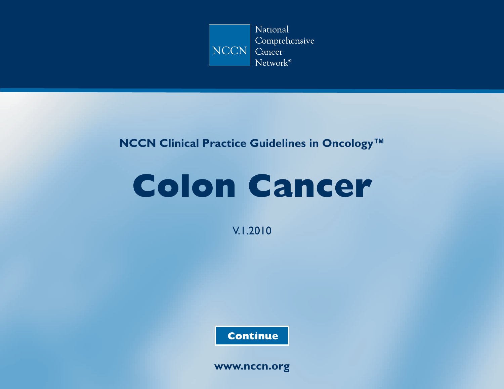<span id="page-0-0"></span>

# <span id="page-0-5"></span><span id="page-0-4"></span><span id="page-0-3"></span>**NCCN Clinical Practice Guidelines in Oncology™**

# **Colon Cancer**

V.1.2010

<span id="page-0-2"></span><span id="page-0-1"></span>**[Continue](#page-1-0)**

**www.nccn.org**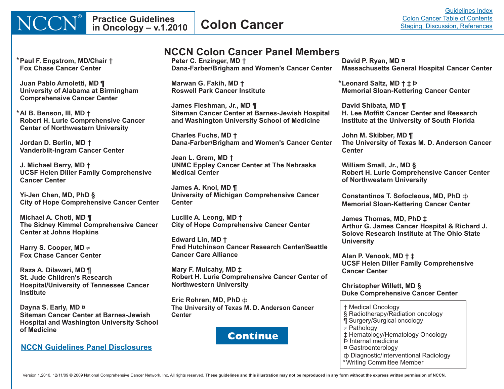<span id="page-1-1"></span><span id="page-1-0"></span>**Fox Chase Cancer Center**

**¶ Juan Pablo Arnoletti, MD University of Alabama at Birmingham Comprehensive Cancer Center**

**† Al B. Benson, III, MD \*Robert H. Lurie Comprehensive Cancer Center of Northwestern University**

**† Jordan D. Berlin, MD Vanderbilt-Ingram Cancer Center**

**† J. Michael Berry, MD UCSF Helen Diller Family Comprehensive Cancer Center**

**Yi-Jen Chen, MD, PhD § City of Hope Comprehensive Cancer Center**

**¶ Michael A. Choti, MD** The Sidney Kimmel Comprehensive Cancer **Center atJohns Hopkins**

**Harry S. Cooper, MD** - **Fox Chase Cancer Center**

**¶ Raza A. Dilawari, MD St. Jude Children's ResearchHospital/University of Tennessee Cancer Institute**

**Dayna S. Early, MD ¤ Siteman Cancer Center at Barnes-Jewish Hospital and Washington University School of Medicine**

**[NCCN Guidelines Panel Disclosures](http://www.nccn.org/disclosures/panel_list.asp?ID=28)**

# **NCCN Colon Cancer Panel Members**

**\* David P. Ryan, MD ¤ Paul F. Engstrom, MD/Chair † Peter C. Enzinger, MD † Dana-Farber/Brigham and Women's Cancer Center**

> **Marwan G. Fakih, MD † Roswell Park Cancer Institute**

**James Fleshman, Jr., MD ¶ Siteman Cancer Center at Barnes-Jewish Hospital and Washington University School of Medicine**

**Charles Fuchs, MD † Dana-Farber/Brigham and Women's Cancer Center**

**Jean L. Grem, MD † UNMC Eppley Cancer Center at The Nebraska Medical Center**

**James A. Knol, MD ¶ University of Michigan Comprehensive Cancer Center**

**Lucille A. Leong, MD † City of Hope Comprehensive Cancer Center**

**Edward Lin, MD † Fred Hutchinson Cancer Research Center/SeattleCancer Care Alliance**

**Mary F. Mulcahy, MD ‡ Robert H. Lurie Comprehensive Cancer Center of Northwestern University**

**Eric Rohren, MD, PhD** ф **The University of Texas M. D. Anderson Cancer Center**



**Massachusetts General Hospital Cancer Center**

**Leonard Saltz, MD † ‡ Þ \*Memorial Sloan-Kettering Cancer Center**

**David Shibata, MD ¶ H. Lee Moffitt Cancer Center and ResearchInstitute at the University of South Florida**

**The University of Texas M. D. Anderson Cancer CenterJohn M. Skibber, MD ¶**

**William Small, Jr., MD § Robert H. Lurie Comprehensive Cancer Center of Northwestern University**

**Constantinos T. Sofocleous, MD, PhD** ф **Memorial Sloan-Kettering Cancer Center**

**James Thomas, MD, PhD ‡ Arthur G. James Cancer Hospital & Richard J. Solove Research Institute at The Ohio StateUniversity**

**UCSF Helen Diller Family Comprehensive Cancer CenterAlan P. Venook, MD † ‡**

**Christopher Willett, MD § Duke Comprehensive Cancer Center**

† Medical Oncology ¶ Surgery/Surgical oncology Pathology -‡ Hematology/Hematology Oncology Þ Internal medicine§ Radiotherapy/Radiation oncology \*Writing Committee Member ¤ Gastroenterology ф Diagnostic/Interventional Radiology

Version 1.2010, 12/11/09 © 2009 National Comprehensive Cancer Network, Inc. All rights reserved. **These guidelines and this illustration may not be reproduced in any form without the express written permission of NCCN.**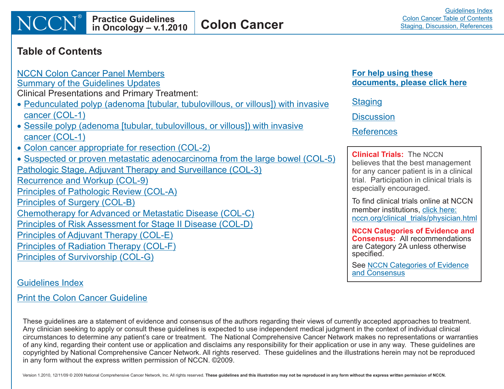# <span id="page-2-3"></span><span id="page-2-2"></span><span id="page-2-1"></span><span id="page-2-0"></span>**Table of Contents**

Clinical Presentations and Primary Treatment: [NCCN Colon Cancer Panel Members](#page-1-1)[Summary of the Guidelines Updates](#page-3-0) [Pedunculated polyp \(adenoma \[tubular, tubulovillous, or villous\]\) with invasive](#page-4-0) [cancer \(COL-1\)](#page-4-0) • Sessile polyp [\(adenoma \[tubular, tubulovillous, or villous\]\)](#page-4-0) with invasive [cancer \(COL-1\)](#page-4-0) • [Colon cancer appropriate for resection \(COL-2\)](#page-6-0) Pathologic Stage, Adjuvant [Therapy and Surveillance \(COL-3\)](#page-7-0) [Recurrence and Workup \(COL-9\)](#page-13-0) [Principles of Pathologic Review \(COL-A\)](#page-16-0) Chemotherapy for [Advanced or Metastatic Disease \(COL-C\)](#page-23-0) Principles of Risk [Assessment for Stage II Disease \(COL-D\)](#page-29-0) Principles of Adjuvant [Therapy \(COL-E\)](#page-30-0) [Principles of Radiation](#page-33-0) Therapy (COL-F) [Principles of Survivorship \(COL-G\)](#page-34-0) [Suspected or proven metastatic adenocarcinoma from the large bowel \(COL-5\)](#page-9-0) [Principles of Surgery \(COL-B\)](#page-20-0)

# **For help using these [documents, please click here](#page-0-1)**

**[Staging](#page-37-1)** 

**[Discussion](#page-38-0)** 

[References](#page-63-0)

**Clinical Trials:** The NCCN believes that the best management for any cancer patient is in a clinical trial. Participation in clinical trials is especially encouraged.

To find clinical trials online at NCCNmember institutions, click here: [nccn.org/clinical\\_trials/physician.html](http://www.nccn.org/clinical_trials/physician.html)

**Categories of Evidence and NCCNConsensus:** All recommendations are Category 2A unless otherwise specified.

See <u>NCCN [Categories of Evidence](#page-38-0)</u> and Consensus

# [Guidelines Index](#page-0-2)

# Print the Colon Cancer Guideline

These guidelines are a statement of evidence and consensus of the authors regarding their views of currently accepted approaches to treatment. Any clinician seeking to apply or consult these guidelines is expected to use independent medical judgment in the context of individual clinical circumstances to determine any patient's care or treatment. The National Comprehensive Cancer Network makes no representations or warranties of any kind, regarding their content use or application and disclaims any responsibility for their application or use in any way. These guidelines are copyrighted by National Comprehensive Cancer Network. All rights reserved. These guidelines and the illustrations herein may not be reproduced in any form without the express written permission of NCCN. ©2009.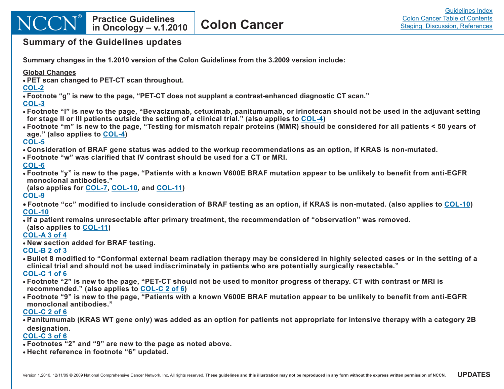# **Colon Cancer**

# <span id="page-3-0"></span>**Summary of the Guidelines updates**

**Summary changes in the 1.2010 version of the Colon Guidelines from the 3.2009 version include:**

**Global Changes**

**PET scan changed to PET-CT scan throughout.**

**[COL-2](#page-6-1)**

**Footnote "g" is new to the page, "PET-CT does not supplant a contrast-enhanced diagnostic CT scan."**

**[COL-3](#page-7-1)**

- • Footnote "I" is new to the page, "Bevacizumab, cetuximab, panitumumab, or irinotecan should not be used in the adjuvant setting for stage II or III patients outside the setting of a clinical trial." (also applies to <u>[COL-4](#page-8-0)</u>)
- • Footnote "m" is new to the page, "Testing for mismatch repair proteins (MMR) should be considered for all patients < 50 years of **age." (also applies to ) [COL-4](#page-8-0)**

**[COL-5](#page-9-1)**

- Consideration of BRAF gene status was added to the workup recommendations as an option, if KRAS is non-mutated.
- $\bullet$  Footnote "w" was clarified that IV contrast should be used for a CT or MRI.

**[COL-6](#page-10-0)**

∙ Footnote "y" is new to the page, "Patients with a known V600E BRAF mutation appear to be unlikely to benefit from anti-EGFR **monoclonal antibodies."**

**(also applies for , , and ) [COL-7](#page-11-0) [COL-10](#page-14-0) [COL-11](#page-15-0)**

**[COL-9](#page-13-0)**

- ∙ Footnote "cc" modified to include consideration of BRAF testing as an option, if KRAS is non-mutated. (also applies to <u>[COL-10](#page-14-0)</u>) **[COL-10](#page-14-0)**
- If a patient remains unresectable after primary treatment, the recommendation of "observation" was removed. **(also applies to ) [COL-11](#page-15-0)**

#### **[COL-A](#page-18-0) 3 of 4**

**New section added for BRAF testing.**

# **[COL-B](#page-21-0) 2 of 3**

• Bullet 8 modified to "Conformal external beam radiation therapy may be considered in highly selected cases or in the setting of a clinical trial and should not be used indiscriminately in patients who are potentially surgically resectable."

**[COL-C](#page-23-0) 1 of 6**

- ∙ Footnote "2" is new to the page, "PET-CT should not be used to monitor progress of therapy. CT with contrast or MRI is **recommended." (also applies to ) [COL-C](#page-24-0) 2 of 6**
- ∙ Footnote "9" is new to the page, "Patients with a known V600E BRAF mutation appear to be unlikely to benefit from anti-EGFR **monoclonal antibodies."**

**[COL-C](#page-24-0) 2 of 6**

• Panitumumab (KRAS WT gene only) was added as an option for patients not appropriate for intensive therapy with a category 2B **designation.**

**[COL-C](#page-25-0) 3 of 6**

- **Footnotes "2" and "9" are new to the page as noted above.**
- **Hecht reference in footnote "6" updated.**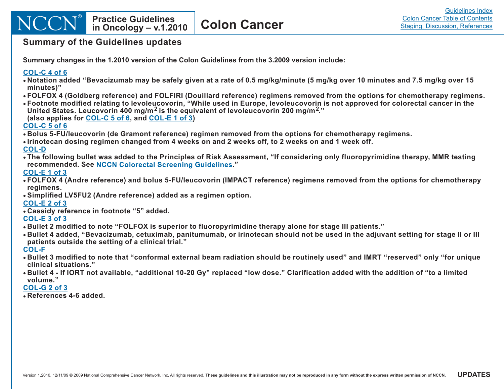# <span id="page-4-0"></span>**Summary of the Guidelines updates**

**Summary changes in the 1.2010 version of the Colon Guidelines from the 3.2009 version include:**

#### **[COL-C](#page-26-0) 4 of 6**

- Notation added "Bevacizumab may be safely given at a rate of 0.5 mg/kg/minute (5 mg/kg over 10 minutes and 7.5 mg/kg over 15 **minutes)"**
- ∙ FOLFOX 4 (Goldberg reference) and FOLFIRI (Douillard reference) regimens removed from the options for chemotherapy regimens.
- Footnote modified relating to levoleucovorin, "While used in Europe, levoleucovorin is not approved for colorectal cancer in the United States. Leucovorin 400 mg/m<sup>2</sup> is the equivalent of levoleucovorin 200 mg/m<sup>2</sup>."
- (also applies for <u>[COL-C](#page-27-0) 5 of 6</u>, and <u>[COL-E](#page-30-0) 1 of 3</u>)

# **[COL-C](#page-27-0) 5 of 6**

- ∙ Bolus 5-FU/leucovorin (de Gramont reference) regimen removed from the options for chemotherapy regimens.
- $\bullet$  Irinotecan dosing regimen changed from 4 weeks on and 2 weeks off, to 2 weeks on and 1 week off.

# **[COL-D](#page-29-0)**

**NCCN Colorectal Screening Guidelines recommended. See ."**∙ The following bullet was added to the Principles of Risk Assessment, "If considering only fluoropyrimidine therapy, MMR testing

# **[COL-E](#page-30-0) 1 of 3**

- FOLFOX 4 (Andre reference) and bolus 5-FU/leucovorin (IMPACT reference) regimens removed from the options for chemotherapy **regimens.**
- **Simplified LV5FU2 (Andre reference) added as <sup>a</sup> regimen option.**

# **[COL-E](#page-31-0) 2 of 3**

**Cassidy reference in footnote "5" added.**

# **[COL-E](#page-32-0) 3 of 3**

- ".Bullet 2 modified to note "FOLFOX is superior to fluoropyrimidine therapy alone for stage III patients •
- Bullet 4 added, "Bevacizumab, cetuximab, panitumumab, or irinotecan should not be used in the adjuvant setting for stage II or III **patients outside the setting of <sup>a</sup> clinical trial."**

# **[COL-F](#page-33-0)**

- •Bullet 3 modified to note that "conformal external beam radiation should be routinely used" and IMRT "reserved" only "for unique **clinical situations."**
- •Bullet 4 If IORT not available, "additional 10-20 Gy" replaced "Iow dose." Clarification added with the addition of "to a limited **volume."**

# **[COL-G](#page-35-0) 2 of 3**

**References 4-6 added.**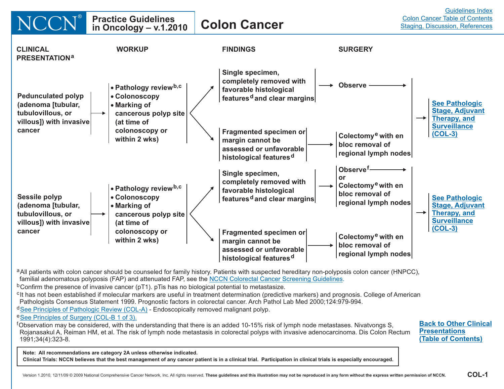| <b>Practice Guidelines</b><br>in Oncology $- v.1.2010$                                                                                                                                                       | <b>Colon Cancer</b>                                                                                                                                                                                                                                           | <b>Colon Cancer Table of Contents</b><br><b>Staging, Discussion, References</b>                                                                                                                                            |
|--------------------------------------------------------------------------------------------------------------------------------------------------------------------------------------------------------------|---------------------------------------------------------------------------------------------------------------------------------------------------------------------------------------------------------------------------------------------------------------|----------------------------------------------------------------------------------------------------------------------------------------------------------------------------------------------------------------------------|
| <b>CLINICAL</b><br><b>WORKUP</b><br><b>PRESENTATION<sup>a</sup></b>                                                                                                                                          | <b>FINDINGS</b>                                                                                                                                                                                                                                               | <b>SURGERY</b>                                                                                                                                                                                                             |
| • Pathology review <sup>b,c</sup><br><b>Pedunculated polyp</b><br>• Colonoscopy<br>(adenoma [tubular,<br>• Marking of<br>tubulovillous, or<br>cancerous polyp site<br>villous]) with invasive<br>(at time of | Single specimen,<br>completely removed with<br>favorable histological<br>features <sup>d</sup> and clear margins                                                                                                                                              | <b>Observe</b><br><b>See Pathologic</b><br><b>Stage, Adjuvant</b><br><b>Therapy, and</b>                                                                                                                                   |
| cancer<br>colonoscopy or<br>within 2 wks)                                                                                                                                                                    | Fragmented specimen or<br>margin cannot be<br>assessed or unfavorable<br>histological features <sup>d</sup>                                                                                                                                                   | <b>Surveillance</b><br>$(COL-3)$<br>Colectomy <sup>e</sup> with en<br>bloc removal of<br>regional lymph nodes                                                                                                              |
| • Pathology review <sup>b,c</sup><br><b>Sessile polyp</b><br>• Colonoscopy<br>(adenoma [tubular,<br>• Marking of<br>tubulovillous, or<br>cancerous polyp site<br>villous]) with invasive<br>(at time of      | Single specimen,<br>completely removed with<br>favorable histological<br>features <sup>d</sup> and clear margins                                                                                                                                              | Observe <sup>f.</sup><br>or<br>Colectomy <sup>e</sup> with en<br>bloc removal of<br><b>See Pathologic</b><br>regional lymph nodes<br><b>Stage, Adjuvant</b><br><b>Therapy, and</b><br>$\rightarrow$<br><b>Surveillance</b> |
| colonoscopy or<br>cancer<br>within 2 wks)                                                                                                                                                                    | Fragmented specimen or<br>margin cannot be<br>assessed or unfavorable<br>histological features <sup>d</sup><br>a All nationts with colon cancer should be counseled for family history. Patients with suspected bereditary non-polynosis colon cancer (HNPCC) | $(COL-3)$<br>Colectomy <sup>e</sup> with en<br>bloc removal of<br>regional lymph nodes                                                                                                                                     |

[Guidelines Index](#page-0-0)

**Back to Other Clinical**

<sup>a</sup>All patients with colon cancer should be counseled for family history. Patients with suspected hereditary non-polyposis colon cancer (HNPCC), familial adenomatous polyposis (FAP) and attenuated FAP, see the <u>[NCCN Colorectal Cancer Screening Guidelines](#page-0-2)</u>.

 $^{\rm b}$ Confirm the presence of invasive cancer (pT1). pTis has no biological potential to metastasize.

 $^{\rm c}$ lt has not been established if molecular markers are useful in treatment determination (predictive markers) and prognosis. College of American Pathologists Consensus Statement 1999. Prognostic factors in colorectal cancer. Arch Pathol Lab Med 2000;124:979-994.

<sup>d</sup>[See Principles of Pathologic Review \(COL-A\)](#page-16-0) - Endoscopically removed malignant polyp.

<sup>e</sup>[See Principles of Surgery \(COL-B 1 of 3\).](#page-20-0)

<sup>f</sup>Observation may be considered, with the understanding that there is an added 10-15% risk of lymph node metastases. Nivatvongs S, Rojanasakul A, Reiman HM, et al. The risk of lymph node metastasis in colorectal polyps with invasive adenocarcinoma. Dis Colon Rectum 1991;34(4):323-8. **Presentations[\(Table of Contents\)](#page-2-2)**

**Note: All recommendations are category 2A unless otherwise indicated.**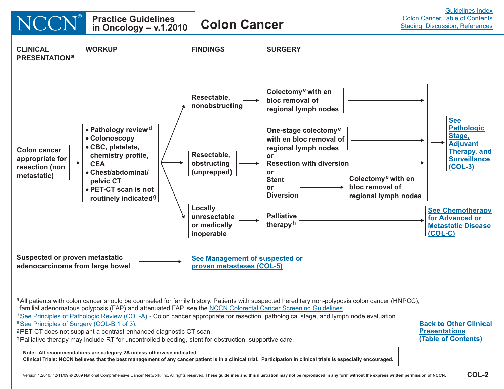<span id="page-6-1"></span><span id="page-6-0"></span>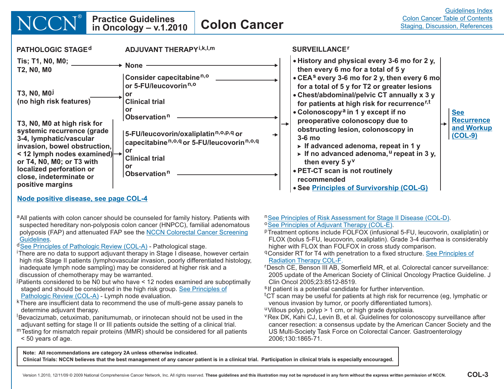# **Colon Cancer**

<span id="page-7-2"></span><span id="page-7-1"></span><span id="page-7-0"></span>

| PATHOLOGIC STAGE <sup>d</sup>                                                                                                                                                                                                                                                                                                                                                                                                                                                                                                                                | <b>ADJUVANT THERAPYi,k,l,m</b>                                                                                                                                      |   | <b>SURVEILLANCE<sup>r</sup></b>                                                                                                                                                                                                                                                                                                                                                                                                                                                                                                                                                                                                                                              |                                                            |
|--------------------------------------------------------------------------------------------------------------------------------------------------------------------------------------------------------------------------------------------------------------------------------------------------------------------------------------------------------------------------------------------------------------------------------------------------------------------------------------------------------------------------------------------------------------|---------------------------------------------------------------------------------------------------------------------------------------------------------------------|---|------------------------------------------------------------------------------------------------------------------------------------------------------------------------------------------------------------------------------------------------------------------------------------------------------------------------------------------------------------------------------------------------------------------------------------------------------------------------------------------------------------------------------------------------------------------------------------------------------------------------------------------------------------------------------|------------------------------------------------------------|
| Tis; T1, N0, M0;<br>▶ None<br><b>T2, N0, M0</b><br>or 5-FU/leucovorin <sup>n,o</sup><br>T3, N0, M0 <sup>j</sup><br>or<br>(no high risk features)<br><b>Clinical trial</b><br>or<br>Observation <sup>n</sup><br>T3, N0, M0 at high risk for<br>systemic recurrence (grade<br>3-4, lymphatic/vascular<br>invasion, bowel obstruction,<br>or<br>$\le$ 12 lymph nodes examined) $\rightarrow$<br><b>Clinical trial</b><br>or T4, N0, M0; or T3 with<br>or<br>localized perforation or<br>Observation <sup>n</sup><br>close, indeterminate or<br>positive margins | Consider capecitabine <sup>n,o</sup><br>5-FU/leucovorin/oxaliplatin <sup>n,o,p,q</sup> or<br>→<br>capecitabine <sup>n,o,q</sup> or 5-FU/leucovorin <sup>n,o,q</sup> | → | • History and physical every 3-6 mo for 2 y,<br>then every 6 mo for a total of 5 y<br>• CEA <sup>s</sup> every 3-6 mo for 2 y, then every 6 mo<br>for a total of 5 y for T2 or greater lesions<br>• Chest/abdominal/pelvic CT annually x 3 y<br>for patients at high risk for recurrence <sup>r,t</sup><br>• Colonoscopy <sup>a</sup> in 1 y except if no<br>preoperative colonoscopy due to<br>obstructing lesion, colonoscopy in<br>$3-6$ mo<br>$\triangleright$ If advanced adenoma, repeat in 1 y<br>If no advanced adenoma, $u$ repeat in 3 y,<br>then every $5y^{\gamma}$<br>• PET-CT scan is not routinely<br>recommended<br>• See Principles of Survivorship (COL-G) | <b>See</b><br><b>Recurrence</b><br>and Workup<br>$(COL-9)$ |

#### **[Node positive disease, see page COL-4](#page-8-0)**

- <sup>a</sup>All patients with colon cancer should be counseled for family history. Patients with suspected hereditary non-polyposis colon cancer (HNPCC), familial adenomatous polyposis (FAP) and attenuated FAP see the <u>[NCCN Colorectal Cancer Screening](#page-0-2)</u> .[Guidelines](#page-0-3)
- <sup>d</sup>[See Principles of Pathologic Review \(COL-A\)](#page-16-0) Pathological stage.
- 'There are no data to support adjuvant therapy in Stage I disease, however certain high risk Stage II patients (lymphovascular invasion, poorly differentiated histology, inadequate lymph node sampling) may be considered at higher risk and a discussion of chemotherapy may be warranted. i
- <sup>j</sup>Patients considered to be N0 but who have < 12 nodes examined are suboptimally staged and should be considered in the high risk group. <u>[See Principles of](#page-16-0)</u> <u>[Pathologic Review \(COL-A\)](#page-16-0)</u> - Lymph node evaluation.
- kThere are insufficient data to recommend the use of multi-gene assay panels to determine adjuvant therapy.
- 'Bevacizumab, cetuximab, panitumumab, or irinotecan should not be used in the adjuvant setting for stage II or III patients outside the setting of a clinical trial.
- $^{\rm m}$ Testing for mismatch repair proteins (MMR) should be considered for all patients < 50 years of age.

<sup>n</sup> See Principles of Risk [Assessment for Stage II Disease \(COL-D\)](#page-29-0). <sup>o</sup>See Principles of Adjuvant [Therapy \(COL-E\)](#page-30-0).

- <sup>p</sup>Treatment options include FOLFOX (infusional 5-FU, leucovorin, oxaliplatin) or FLOX (bolus 5-FU, leucovorin, oxaliplatin). Grade 3-4 diarrhea is considerably higher with FLOX than FOLFOX in cross study comparison.
- <sup>q</sup>Consider RT for T4 with penetration to a fixed structure. <u>[See Principles of](#page-33-0)</u> Radiation [Therapy COL-F](#page-33-0) .
- 「Desch CE, Benson III AB, Somerfield MR, et al. Colorectal cancer surveillance: 2005 update of the American Society of Clinical Oncology Practice Guideline. J Clin Oncol 2005;23:8512-8519.
- s If patient is a potential candidate for further intervention.
- <sup>t</sup>CT scan may be useful for patients at high risk for recurrence (eg, lymphatic or venous invasion by tumor, or poorly differentiated tumors).
- <sup>u</sup>Villous polyp, polyp > 1 cm, or high grade dysplasia.
- $^{\mathsf{v}}$ Rex DK, Kahi CJ, Levin B, et al. Guidelines for colonoscopy surveillance after cancer resection: a consensus update by the American Cancer Society and the US Multi-Society Task Force on Colorectal Cancer. Gastroenterology 2006;130:1865-71.

**Note: All recommendations are category 2A unless otherwise indicated.**

**Clinical Trials: NCCN believes that the best management of any cancer patient is in a clinical trial. Participation in clinical trials is especially encouraged.**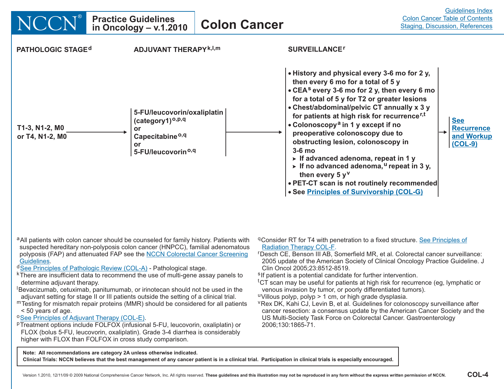<span id="page-8-0"></span>

<sup>a</sup>All patients with colon cancer should be counseled for family history. Patients with suspected hereditary non-polyposis colon cancer (HNPCC), familial adenomatous polyposis (FAP) and attenuated FAP see the <u>[NCCN Colorectal Cancer Screening](#page-0-4)</u> .[Guidelines](#page-0-3)

- <sup>d</sup>[See Principles of Pathologic Review \(COL-A\)](#page-16-0) Pathological stage.
- kThere are insufficient data to recommend the use of multi-gene assay panels to determine adjuvant therapy.
- 'Bevacizumab, cetuximab, panitumumab, or irinotecan should not be used in the adjuvant setting for stage II or III patients outside the setting of a clinical trial.
- m Testing for mismatch repair proteins (MMR) should be considered for all patients < 50 years of age.
- <sup>o</sup>See Principles of Adjuvant [Therapy \(COL-E\)](#page-30-0).
- PTreatment options include FOLFOX (infusional 5-FU, leucovorin, oxaliplatin) or FLOX (bolus 5-FU, leucovorin, oxaliplatin). Grade 3-4 diarrhea is considerably higher with FLOX than FOLFOX in cross study comparison.
- <sup>q</sup>Consider RT for T4 with penetration to a fixed structure. <u>[See Principles of](#page-33-0)</u> Radiation [Therapy COL-F](#page-33-0) .
- 「Desch CE, Benson III AB, Somerfield MR, et al. Colorectal cancer surveillance: 2005 update of the American Society of Clinical Oncology Practice Guideline. J Clin Oncol 2005;23:8512-8519.
- s If patient is a potential candidate for further intervention.
- <sup>t</sup>CT scan may be useful for patients at high risk for recurrence (eg, lymphatic or venous invasion by tumor, or poorly differentiated tumors).
- <sup>u</sup>Villous polyp, polyp > 1 cm, or high grade dysplasia.
- $^{\mathsf{v}}$ Rex DK, Kahi CJ, Levin B, et al. Guidelines for colonoscopy surveillance after cancer resection: a consensus update by the American Cancer Society and the US Multi-Society Task Force on Colorectal Cancer. Gastroenterology 2006;130:1865-71.

**Note: All recommendations are category 2A unless otherwise indicated.**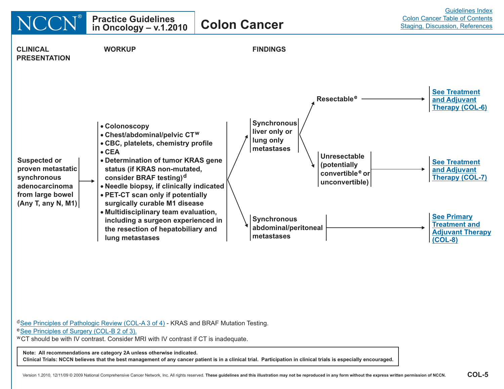<span id="page-9-1"></span><span id="page-9-0"></span>

<sup>d</sup>[See Principles of Pathologic Review \(COL-A](#page-18-0) 3 of 4) - KRAS and BRAF Mutation Testing.

<sup>e</sup>[See Principles of Surgery \(COL-B 2 of 3\).](#page-21-0)

w CT should be with IV contrast. Consider MRI with IV contrast if CT is inadequate.

**Note: All recommendations are category 2A unless otherwise indicated.**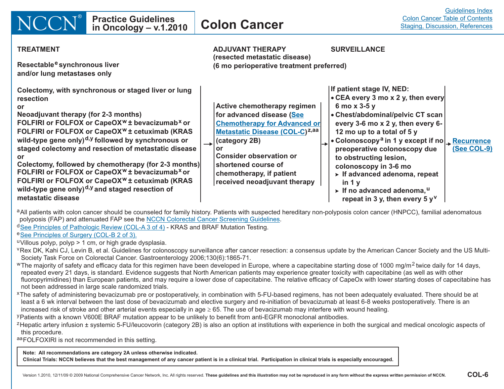<span id="page-10-0"></span>

| <b>TREATMENT</b><br>Resectable <sup>e</sup> synchronous liver<br>and/or lung metastases only                                                                                                                                                                                                                                                                                                                                                                                                                                                                                                                                                                                |               | <b>ADJUVANT THERAPY</b><br>(resected metastatic disease)                                                                                                                                                                                                                                  |  | <b>SURVEILLANCE</b>                                                                                                                                                                                                                                                                                                                                                                                                                                                                                                      |             |  |
|-----------------------------------------------------------------------------------------------------------------------------------------------------------------------------------------------------------------------------------------------------------------------------------------------------------------------------------------------------------------------------------------------------------------------------------------------------------------------------------------------------------------------------------------------------------------------------------------------------------------------------------------------------------------------------|---------------|-------------------------------------------------------------------------------------------------------------------------------------------------------------------------------------------------------------------------------------------------------------------------------------------|--|--------------------------------------------------------------------------------------------------------------------------------------------------------------------------------------------------------------------------------------------------------------------------------------------------------------------------------------------------------------------------------------------------------------------------------------------------------------------------------------------------------------------------|-------------|--|
|                                                                                                                                                                                                                                                                                                                                                                                                                                                                                                                                                                                                                                                                             |               | (6 mo perioperative treatment preferred)                                                                                                                                                                                                                                                  |  |                                                                                                                                                                                                                                                                                                                                                                                                                                                                                                                          |             |  |
| Colectomy, with synchronous or staged liver or lung<br>resection<br>or<br>Neoadjuvant therapy (for 2-3 months)<br>FOLFIRI or FOLFOX or CapeOX <sup>w</sup> ± bevacizumab <sup>x</sup> or<br>FOLFIRI or FOLFOX or CapeOX <sup>w</sup> ± cetuximab (KRAS<br>wild-type gene only) <sup>d,y</sup> followed by synchronous or<br>staged colectomy and resection of metastatic disease<br>or<br>Colectomy, followed by chemotherapy (for 2-3 months)<br>FOLFIRI or FOLFOX or CapeOX <sup>w</sup> ± bevacizumab <sup>x</sup> or<br>FOLFIRI or FOLFOX or CapeOX <sup>w</sup> ± cetuximab (KRAS<br>wild-type gene only) <sup>d,y</sup> and staged resection of<br>metastatic disease | $\rightarrow$ | Active chemotherapy regimen<br>for advanced disease (See<br><b>Chemotherapy for Advanced or</b><br>Metastatic Disease (COL-C) <sup>z,aa</sup><br>(category 2B)<br>or<br><b>Consider observation or</b><br>shortened course of<br>chemotherapy, if patient<br>received neoadjuvant therapy |  | <b>If patient stage IV, NED:</b><br>$\bullet$ CEA every 3 mo x 2 y, then every<br>6 mo x $3-5y$<br>• Chest/abdominal/pelvic CT scan<br>every 3-6 mo x 2 y, then every 6-<br>12 mo up to a total of 5 y<br>• Colonoscopy <sup>a</sup> in 1 y except if no <b>Recurrence</b><br>preoperative colonoscopy due<br>to obstructing lesion,<br>colonoscopy in 3-6 mo<br>$\triangleright$ If advanced adenoma, repeat<br>in 1 $v$<br>$\triangleright$ If no advanced adenoma, $^{\text{u}}$<br>repeat in 3 y, then every 5 $y^V$ | (See COL-9) |  |

<sup>a</sup>All patients with colon cancer should be counseled for family history. Patients with suspected hereditary non-polyposis colon cancer (HNPCC), familial adenomatous polyposis (FAP) and attenuated FAP see the <u>[NCCN Colorectal Cancer Screening Guidelines](#page-0-5)</u>.

<sup>d</sup>[See Principles of Pathologic Review \(COL-A](#page-18-0) 3 of 4) - KRAS and BRAF Mutation Testing.

<sup>e</sup>[See Principles of Surgery \(COL-B 2 of 3\).](#page-21-0)

<sup>u</sup>Villous polyp, polyp > 1 cm, or high grade dysplasia.

 $^{\mathsf{v}}$ Rex DK, Kahi CJ, Levin B, et al. Guidelines for colonoscopy surveillance after cancer resection: a consensus update by the American Cancer Society and the US Multi-Society Task Force on Colorectal Cancer. Gastroenterology 2006;130(6):1865-71.

- <sup>w</sup>The majority of safety and efficacy data for this regimen have been developed in Europe, where a capecitabine starting dose of 1000 mg/m<sup>2</sup> twice daily for 14 days, repeated every 21 days, is standard. Evidence suggests that North American patients may experience greater toxicity with capecitabine (as well as with other fluoropyrimidines) than European patients, and may require a lower dose of capecitabine. The relative efficacy of CapeOx with lower starting doses of capecitabine has not been addressed in large scale randomized trials.
- $^\text{x}$ The safety of administering bevacizumab pre or postoperatively, in combination with 5-FU-based regimens, has not been adequately evaluated. There should be at least a 6 wk interval between the last dose of bevacizumab and elective surgery and re-initiation of bevacizumab at least 6-8 weeks postoperatively. There is an increased risk of stroke and other arterial events especially in age ≥ 65. The use of bevacizumab may interfere with wound healing.

y Patients with a known V600E BRAF mutation appear to be unlikely to benefit from anti-EGFR monoclonal antibodies.

 $^{\text{z}}$ Hepatic artery infusion  $\pm$  systemic 5-FU/leucovorin (category 2B) is also an option at institutions with experience in both the surgical and medical oncologic aspects of this procedure.

<sup>aa</sup>FOLFOXIRI is not recommended in this setting.

**Note: All recommendations are category 2A unless otherwise indicated.**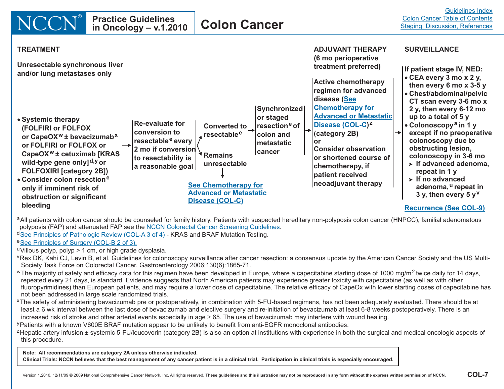<span id="page-11-0"></span>

| NCCN® |
|-------|
|-------|



#### **[Recurrence \(See COL-9\)](#page-13-0)**

<sup>a</sup>All patients with colon cancer should be counseled for family history. Patients with suspected hereditary non-polyposis colon cancer (HNPCC), familial adenomatous polyposis (FAP) and attenuated FAP see the <u>[NCCN Colorectal Cancer Screening Guidelines](#page-0-4)</u>.

<sup>d</sup>[See Principles of Pathologic Review \(COL-A](#page-18-0) 3 of 4) - KRAS and BRAF Mutation Testing.

e [See Principles of Surgery \(COL-B 2 of 3\).](#page-21-0)

<sup>u</sup>Villous polyp, polyp > 1 cm, or high grade dysplasia.

- $^{\vee}$ Rex DK, Kahi CJ, Levin B, et al. Guidelines for colonoscopy surveillance after cancer resection: a consensus update by the American Cancer Society and the US Multi-Society Task Force on Colorectal Cancer. Gastroenterology 2006;130(6):1865-71.
- <sup>w</sup>The majority of safety and efficacy data for this regimen have been developed in Europe, where a capecitabine starting dose of 1000 mg/m<sup>2</sup> twice daily for 14 days, repeated every 21 days, is standard. Evidence suggests that North American patients may experience greater toxicity with capecitabine (as well as with other fluoropyrimidines) than European patients, and may require a lower dose of capecitabine. The relative efficacy of CapeOx with lower starting doses of capecitabine has not been addressed in large scale randomized trials.
- $^\text{x}$ The safety of administering bevacizumab pre or postoperatively, in combination with 5-FU-based regimens, has not been adequately evaluated. There should be at least a 6 wk interval between the last dose of bevacizumab and elective surgery and re-initiation of bevacizumab at least 6-8 weeks postoperatively. There is an increased risk of stroke and other arterial events especially in age ≥ 65. The use of bevacizumab may interfere with wound healing.

<sup>y</sup>Patients with a known V600E BRAF mutation appear to be unlikely to benefit from anti-EGFR monoclonal antibodies.

 $^{\text{z}}$ Hepatic artery infusion  $\pm$  systemic 5-FU/leucovorin (category 2B) is also an option at institutions with experience in both the surgical and medical oncologic aspects of this procedure.

**Note: All recommendations are category 2A unless otherwise indicated.**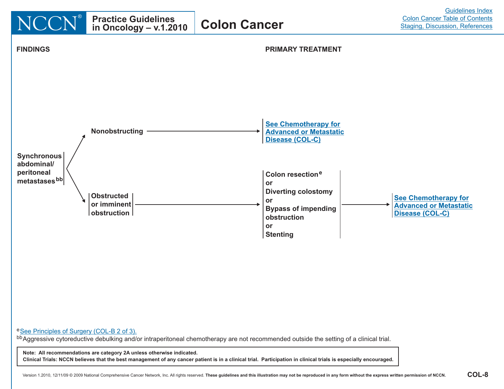<span id="page-12-0"></span>

<sup>e</sup> [See Principles of Surgery \(COL-B 2 of 3\).](#page-21-0)

bb<sub>Aggressive cytoreductive debulking and/or intraperitoneal chemotherapy are not recommended outside the setting of a clinical trial.</sub>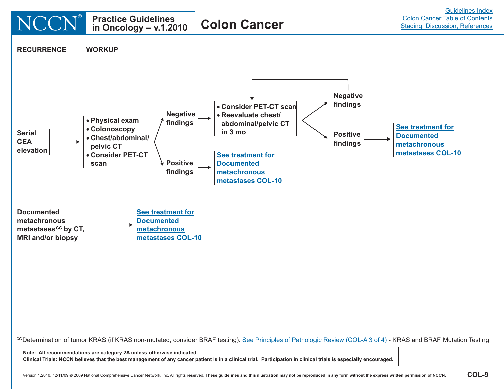<span id="page-13-0"></span>

<sup>cc</sup>Determination of tumor KRAS (if KRAS non-mutated, consider BRAF testing). <u>[See Principles of Pathologic Review \(COL-A](#page-18-0) 3 of 4)</u> - KRAS and BRAF Mutation Testing.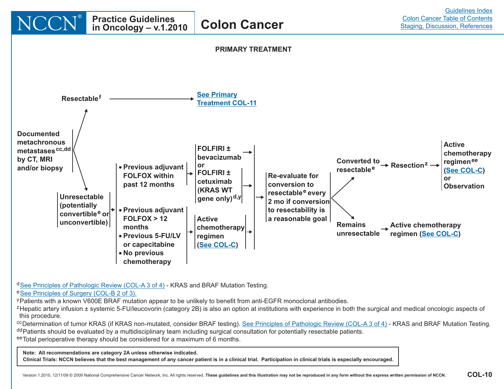<span id="page-14-0"></span>

<sup>d</sup>[See Principles of Pathologic Review \(COL-A](#page-18-0) 3 of 4) - KRAS and BRAF Mutation Testing.

<sup>e</sup> [See Principles of Surgery \(COL-B 2 of 3\).](#page-21-0)

y Patients with a known V600E BRAF mutation appear to be unlikely to benefit from anti-EGFR monoclonal antibodies.

 $^{\text{z}}$ Hepatic artery infusion  $\pm$  systemic 5-FU/leucovorin (category 2B) is also an option at institutions with experience in both the surgical and medical oncologic aspects of this procedure.

<sup>cc</sup>Determination of tumor KRAS (if KRAS non-mutated, consider BRAF testing). <u>[See Principles of Pathologic Review \(COL-A](#page-18-0) 3 of 4)</u> - KRAS and BRAF Mutation Testing.

<sup>dd</sup>Patients should be evaluated by a multidisciplinary team including surgical consultation for potentially resectable patients.

<sup>ee</sup>Total perioperative therapy should be considered for a maximum of 6 months.

**Note: All recommendations are category 2A unless otherwise indicated.**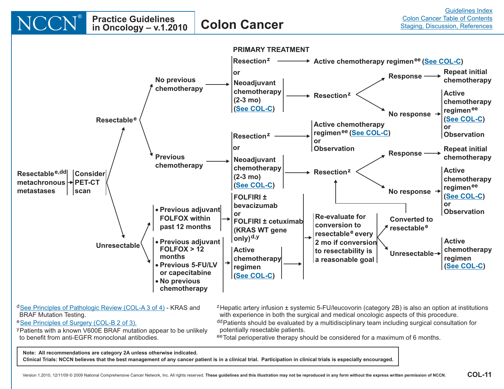<span id="page-15-0"></span>



<sup>d</sup>[See Principles of Pathologic Review \(COL-A](#page-18-0) 3 of 4) - KRAS and <sup>z</sup> BRAF Mutation Testing.

<sup>e</sup> [See Principles of Surgery \(COL-B 2 of 3\).](#page-21-0)

<sup>dd</sup>Patients should be evaluated by a multidisciplinary team including surgical consultation for  $Z$ Hepatic artery infusion  $\pm$  systemic 5-FU/leucovorin (category 2B) is also an option at institutions with experience in both the surgical and medical oncologic aspects of this procedure. potentially resectable patients.

y Patients with a known V600E BRAF mutation appear to be unlikely to benefit from anti-EGFR monoclonal antibodies.

<sup>ee</sup>Total perioperative therapy should be considered for a maximum of 6 months.

**Note: All recommendations are category 2A unless otherwise indicated.**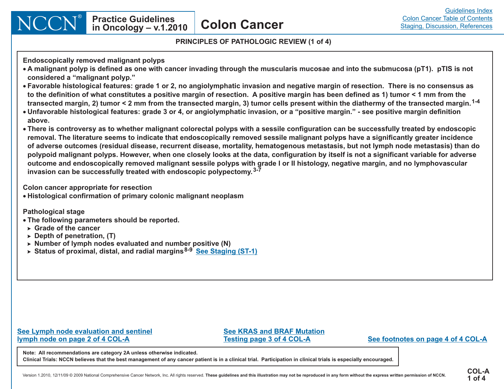# **PRINCIPLES OF PATHOLOGIC REVIEW (1 of 4)**

**Colon Cancer**

#### **Endoscopically removed malignant polyps**

<span id="page-16-0"></span> $\text{NCCN}^{\circ}$  **Practice Guidelines**<br>in Oncology – v.1.2010

- **A malignant polyp is defined as one with cancer invading through the muscularis mucosae and into the submucosa (pT1). pTIS is not considered a "malignant polyp."**
- **Favorable histological features: grade 1 or 2, no angiolymphatic invasion and negative margin of resection. There is no consensus as to the definition of what constitutes a positive margin of resection. A positive margin has been defined as 1) tumor < 1 mm from the transected margin, 2) tumor < 2 mm from the transected margin, 3) tumor cells present within the diathermy of the transected margin. 1-4**
- **Unfavorable histological features: grade 3 or 4, or angiolymphatic invasion, or a "positive margin." see positive margin definition above.**
- **There is controversy as to whether malignant colorectal polyps with a sessile configuration can be successfully treated by endoscopic removal. The literature seems to indicate that endoscopically removed sessile malignant polyps have a significantly greater incidence of adverse outcomes (residual disease, recurrent disease, mortality, hematogenous metastasis, but not lymph node metastasis) than do polypoid malignant polyps. However, when one closely looks at the data, configuration by itself is not a significant variable for adverse outcome and endoscopically removed malignant sessile polyps with grade I or II histology, negative margin, and no lymphovascular invasion can be successfully treated with endoscopic polypectomy. 3-7**

**Colon cancer appropriate for resection**

**Histological confirmation of primary colonic malignant neoplasm**

**Practice Guidelines**

**Pathological stage**

- **The following parameters should be reported.**
- **Grade of the cancer**-
- **Depth of penetration, (T)** -
- **Number of lymph nodes evaluated and number positive (N)** -
- **Status of proximal, distal, and radial margins 8-9** ► Status of proximal, distal, and radial margins<sup>8-9'</sup> [See Staging \(ST-1\)](#page-37-2)

#### **[See Lymph node evaluation and sentinel](#page-17-0) lymph node on page 2 of 4 COL-A [See footnotes on page 4 of 4 COL-A](#page-19-0)** See footnotes on page 4 of 4 COL-A

**See KRAS and BRAF Mutation[Testing page 3 of 4 COL-A](#page-18-0)**

**Note: All recommendations are category 2A unless otherwise indicated.**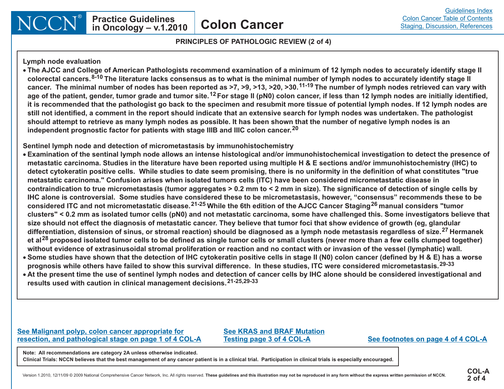#### **PRINCIPLES OF PATHOLOGIC REVIEW (2 of 4)**

#### <span id="page-17-0"></span>**Lymph node evaluation**

**The AJCC and College of American Pathologists recommend examination of a minimum of 12 lymph nodes to accurately identify stage II colorectal cancers. The literature lacks consensus as to what is the minimal number of lymph nodes to accurately identify stage II 8-10** cancer. The minimal number of nodes has been reported as >7, >9, >13, >20, >30.<sup>11-19</sup> The number of lymph nodes retrieved can vary with age of the patient, gender, tumor grade and tumor site.<sup>12</sup> For stage II (pN0) colon cancer, if less than 12 lymph nodes are initially identified, **it is recommended that the pathologist go back to the specimen and resubmit more tissue of potential lymph nodes. If 12 lymph nodes are still not identified, a comment in the report should indicate that an extensive search for lymph nodes was undertaken. The pathologist should attempt to retrieve as many lymph nodes as possible. It has been shown that the number of negative lymph nodes is an independent prognostic factor for patients with stage IIIB and IIIC colon cancer. 20**

**Sentinel lymph node and detection of micrometastasis by immunohistochemistry**

- **Examination of the sentinal lymph node allows an intense histological and/or immunohistochemical investigation to detect the presence of metastatic carcinoma. Studies in the literature have been reported using multiple H & E sections and/or immunohistochemistry (IHC) to detect cytokeratin positive cells. While studies to date seem promising, there is no uniformity in the definition of what constitutes "true metastatic carcinoma." Confusion arises when isolated tumors cells (ITC) have been considered micrometastatic disease in contraindication to true micrometastasis (tumor aggregates > 0.2 mm to < 2 mm in size). The significance of detection of single cells by IHC alone is controversial. Some studies have considered these to be micrometastasis, however, "consensus" recommends these to be considered ITC and not micrometastatic disease. While the 6th edition of the AJCC Cancer Staging manual considers "tumor 21-25 26 clusters" < 0.2 mm as isolated tumor cells (pN0) and not metastatic carcinoma, some have challenged this. Some investigators believe that size should not effect the diagnosis of metastatic cancer. They believe that tumor foci that show evidence of growth (eg, glandular** differentiation, distension of sinus, or stromal reaction) should be diagnosed as a lymph node metastasis regardless of size.<sup>27</sup> Hermanek **et al proposed isolated tumor cells to be defined as single tumor cells or small clusters (never more than a few cells clumped together) 28 without evidence of extrasinusoidal stromal proliferation or reaction and no contact with or invasion of the vessel (lymphatic) wall.**
- **Some studies have shown that the detection of IHC cytokeratin positive cells in stage II (N0) colon cancer (defined by H & E) has a worse prognosis while others have failed to show this survival difference. In these studies, ITC were considered micrometastasis. 29-33**
- **At the present time the use of sentinel lymph nodes and detection of cancer cells by IHC alone should be considered investigational and results used with caution in clinical management decisions. 21-25,29-33**

#### **See Malignant polyp, colon cancer appropriate for** [resection, and pathological stage on page 1 of 4 COL-A](#page-16-0) **Testing page 3 of 4 COL-A** [See footnotes on page 4 of 4 COL-A](#page-19-0)

**See KRAS and BRAF Mutation[Testing page 3 of 4 COL-A](#page-18-0)**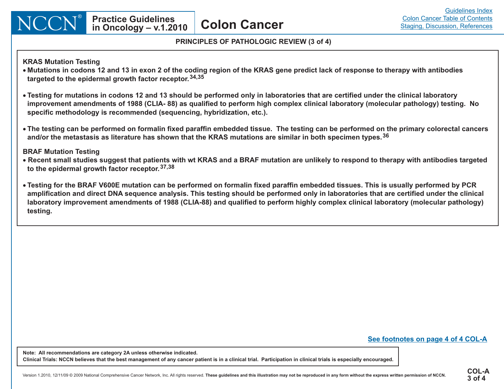#### **PRINCIPLES OF PATHOLOGIC REVIEW (3 of 4)**

#### **KRAS Mutation Testing**

**Practice Guidelines**

<span id="page-18-0"></span> $\text{NCCN}^{\circ}$  **Practice Guidelines**<br>in Oncology – v.1.2010

**Mutations in codons 12 and 13 in exon 2 of the coding region of the KRAS gene predict lack of response to therapy with antibodies targeted to the epidermal growth factor receptor. 34,35**

**Colon Cancer**

- **Testing for mutations in codons 12 and 13 should be performed only in laboratories that are certified under the clinical laboratory improvement amendments of 1988 (CLIA- 88) as qualified to perform high complex clinical laboratory (molecular pathology) testing. No specific methodology is recommended (sequencing, hybridization, etc.).**
- **The testing can be performed on formalin fixed paraffin embedded tissue. The testing can be performed on the primary colorectal cancers and/or the metastasis as literature has shown that the KRAS mutations are similar in both specimen types. 36**

**BRAF Mutation Testing**

- **Recent small studies suggest that patients with wt KRAS and a BRAF mutation are unlikely to respond to therapy with antibodies targeted to the epidermal growth factor receptor. 37,38**
- **Testing for the BRAF V600E mutation can be performed on formalin fixed paraffin embedded tissues. This is usually performed by PCR amplification and direct DNA sequence analysis. This testing should be performed only in laboratories that are certified under the clinical laboratory improvement amendments of 1988 (CLIA-88) and qualified to perform highly complex clinical laboratory (molecular pathology) testing.**

**[See footnotes on page 4 of 4 COL-A](#page-19-0)**

**Note: All recommendations are category 2A unless otherwise indicated.**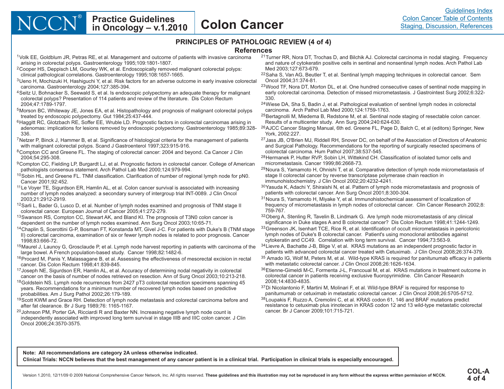## **PRINCIPLES OF PATHOLOGIC REVIEW (4 of 4)**

#### **References**

<span id="page-19-0"></span>1 Volk EE, Goldblum JR, Petras RE, et al. Management and outcome of patients with invasive carcinoma arising in colorectal polyps. Gastroenterology 1995;109:1801-1807.

**Practice Guidelines**

- $^2$ Cooper HS, Deppisch LM, Gourley WK, et al. Endoscopically removed malignant colorectal polyps: clinical pathological correlations. Gastroenterology 1995;108:1657-1665.
- $^3$ Ueno H, Mochizuki H, Hashiguchi Y, et al. Risk factors for an adverse outcome in early invasive colorectal carcinoma. Gastroenterology 2004;127:385-394.
- 4 Seitz U, Bohnacker S, Seewald S, et al. Is endoscopic polypectomy an adequate therapy for malignant colorectal polyps? Presentation of 114 patients and review of the literature. Dis Colon Rectum 2004;47:1789-1797.
- $^5$ Morson BC, Whiteway JE, Jones EA, et al. Histopathology and prognosis of malignant colorectal polyps treated by endoscopic polypectomy. Gut 1984;25:437-444.
- <sup>6</sup>Haggitt RC, Glotzbach RE, Soffer EE, Wruble LD. Prognostic factors in colorectal carcinomas arising in adenomas: implications for lesions removed by endoscopic polypectomy. Gastroenterology 1985;89:328- 336.
- 7 Netzer P, Binck J, Hammer B, et al. Significance of histological criteria for the management of patients with malignant colorectal polyps. Scand J Gastroenterol 1997;323:915-916.
- ${}^{8}$ Compton CC and Greene FL. The staging of colorectal cancer: 2004 and beyond. Ca Cancer J Clin 2004;54:295-308.
- <sup>9</sup>Compton CC, Fielding LP, Burgardt LJ, et al. Prognostic factors in colorectal cancer. College of American pathologists consensus statement. Arch Pathol Lab Med 2000;124:979-994.
- $^{10}$ Sobin HL, and Greene FL. TNM classification. Clarification of number of regional lymph node for pN0. Cancer 2001;92:452.
- 11 Le Voyer TE, Sigurdson ER, Hamlin AL, et al. Colon cancer survival is associated with increasing number of lymph nodes analyzed: a secondary survery of intergroup trial INT-0089. J Clin Oncol 2003;21:2912-2919.
- $^{12}$ Sarli L, Bader G, Lusco D, et al. Number of lymph nodes examined and prognosis of TNM stage II colorectal cancer. European Journal of Cancer 2005;41:272-279.
- $^{13}$ Swanson RS, Compton CC, Stewart AK, and Bland KI. The prognosis of T3N0 colon cancer is dependent on the number of lymph nodes examined. Ann Surg Oncol 2003;10:65-71.
- 14 Chaplin S, Scerottini G-P, Bosman FT, Konstanda MT, Givel J-C. For patients with Duke's B (TNM stage II) colorectal carcinoma, examination of six or fewer lymph nodes is related to poor prognosis. Cancer 1998;83:666-72.
- 15 Maurel J, Launoy G, Grosclaude P, et al. Lymph node harvest reporting in patients with carcinoma of the large bowel. A French population-based study. Cancer 1998;82:1482-6.
- <sup>16</sup>Procard M, Panis Y, Malassagane B, et al. Assessing the effectiveness of mesorectal excision in rectal cancer. Dis Colon Rectum 1998;41:839-845.
- <sup>17</sup>Joseph NE, Sigurdson ER, Hamlin AL, et al. Accuracy of determining nodal negativity in colorectal cancer on the basis of number of nodes retrieved on resection. Ann of Surg Oncol 2003;10:213-218.
- $^{18}$ Goldstein NS. Lymph node recurrences from 2427 pT3 colorectal resection specimens spanning 45 years. Recommendations for a minimum number of recovered lymph nodes based on predictive probabilities. Am J Surg Pathol 2002;26:179-189.
- <sup>19</sup>Scott KWM and Grace RH. Detection of lymph node metastasis and colorectal carcinoma before and after fat clearance. Br J Surg 1989;76: 1165-1167.
- <sup>20</sup>Johnson PM, Porter GA, Ricciardi R and Baxter NN. Increasing negative lymph node count is independently associated with improved long term survival in stage IIIB and IIIC colon cancer. J Clin Oncol 2006;24:3570-3575.
- <sup>21</sup>Turner RR, Nora DT, Trochas D, and Bilchik AJ. Colorectal carcinoma in nodal staging. Frequency and nature of cytokeratin positive cells in sentinal and nonsentinal lymph nodes. Arch Pathol Lab Med 2003;127:673-679.
- $^{22}$ Saha S, Van AG, Beutler T, et al. Sentinal lymph mapping techniques in colorectal cancer. Sem Oncol 2004;31:374-81.
- $^{23}$ Wood TF, Nora DT, Morton DL, et al. One hundred consecutive cases of sentinal node mapping in early colorectal carcinoma. Detection of missed micrometastasis. J Gastrointest Surg 2002;6:322- 330.
- <sup>24</sup>Wiese DA, Sha S, Badin J, et al. Pathological evaluation of sentinel lymph nodes in colorectal carcinoma. Arch Pathol Lab Med 2000;124:1759-1763.
- <sup>25</sup>Bertagnolli M, Miedema B, Redstone M, et al. Sentinal node staging of resectable colon cancer. Results of a multicenter study. Ann Surg 2004;240:624-630.
- <sup>26</sup>AJCC Cancer Staging Manual, 6th ed. Greene FL, Page D, Balch C, et al (editors) Springer, New York, 2002:227.
- <sup>27</sup> Jass JB, O'Brien MJ, Riddell RH, Snover DC, on behalf of the Association of Directors of Anatomic and Surgical Pathology. Recommendations for the reporting of surgically resected specimens of colorectal carcinoma. Hum Pathol 2007;38:537-545.
- <sup>28</sup> Hermanek P, Hutter RVP, Sobin LH, Wittekind CH. Classification of isolated tumor cells and micrometastasis. Cancer 1999;86:2668-73.
- <sup>29</sup>Noura S, Yamamoto H, Ohnishi T, et al. Comparative detection of lymph node micrometastasis of stage II colorectal cancer by reverse transcriptase polymerase chain reaction in immunohistochemistry. J Clin Oncol 2002;20:4232-4241.
- $\rm{^{30}Y}$ asuda K, Adachi Y, Shiraishi N, et al. Pattern of lymph node micrometastasis and prognosis of patients with colorectal cancer. Ann Surg Oncol 2001;8:300-304.
- <sup>31</sup> Noura S, Yamamoto H, Miyake Y, et al. Immunohistochemical assessment of localization of frequency of micrometastasis in lymph nodes of colorectal cancer. Clin Cancer Research 2002;8: 759-767.
- $32$ Oberg A, Stenling R, Tavelin B, Lindmark G. Are lymph node micrometastasis of any clinical significance in Duke stages A and B colorectal cancer? Dis Colon Rectum 1998;41:1244-1249.
- <sup>33</sup> Greenson JK, Isenhart TCE, Rice R, et al. Identification of occult micrometastasis in pericolonic lymph nodes of Duke's B colorectal cancer. Patient's using monoclonal antibodies against cytokeratin and CC49. Correlation with long term survival. Cancer 1994;73:563-9.
- $^{34}$ Lievre A, Bachatte J-B, Blige V, et al. KRAS mutations as an independent prognostic factor in patients with advanced colorectal cancer treated with Cetuximab. J Clin Oncol 2008;26:374-379.
- <sup>35</sup> Amado IG, Wolf M, Peters M, et al. Wild-type KRAS is required for panitunumab efficacy in patients with metastatic colorectal cancer. J Clin Oncol 2008;26:1626-1634.
- <sup>36</sup> Etienne-Gimeldi M-C, Formenta J-L, Francoual M, et al. KRAS mutations in treatment outcome in colorectal cancer in patients receiving exclusive fluoropyrimidine. Clin Cancer Research 2008;14:4830-4835.
- $\rm ^{37}$ Di Nicolantonio F, Martini M, Molinari F, et al. Wild-type BRAF is required for response to panitumumab or cetuximab in metastatic colorectal cancer. J Clin Oncol 2008;26:5705-5712.
- <sup>38</sup>Loupakis F, Ruzzo A, Cremolini C, et al. KRAS codon 61, 146 and BRAF mutations predict resistance to cetuximab plus irinotecan in KRAS codon 12 and 13 wild-type metastatic colorectal cancer. Br J Cancer 2009;101:715-721.

**Note: All recommendations are category 2A unless otherwise indicated.**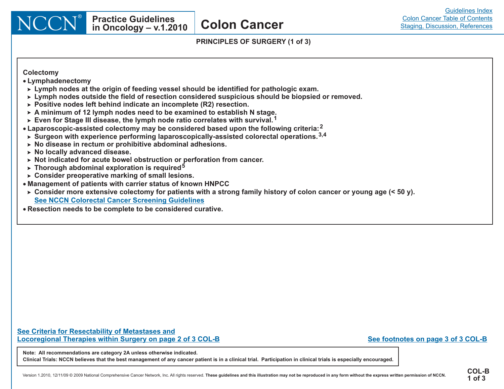<span id="page-20-0"></span>

# **PRINCIPLES OF SURGERY (1 of 3)**

#### **Colectomy**

- **Lymphadenectomy**
- **Lymph nodes at the origin of feeding vessel should be identified for pathologic exam.**
- -**Lymph nodes outside the field of resection considered suspicious should be biopsied or removed.**
- -**Positive nodes left behind indicate an incomplete (R2) resection.**
- **A minimum of 12 lymph nodes need to be examined to establish N stage.**
- **Even for Stage III disease, the lymph node ratio correlates with survival.<sup>1</sup>**
- **Laparoscopic-assisted colectomy may be considered based upon the following criteria: 2**
- $\blacktriangleright$  Surgeon with experience performing laparoscopically-assisted colorectal operations. $^{3,4}$
- **No disease in rectum or prohibitive abdominal adhesions.** -
- **No locally advanced disease.** -
- **Not indicated for acute bowel obstruction or perforation from cancer.** -
- $\blacktriangleright$  Thorough abdominal exploration is required $^5$
- -**Consider preoperative marking of small lesions.**
- **Management of patients with carrier status of known HNPCC**
- **Consider more extensive colectomy for patients with a strong family history of colon cancer or young age (< 50 y). [See NCCN Colorectal Cancer Screening Guidelines](#page-0-3)**
- **Resection needs to be complete to be considered curative.**

**See Criteria for Resectability of Metastases and [Locoregional Therapies within Surgery on page 2 of 3 COL-B](#page-21-0)**

#### **[See footnotes on page 3 of 3 COL-B](#page-22-0)**

**Note: All recommendations are category 2A unless otherwise indicated.**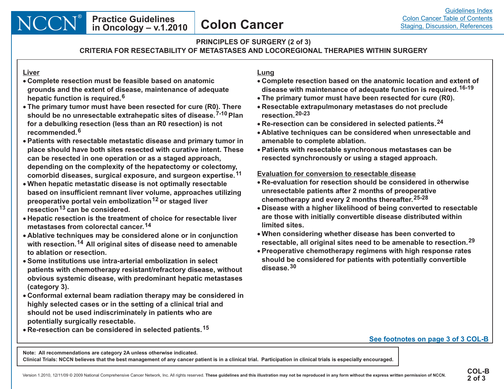#### **PRINCIPLES OF SURGERY (2 of 3)**

**Colon Cancer**

**CRITERIA FOR RESECTABILITY OF METASTASES AND LOCOREGIONAL THERAPIES WITHIN SURGERY**

#### **Liver**

- **Complete resection must be feasible based on anatomic grounds and the extent of disease, maintenance of adequate hepatic function is required. 6**
- **The primary tumor must have been resected for cure (R0). There** should be no unresectable extrahepatic sites of disease.<sup>7-10</sup> Plan **for a debulking resection (less than an R0 resection) is not recommended.6**

**Practice Guidelines**

<span id="page-21-0"></span> $\text{NCCN}^{\circ}$  **Practice Guidelines**<br>in Oncology – v.1.2010

- **Patients with resectable metastatic disease and primary tumor in place should have both sites resected with curative intent. These can be resected in one operation or as a staged approach, depending on the complexity of the hepatectomy or colectomy, comorbid diseases, surgical exposure, and surgeon expertise. 11**
- **When hepatic metastatic disease is not optimally resectable based on insufficient remnant liver volume, approaches utilizing preoperative portal vein embolization or staged liver 12 resection can be considered.13**
- **Hepatic resection is the treatment of choice for resectable liver metastases from colorectal cancer.14**
- **Ablative techniques may be considered alone or in conjunction with resection. All original sites of disease need to amenable 14 to ablation or resection.**
- **Some institutions use intra-arterial in selectembolizationpatients with chemotherapy resistant/refractory disease, without obvious systemic disease, with predominant hepatic metastases (category 3).**
- **Conformal external beam radiation therapy may be considered in highly selected cases or in the setting of a clinical trial and should not be used indiscriminately in patients who are potentially surgically resectable.**
- **Re-resection can be considered in selected patients. 15**

#### **Lung**

- **Complete resection based on the anatomic location and extent of disease with maintenance of adequate function is required. 16-19**
- **The primary tumor must have been resected for cure (R0).**
- **Resectable extrapulmonary metastases do not preclude resection.20-23**
- **Re-resection can be considered in selected patients. 24**
- **Ablative techniques can be considered when unresectable and amenable to complete ablation.**
- **Patients with resectable synchronous metastases can be resected synchronously or using a staged approach.**

#### **Evaluation for conversion to resectable disease**

- **Re-evaluation for resection should be considered in otherwiseunresectable patients after 2 months of preoperative chemotherapy and every 2 months thereafter. 25-28**
- **Disease with a higher likelihood of being converted to resectable are those with initially convertible disease distributed within limited sites.**
- **When considering whether disease has been converted to resectable, all original sites need to be amenable to resection. 29**
- **Preoperative chemotherapy regimens with high response rates should be considered for patients with potentially convertible disease.30**

#### **[See footnotes on page 3 of 3 COL-B](#page-22-0)**

**Note: All recommendations are category 2A unless otherwise indicated.**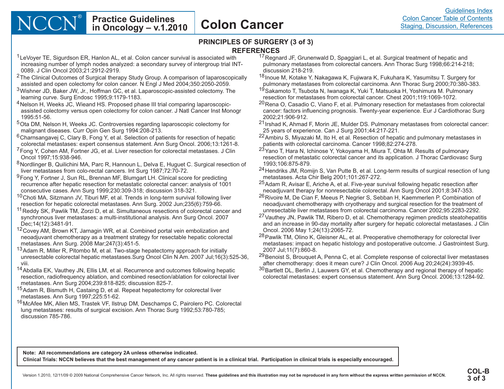# **PRINCIPLES OF SURGERY (3 of 3) REFERENCES**

**Colon Cancer**

<sup>1</sup> LeVoyer TE, Sigurdson ER, Hanlon AL, et al. Colon cancer survival is associated with increasing number of lymph nodes analyzed: a secondary survey of intergroup trial INT-0089. J Clin Oncol 2003;21:2912-2919.

**Practice Guidelines**

<span id="page-22-0"></span> $\text{NCCN}^{\circ}$  **Practice Guidelines**<br>in Oncology – v.1.2010

- <sup>2</sup> The Clinical Outcomes of Surgical therapy Study Group. A comparison of laparoscopically assisted and open colectomy for colon cancer. N Engl J Med 2004;350:2050-2059.
- <sup>3</sup>Wishner JD, Baker JW, Jr., Hoffman GC, et al. Laparoscopic-assisted colectomy. The learning curve. Surg Endosc 1995;9:1179-1183.
- <sup>4</sup>Nelson H, Weeks JC, Wieand HS. Proposed phase III trial comparing laparoscopicassisted colectomy versus open colectomy for colon cancer. J Natl Cancer Inst Monogr 1995:51-56.
- <sup>5</sup>Ota DM, Nelson H, Weeks JC. Controversies regarding laparoscopic colectomy for malignant diseases. Curr Opin Gen Surg 1994:208-213.
- $^6$ Charnsangavej C, Clary B, Fong Y, et al. Selection of patients for resection of hepatic colorectal metastases: expert consensus statement. Ann Surg Oncol. 2006;13:1261-8.
- <sup>7</sup> Fong Y, Cohen AM, Fortner JG, et al. Liver resection for colorectal metastases. J Clin Oncol 1997;15:938-946.
- <sup>8</sup>Nordlinger B, Quilichini MA, Parc R, Hannoun L, Delva E, Huguet C. Surgical resection of liver metastases from colo-rectal cancers. Int Surg 1987;72:70-72.
- <sup>9</sup> Fong Y, Fortner J, Sun RL, Brennan MF, Blumgart LH. Clinical score for predicting recurrence after hepatic resection for metastatic colorectal cancer: analysis of 1001 consecutive cases. Ann Surg 1999;230:309-318; discussion 318-321.
- <sup>10</sup>Choti MA, Sitzmann JV, Tiburi MF, et al. Trends in long-term survival following liver resection for hepatic colorectal metastases. Ann Surg. 2002 Jun;235(6):759-66.
- $^{11}$ Reddy SK, Pawlik TM, Zorzi D, et al. Simultaneous resections of colorectal cancer and synchronous liver metastases: a multi-institutional analysis. Ann Surg Oncol. 2007 Dec;14(12):3481-91.
- $^{12}$ Covey AM, Brown KT, Jarnagin WR, et al. Combined portal vein embolization and neoadjuvant chemotherapy as a treatment strategy for resectable hepatic colorectal metastases. Ann Surg. 2008 Mar;247(3):451-5.
- <sup>13</sup>Adam R, Miller R, Pitombo M, et al. Two-stage hepatectomy approach for initially unresectable colorectal hepatic metastases.Surg Oncol Clin N Am. 2007 Jul;16(3):525-36, viii.
- <sup>14</sup> Abdalla EK, Vauthey JN, Ellis LM, et al. Recurrence and outcomes following hepatic resection, radiofrequency ablation, and combined resection/ablation for colorectal liver metastases. Ann Surg 2004;239:818-825; discussion 825-7.
- <sup>15</sup> Adam R, Bismuth H, Castaing D, et al. Repeat hepatectomy for colorectal liver metastases. Ann Surg 1997;225:51-62.
- <sup>16</sup>McAfee MK, Allen MS, Trastek VF, Ilstrup DM, Deschamps C, Pairolero PC. Colorectal lung metastases: results of surgical excision. Ann Thorac Surg 1992;53:780-785; discussion 785-786.
- <sup>17</sup> Regnard JF, Grunenwald D, Spaggiari L, et al. Surgical treatment of hepatic and pulmonary metastases from colorectal cancers. Ann Thorac Surg 1998;66:214-218; discussion 218-219.
- <sup>18</sup>Inoue M, Kotake Y, Nakagawa K, Fujiwara K, Fukuhara K, Yasumitsu T. Surgery for pulmonary metastases from colorectal carcinoma. Ann Thorac Surg 2000;70:380-383.
- <sup>19</sup>Sakamoto T, Tsubota N, Iwanaga K, Yuki T, Matsuoka H, Yoshimura M. Pulmonary resection for metastases from colorectal cancer. Chest 2001;119:1069-1072.
- <sup>20</sup> Rena O, Casadio C, Viano F, et al. Pulmonary resection for metastases from colorectal cancer: factors influencing prognosis. Twenty-year experience. Eur J Cardiothorac Surg 2002;21:906-912.
- <sup>21</sup> Irshad K, Ahmad F, Morin JE, Mulder DS. Pulmonary metastases from colorectal cancer: 25 years of experience. Can J Surg 2001;44:217-221.
- <sup>22</sup> Ambiru S, Miyazaki M, Ito H, et al. Resection of hepatic and pulmonary metastases in patients with colorectal carcinoma. Cancer 1998;82:274-278.
- <sup>23</sup>Yano T, Hara N, Ichinose Y, Yokoyama H, Miura T, Ohta M. Results of pulmonary resection of metastatic colorectal cancer and its application. J Thorac Cardiovasc Surg 1993;106:875-879.
- <sup>24</sup> Hendriks JM, Romijn S, Van Putte B, et al. Long-term results of surgical resection of lung metastases. Acta Chir Belg 2001;101:267-272.
- <sup>25</sup>Adam R, Avisar E, Ariche A, et al. Five-year survival following hepatic resection after neoadjuvant therapy for nonresectable colorectal. Ann Surg Oncol 2001;8:347-353.
- <sup>26</sup>Rivoire M, De Cian F, Meeus P, Negrier S, Sebban H, Kaemmerlen P. Combination of neoadjuvant chemotherapy with cryotherapy and surgical resection for the treatment of unresectable liver metastases from colorectal carcinoma. Cancer 2002;95:2283-2292.
- <sup>27</sup> Vauthey JN, Pawlik TM, Ribero D, et al. Chemotherapy regimen predicts steatohepatitis and an increase in 90-day mortality after surgery for hepatic colorectal metastases. J Clin Oncol. 2006 May 1;24(13):2065-72.
- <sup>28</sup> Pawlik TM, Olino K, Gleisner AL, et al. Preoperative chemotherapy for colorectal liver metastases: impact on hepatic histology and postoperative outcome. J Gastrointest Surg. 2007 Jul;11(7):860-8.
- <sup>29</sup>Benoist S, Brouquet A, Penna C, et al. Complete response of colorectal liver metastases after chemotherapy: does it mean cure? J Clin Oncol. 2006 Aug 20;24(24):3939-45.
- $^{30}$ Bartlett DL, Berlin J, Lauwers GY, et al. Chemotherapy and regional therapy of hepatic colorectal metastases: expert consensus statement. Ann Surg Oncol. 2006;13:1284-92.

**Note: All recommendations are category 2A unless otherwise indicated.**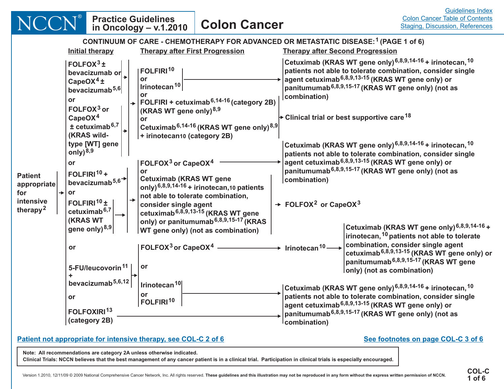®

#### **CONTINUUM OF CARE - CHEMOTHERAPY FOR ADVANCED OR METASTATIC DISEASE: (PAGE 1 of 6) <sup>1</sup>**

<span id="page-23-0"></span>

|                                                                                | <b>Initial therapy</b>                                                                                         | <b>Therapy after First Progression</b>                                                                                                                             | <b>Therapy after Second Progression</b>                                                                                                                                                                                                                                                           |                                                                                                                                                                                                              |  |  |
|--------------------------------------------------------------------------------|----------------------------------------------------------------------------------------------------------------|--------------------------------------------------------------------------------------------------------------------------------------------------------------------|---------------------------------------------------------------------------------------------------------------------------------------------------------------------------------------------------------------------------------------------------------------------------------------------------|--------------------------------------------------------------------------------------------------------------------------------------------------------------------------------------------------------------|--|--|
| <b>Patient</b><br>appropriate<br>for<br>→<br>intensive<br>therapy <sup>2</sup> | FOLFOX $3\pm$<br>bevacizumab or<br>CapeOX $4\pm$<br>bevacizumab <sup>5,6</sup><br>or<br>FOLFOX <sup>3</sup> or | FOLFIRI <sup>10</sup><br>or<br>Irinotecan <sup>10</sup><br>or<br>$\rightarrow$ FOLFIRI + cetuximab <sup>6,14-16</sup> (category 2B)<br>(KRAS WT gene only) $8,9$   | Cetuximab (KRAS WT gene only) <sup>6,8,9,14-16</sup> + irinotecan, <sup>10</sup><br>patients not able to tolerate combination, consider single<br>agent cetuximab <sup>6,8,9,13-15</sup> (KRAS WT gene only) or<br>panitumumab <sup>6,8,9,15-17</sup> (KRAS WT gene only) (not as<br>combination) |                                                                                                                                                                                                              |  |  |
|                                                                                | CapeOX <sup>4</sup><br>$±$ cetuximab <sup>6,7</sup><br>(KRAS wild-                                             | <b>or</b><br>Cetuximab <sup>6,14-16</sup> (KRAS WT gene only) <sup>8,9</sup><br>$+$ irinotecan10 (category 2B)                                                     |                                                                                                                                                                                                                                                                                                   | $\triangleright$ Clinical trial or best supportive care $^{18}$                                                                                                                                              |  |  |
|                                                                                | type [WT] gene<br>only) $8,9$<br><b>or</b>                                                                     | FOLFOX <sup>3</sup> or CapeOX <sup>4</sup>                                                                                                                         | Cetuximab (KRAS WT gene only) <sup>6,8,9,14-16</sup> + irinotecan, <sup>10</sup><br>patients not able to tolerate combination, consider single<br>agent cetuximab <sup>6,8,9,13-15</sup> (KRAS WT gene only) or<br>panitumumab <sup>6,8,9,15-17</sup> (KRAS WT gene only) (not as                 |                                                                                                                                                                                                              |  |  |
|                                                                                | FOLFIRI $10 +$<br>bevacizumab <sup>5,67</sup><br>  or                                                          | or<br><b>Cetuximab (KRAS WT gene</b><br>only) $6,8,9,14-16 +$ irinotecan, 10 patients<br>not able to tolerate combination,                                         | combination)                                                                                                                                                                                                                                                                                      |                                                                                                                                                                                                              |  |  |
|                                                                                | FOLFIRI $10\pm$<br>cetuximab <sup>6,7</sup><br><b>(KRAS WT</b><br>gene only) $8,9$                             | consider single agent<br>cetuximab <sup>6,8,9,13-15</sup> (KRAS WT gene<br>only) or panitumumab <sup>6,8,9,15-17</sup> (KRAS<br>WT gene only) (not as combination) | $\rightarrow$ FOLFOX <sup>2</sup> or CapeOX <sup>3</sup>                                                                                                                                                                                                                                          | Cetuximab (KRAS WT gene only) <sup>6,8,9,14-16</sup> +                                                                                                                                                       |  |  |
|                                                                                | or                                                                                                             | FOLFOX <sup>3</sup> or CapeOX <sup>4</sup> -                                                                                                                       | $\rightarrow$ Irinotecan <sup>10</sup> —                                                                                                                                                                                                                                                          | irinotecan, <sup>10</sup> patients not able to tolerate<br>combination, consider single agent<br>cetuximab <sup>6,8,9,13-15</sup> (KRAS WT gene only) or<br>panitumumab <sup>6,8,9,15-17</sup> (KRAS WT gene |  |  |
|                                                                                | 5-FU/leucovorin <sup>11</sup><br>bevacizumab <sup>5,6,12</sup>                                                 | or<br>Irinotecan <sup>10</sup>                                                                                                                                     |                                                                                                                                                                                                                                                                                                   | only) (not as combination)<br>Cetuximab (KRAS WT gene only) <sup>6,8,9,14-16</sup> + irinotecan, <sup>10</sup>                                                                                               |  |  |
|                                                                                | or<br>FOLFOXIRI <sup>13</sup>                                                                                  | or<br>FOLFIRI <sup>10</sup>                                                                                                                                        |                                                                                                                                                                                                                                                                                                   | patients not able to tolerate combination, consider single<br>agent cetuximab <sup>6,8,9,13-15</sup> (KRAS WT gene only) or<br>panitumumab <sup>6,8,9,15-17</sup> (KRAS WT gene only) (not as                |  |  |
|                                                                                | (category 2B)                                                                                                  |                                                                                                                                                                    | combination)                                                                                                                                                                                                                                                                                      |                                                                                                                                                                                                              |  |  |

#### [Patient not appropriate for intensive therapy, see COL-C 2 of 6](#page-24-0) **See Footnotes on page COL-C 3 of 6 [See footnotes on page COL-C 3 of 6](#page-25-0)**

**Note: All recommendations are category 2A unless otherwise indicated.**

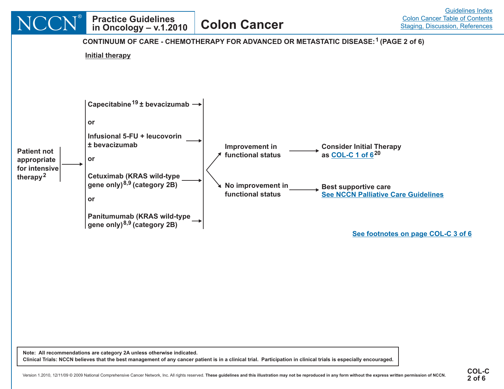<span id="page-24-0"></span>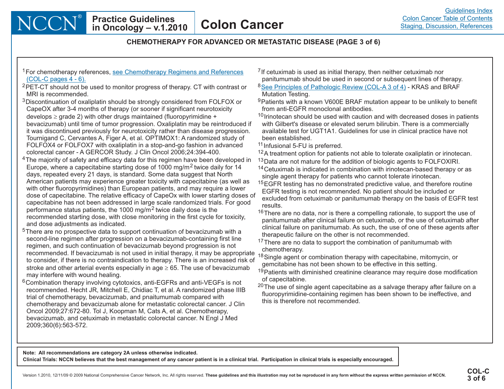<span id="page-25-0"></span>

#### **CHEMOTHERAPY FOR ADVANCED OR METASTATIC DISEASE (PAGE 3 of 6)**

- <sup>1</sup> For chemotherapy references, [see Chemotherapy Regimens and References](#page-26-0) [\(COL-C pages 4 - 6\).](#page-26-0)
- $2$ PET-CT should not be used to monitor progress of therapy. CT with contrast or MRI is recommended.
- <sup>3</sup>Discontinuation of oxaliplatin should be strongly considered from FOLFOX or CapeOX after 3-4 months of therapy (or sooner if significant neurotoxicity develops grade 2) with other drugs maintained (fluoropyrimidine + bevacizumab) until time of tumor progression. Oxaliplatin may be reintroduced if it was discontinued previously for neurotoxicity rather than disease progression. Tournigand C, Cervantes A, Figer A, et al. OPTIMOX1: A randomized study of FOLFOX4 or FOLFOX7 with oxaliplatin in a stop-and-go fashion in advanced colorectal cancer - A GERCOR Study. J Clin Oncol 2006;24:394-400.
- <sup>4</sup>The majority of safety and efficacy data for this regimen have been developed in Europe, where a capecitabine starting dose of 1000 mg/m<sup>2</sup> twice daily for 14 days, repeated every 21 days, is standard. Some data suggest that North American patients may experience greater toxicity with capecitabine (as well as with other fluoropyrimidines) than European patients, and may require a lower dose of capecitabine. The relative efficacy of CapeOx with lower starting doses of capecitabine has not been addressed in large scale randomized trials. For good performance status patients, the 1000 mg/m<sup>2</sup> twice daily dose is the recommended starting dose, with close monitoring in the first cycle for toxicity, and dose adjustments as indicated.
- 5 There are no prospective data to support continuation of bevacizumab with a second-line regimen after progression on a bevacizumab-containing first line regimen, and such continuation of bevacizumab beyond progression is not recommended. If bevacizumab is not used in initial therapy, it may be appropriate to consider, if there is no contraindication to therapy. There is an increased risk of stroke and other arterial events especially in age  $\geq 65.$  The use of bevacizumab may interfere with wound healing.
- $^6$ Combination therapy involving cytotoxics, anti-EGFRs and anti-VEGFs is not recommended. Hecht JR, Mitchell E, Chidiac T, et al. A randomized phase IIIB trial of chemotherapy, bevacizumab, and pnaitumumab compared with chemotherapy and bevacizumab alone for metastatic colorectal cancer. J Clin Oncol 2009;27:672-80. Tol J, Koopman M, Cats A, et al. Chemotherapy, bevacizumab, and cetuximab in metastatic colorectal cancer. N Engl J Med 2009;360(6):563-572.
- $7$ If cetuximab is used as initial therapy, then neither cetuximab nor panitumumab should be used in second or subsequent lines of therapy.
- <sup>8</sup>[See Principles of Pathologic Review \(COL-A](#page-18-0) 3 of 4) KRAS and BRAF Mutation Testing.
- $9$ Patients with a known V600E BRAF mutation appear to be unlikely to benefit from anti-EGFR monoclonal antibodies.
- <sup>10</sup> Irinotecan should be used with caution and with decreased doses in patients with Gilbert's disease or elevated serum bilirubin. There is a commercially available test for UGT1A1. Guidelines for use in clinical practice have not been established.
- <sup>11</sup> Infusional 5-FU is preferred.
- <sup>12</sup>A treatment option for patients not able to tolerate oxaliplatin or irinotecan.
- $^{13}$ Data are not mature for the addition of biologic agents to FOLFOXIRI.
- <sup>14</sup> Cetuximab is indicated in combination with irinotecan-based therapy or as single agent therapy for patients who cannot tolerate irinotecan.
- <sup>15</sup>EGFR testing has no demonstrated predictive value, and therefore routine EGFR testing is not recommended. No patient should be included or excluded from cetuximab or panitumumab therapy on the basis of EGFR test results.
- <sup>16</sup>There are no data, nor is there a compelling rationale, to support the use of panitumumab after clinical failure on cetuximab, or the use of cetuximab after clinical failure on panitumumab. As such, the use of one of these agents after therapeutic failure on the other is not recommended.
- <sup>17</sup> There are no data to support the combination of panitumumab with chemotherapy.
- <sup>18</sup>Single agent or combination therapy with capecitabine, mitomycin, or gemcitabine has not been shown to be effective in this setting.
- <sup>19</sup> Patients with diminished creatinine clearance may require dose modification of capecitabine.
- $^{20}\!$ The use of single agent capecitabine as a salvage therapy after failure on a fluoropyrimidine-containing regimen has been shown to be ineffective, and this is therefore not recommended.

**Note: All recommendations are category 2A unless otherwise indicated.**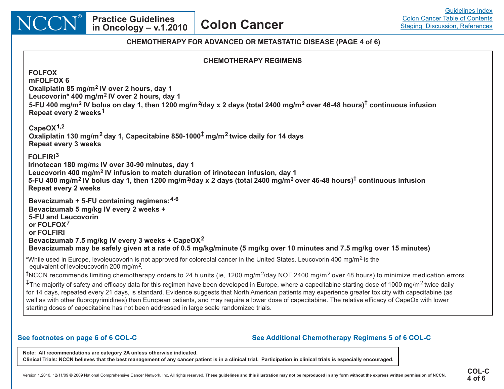#### **CHEMOTHERAPY FOR ADVANCED OR METASTATIC DISEASE (PAGE 4 of 6)**

#### **CHEMOTHERAPY REGIMENS**

<span id="page-26-0"></span>**FOLFOXmFOLFOX 6Oxaliplatin 85 mg/m IV over 2 hours, day 1 2** Leucovorin\* 400 mg/m<sup>2</sup> IV over 2 hours, day 1 **5-FU 400 mg/m IV bolus on day 1, then 1200 mg/m /day x 2 days (total 2400 mg/m over 46-48 hours) continuous infusion 2 2 2 † Repeat every 2 weeks 1**

**CapeOX 1,2**

**Oxaliplatin 130 mg/m day 1, Capecitabine 850-1000 mg/m twice daily for 14 days ‡ 2 2 Repeat every 3 weeks**

#### **FOLFIRI<sup>3</sup>**

**lrinotecan 180 mg/mz IV over 30-90 minutes, day 1** Leucovorin 400 mg/m<sup>2</sup> IV infusion to match duration of irinotecan infusion, day 1  $5$ -FU 400 mg/m<sup>2</sup> IV bolus day 1, then 1200 mg/m<sup>2</sup>/day x 2 days (total 2400 mg/m<sup>2</sup> over 46-48 hours)<sup>†</sup> continuous infusion **Repeat every 2 weeks**

**Bevacizumab + 5-FU containing regimens:4-6 Bevacizumab 5 mg/kg IV every 2 weeks + 5-FU and Leucovorinor FOLFOX7 or FOLFIRICapeOX Bevacizumab 7.5 mg/kg IV every 3 weeks + <sup>2</sup> Bevacizumab may be safely given at a rate of 0.5 mg/kg/minute (5 mg/kg over 10 minutes and 7.5 mg/kg over 15 minutes)**

\*While used in Europe, levoleucovorin is not approved for colorectal cancer in the United States. Leucovorin 400 mg/m<sup>2</sup> is the equivalent of levoleucovorin 200 mg/m<sup>2</sup>.

<sup>†</sup>NCCN recommends limiting chemotherapy orders to 24 h units (ie, 1200 mg/m<sup>2</sup>/day NOT 2400 mg/m<sup>2</sup> over 48 hours) to minimize medication errors.

 $\ddagger$ The majority of safety and efficacy data for this regimen have been developed in Europe, where a capecitabine starting dose of 1000 mg/m<sup>2</sup> twice daily for 14 days, repeated every 21 days, is standard. Evidence suggests that North American patients may experience greater toxicity with capecitabine (as well as with other fluoropyrimidines) than European patients, and may require a lower dose of capecitabine. The relative efficacy of CapeOx with lower starting doses of capecitabine has not been addressed in large scale randomized trials.

# **[See footnotes on page 6 of 6 COL-C](#page-28-0) See [Additional Chemotherapy Regimens 5 of 6 COL-C](#page-27-0)**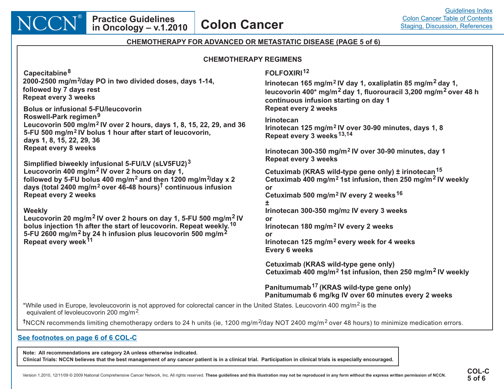#### **CHEMOTHERAPY FOR ADVANCED OR METASTATIC DISEASE (PAGE 5 of 6)**

#### **CHEMOTHERAPY REGIMENS**

<span id="page-27-0"></span>**Capecitabine<sup>8</sup> 2000-2500 mg/m /day PO in two divided doses, days 1-14, 2 followed by 7 days rest Repeat every 3 weeks**

**Bolus or infusional 5-FU/leucovorinRoswell-Park regimen 9 Leucovorin 500 mg/m IV over 2 hours, days 1, 8, 15, 22, 29, and 36 2 5-FU 500 mg/m IV bolus 1 hour after start of leucovorin, 2 days 1, 8, 15, 22, 29, 36 Repeat every 8 weeks**

**Repeat every 2 weeks 3 Simplified biweekly infusional 5-FU/LV (sLV5FU2) † 2 days (total 2400 mg/m over 46-48 hours) continuous infusion** Leucovorin 400 mg/m<sup>2</sup> IV over 2 hours on day 1, **followed by 5-FU bolus 400 mg/m and 2 2 then 1200 mg/m /day x 2**

#### **Weekly**

**Leucovorin 20 mg/m IV over 2 hours on day 1, 5-FU 500 mg/m IV 2 2 bolus injection 1h after the start of leucovorin. Repeat weekly. 10 2 2 5-FU 2600 mg/m by 24 h infusion plus leucovorin 500 mg/m 11 Repeat every week**

#### **FOLFOXIRI<sup>12</sup>**

Irinotecan 165 mg/m<sup>2</sup> IV day 1, oxaliplatin 85 mg/m<sup>2</sup> day 1, **leucovorin mg/m day 1, fluorouracil 3,200 mg/m over 48 h 2 2 400\* continuous infusion starting on day 1 Repeat every 2 weeks**

**Irinotecan Irinotecan 125 mg/m IV over 30-90 minutes, days 1, 8 2 Repeat every 3 weeks 13,14**

**Irinotecan 300-350 mg/m IV over 30-90 minutes, day 1 2 Repeat every 3 weeks**

**Cetuximab (KRAS wild-type gene only) ± irinotecan<sup>15</sup> Cetuximab 400 mg/m 1st infusion, then 250 mg/m IV weekly 2 2 orCetuximab 500 mg/m IV every 2 weeks 2 16**

**±**

**Irinotecan 300-350 mg/m IV every 3 weeks 2 or**

Irinotecan 180 mg/m<sup>2</sup> IV every 2 weeks

**2 or Irinotecan 125 mg/m every week for 4 weeks Every 6 weeks**

**Cetuximab (KRAS wild-type gene only) Cetuximab 400 mg/m 1st infusion, then 250 mg/m IV weekly <sup>2</sup> <sup>2</sup>**

**Panitumumab17 (KRAS wild-type gene only) Panitumumab 6 mg/kg IV over 60 minutes every 2 weeks**

\*While used in Europe, levoleucovorin is not approved for colorectal cancer in the United States. Leucovorin 400 mg/m<sup>2</sup> is the equivalent of levoleucovorin 200 mg/m<sup>2</sup>.

<sup>†</sup>NCCN recommends limiting chemotherapy orders to 24 h units (ie, 1200 mg/m<sup>2</sup>/day NOT 2400 mg/m<sup>2</sup> over 48 hours) to minimize medication errors.

#### **[See footnotes on page 6 of 6 COL-C](#page-28-0)**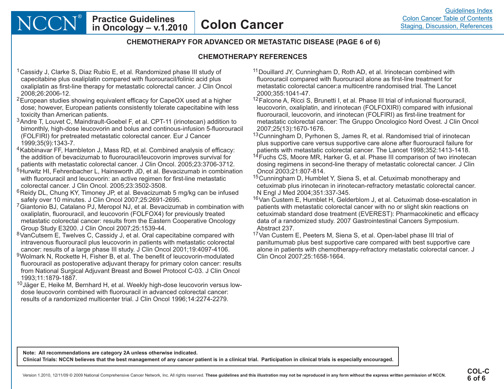#### **CHEMOTHERAPY FOR ADVANCED OR METASTATIC DISEASE (PAGE 6 of 6)**

**Colon Cancer**

#### **CHEMOTHERAPY REFERENCES**

<sup>1</sup> Cassidy J, Clarke S, Diaz Rubio E, et al. Randomized phase III study of capecitabine plus oxaliplatin compared with fluorouracil/folinic acid plus oxaliplatin as first-line therapy for metastatic colorectal cancer. J Clin Oncol 2008;26:2006-12.

**Practice Guidelines**

<span id="page-28-0"></span> $\text{NCCN}^{\circ}$  **Practice Guidelines**<br>in Oncology – v.1.2010

- <sup>2</sup> European studies showing equivalent efficacy for CapeOX used at a higher dose; however, European patients consistently tolerate capecitabine with less toxicity than American patients.
- <sup>3</sup> Andre T, Louvet C, Maindrault-Goebel F, et al. CPT-11 (irinotecan) addition to bimonthly, high-dose leucovorin and bolus and continous-infusion 5-fluorouracil (FOLFIRI) for pretreated metastatic colorectal cancer. Eur J Cancer 1999;35(9):1343-7.
- 4 Kabbinavar FF, Hambleton J, Mass RD, et al. Combined analysis of efficacy: the addition of bevacizumab to fluorouracil/leucovorin improves survival for patients with metastatic colorectal cancer. J Clin Oncol. 2005;23:3706-3712.
- 5 Hurwitz HI, Fehrenbacher L, Hainsworth JD, et al. Bevacizumab in combination with fluorouracil and leucovorin: an active regimen for first-line metastatic colorectal cancer. J Clin Oncol. 2005;23:3502-3508.
- <sup>6</sup>Reidy DL, Chung KY, Timoney JP, et al. Bevacizumab 5 mg/kg can be infused safely over 10 minutes. J Clin Oncol 2007;25:2691-2695.
- <sup>7</sup> Giantonio BJ, Catalano PJ, Meropol NJ, et al. Bevacizumab in combination with oxaliplatin, fluorouracil, and leucovorin (FOLFOX4) for previously treated metastatic colorectal cancer: results from the Eastern Cooperative Oncology Group Study E3200. J Clin Oncol 2007;25:1539-44.
- <sup>8</sup>VanCutsem E, Twelves C, Cassidy J, et al. Oral capecitabine compared with intravenous fluorouracil plus leucovorin in patients with metastatic colorectal cancer: results of a large phase III study. J Clin Oncol 2001;19:4097-4106.
- <sup>9</sup>Wolmark N, Rockette H, Fisher B, et al. The benefit of leucovorin-modulated fluorouracil as postoperative adjuvant therapy for primary colon cancer: results from National Surgical Adjuvant Breast and Bowel Protocol C-03. J Clin Oncol 1993;11:1879-1887.
- <sup>10</sup>Jäger E, Heike M, Bernhard H, et al. Weekly high-dose leucovorin versus lowdose leucovorin combined with fluorouracil in advanced colorectal cancer:results of a randomized multicenter trial. J Clin Oncol 1996;14:2274-2279.
- <sup>11</sup> Douillard JY, Cunningham D, Roth AD, et al. Irinotecan combined with fluorouracil compared with fluorouracil alone as first-line treatment for metastatic colorectal cancer:a multicentre randomised trial. The Lancet2000;355:1041-47.
- <sup>12</sup> Falcone A, Ricci S, Brunetti I, et al. Phase III trial of infusional fluorouracil, leucovorin, oxaliplatin, and irinotecan (FOLFOXIRI) compared with infusional fluorouracil, leucovorin, and irinotecan (FOLFIRI) as first-line treatment for metastatic colorectal cancer: The Gruppo Oncologico Nord Ovest. J Clin Oncol 2007;25(13):1670-1676.
- <sup>13</sup>Cunningham D, Pyrhonen S, James R, et al. Randomised trial of irinotecan plus supportive care versus supportive care alone after fluorouracil failure for patients with metastatic colorectal cancer. The Lancet 1998;352:1413-1418.
- <sup>14</sup> Fuchs CS, Moore MR, Harker G, et al. Phase III comparison of two irinotecan dosing regimens in second-line therapy of metastatic colorectal cancer. J Clin Oncol 2003;21:807-814.
- <sup>15</sup>Cunningham D, Humblet Y, Siena S, et al. Cetuximab monotherapy and cetuximab plus irinotecan in irinotecan-refractory metastatic colorectal cancer. N Engl J Med 2004;351:337-345.
- <sup>16</sup>Van Custem E, Humblet H, Gelderblom J, et al. Cetuximab dose-escalation in patients with metastatic colorectal cancer with no or slight skin reactions on cetuximab standard dose treatment (EVEREST): Pharmacokinetic and efficacy data of a randomized study. 2007 Gastrointestinal Cancers Symposium. Abstract 237.
- 17 Van Custem E, Peeters M, Siena S, et al. Open-label phase III trial of panitumumab plus best supportive care compared with best supportive care alone in patients with chemotherapy-refractory metastatic colorectal cancer. J Clin Oncol 2007;25:1658-1664.

**Note: All recommendations are category 2A unless otherwise indicated.**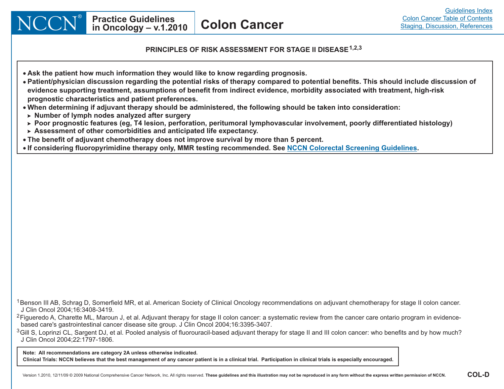<span id="page-29-0"></span>

#### **PRINCIPLES OF RISK ASSESSMENT FOR STAGE II DISEASE1,2,3**

- **Ask the patient how much information they would like to know regarding prognosis.**
- **Patient/physician discussion regarding the potential risks of therapy compared to potential benefits. This should include discussion of evidence supporting treatment, assumptions of benefit from indirect evidence, morbidity associated with treatment, high-risk prognostic characteristics and patient preferences.**
- **When determining if adjuvant therapy should be administered, the following should be taken into consideration:**
- **Number of lymph nodes analyzed after surgery** -
- **Poor prognostic features (eg, T4 lesion, perforation, peritumoral lymphovascular involvement, poorly differentiated histology)** -
- **Assessment of other comorbidities and anticipated life expectancy.** -
- **The benefit of adjuvant chemotherapy does not improve survival by more than 5 percent.**
- **If considering fluoropyrimidine therapy only, MMR testing recommended. See . NCCN Colorectal Screening Guidelines**

- <sup>1</sup> Benson III AB, Schrag D, Somerfield MR, et al. American Society of Clinical Oncology recommendations on adjuvant chemotherapy for stage II colon cancer. J Clin Oncol 2004;16:3408-3419.
- <sup>2</sup>Figueredo A, Charette ML, Maroun J, et al. Adjuvant therapy for stage II colon cancer: a systematic review from the cancer care ontario program in evidencebased care's gastrointestinal cancer disease site group. J Clin Oncol 2004;16:3395-3407.
- <sup>3</sup>Gill S, Loprinzi CL, Sargent DJ, et al. Pooled analysis of fluorouracil-based adjuvant therapy for stage II and III colon cancer: who benefits and by how much? J Clin Oncol 2004;22:1797-1806.

**Note: All recommendations are category 2A unless otherwise indicated.**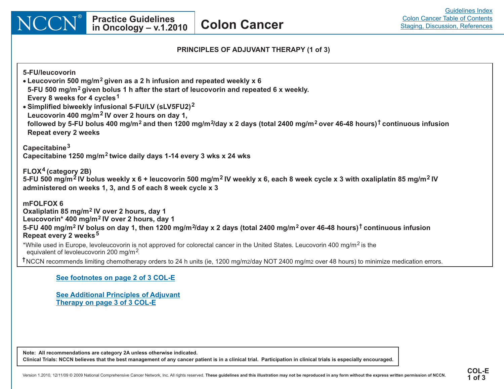<span id="page-30-0"></span>

#### **PRINCIPLES OF ADJUVANT THERAPY (1 of 3)**

**5-FU/leucovorinCapecitabine 3 Capecitabine 1250 mg/m twice daily days 1-14 every 3 wks x 24 wks 2 Leucovorin 500 mg/m given as a 2 h infusion and repeated weekly x 6 2 2 Simplified biweekly infusional 5-FU/LV (sLV5FU2) 5-FU 500 mg/m given bolus 1 h after the start of leucovorin and repeated 6 x weekly. 2 Every 8 weeks for 4 cycles 1 then 1200 mg/m /day x 2 days (total 2400 mg/m over 46-48 hours) continuous infusion 22 2 † followed by 5-FU bolus 400 mg/m and FLOX (category 2B) 4 5-FU 500 mg/m IV bolus weekly x 6 + leucovorin 500 mg/m IV weekly x 6, each 8 week cycle x 3 with oxaliplatin 85 mg/m IV 2 2 2 administered on weeks 1, 3, and 5 of each 8 week cycle x 3 mFOLFOX 6Oxaliplatin 85 mg/m IV over 2 hours, day 1 2 Leucovorin\* 400 mg/m IV over 2 hours, day 1 2 5-FU 400 mg/m IV bolus on day 1, then 1200 mg/m /day x 2 days (total 2400 mg/m over 46-48 hours) continuous infusion 2 22 † Repeat every 2 weeks 5 2 Leucovorin 400 mg/m IV over 2 hours on day 1, Repeat every 2 weeks** <sup>†</sup>NCCN recommends limiting chemotherapy orders to 24 h units (ie, 1200 mg/m2/day NOT 2400 mg/m2 over 48 hours) to minimize medication errors. \*While used in Europe, levoleucovorin is not approved for colorectal cancer in the United States. Leucovorin 400 mg/m<sup>2</sup> is the equivalent of levoleucovorin 200 mg/m<sup>2</sup>.

#### **[See footnotes on page 2 of 3 COL-E](#page-31-0)**

**See Additional Principles of Adjuvant [Therapy on page 3 of 3 COL-E](#page-32-0)**

**Note: All recommendations are category 2A unless otherwise indicated.**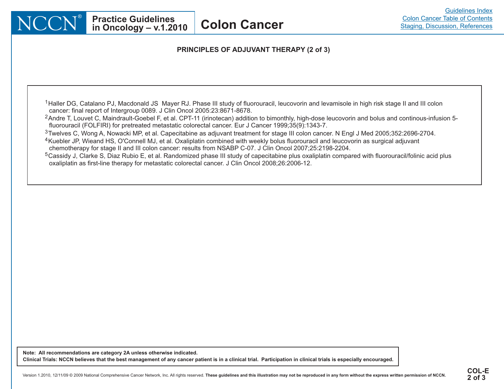#### **PRINCIPLES OF ADJUVANT THERAPY (2 of 3)**

<span id="page-31-0"></span><sup>1</sup> Haller DG, Catalano PJ, Macdonald JS Mayer RJ. Phase III study of fluorouracil, leucovorin and levamisole in high risk stage II and III colon cancer: final report of Intergroup 0089. J Clin Oncol 2005:23:8671-8678.

<sup>2</sup>Andre T, Louvet C, Maindrault-Goebel F, et al. CPT-11 (irinotecan) addition to bimonthly, high-dose leucovorin and bolus and continous-infusion 5fluorouracil (FOLFIRI) for pretreated metastatic colorectal cancer. Eur J Cancer 1999;35(9):1343-7.

 $3$ Twelves C, Wong A, Nowacki MP, et al. Capecitabine as adjuvant treatment for stage III colon cancer. N Engl J Med 2005;352:2696-2704.

<sup>4</sup> Kuebler JP, Wieand HS, O'Connell MJ, et al. Oxaliplatin combined with weekly bolus fluorouracil and leucovorin as surgical adjuvant chemotherapy for stage II and III colon cancer: results from NSABP C-07. J Clin Oncol 2007;25:2198-2204.

<sup>5</sup>Cassidy J, Clarke S, Diaz Rubio E, et al. Randomized phase III study of capecitabine plus oxaliplatin compared with fluorouracil/folinic acid plus oxaliplatin as first-line therapy for metastatic colorectal cancer. J Clin Oncol 2008;26:2006-12.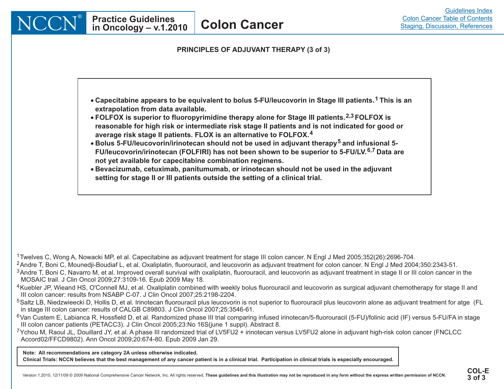# **PRINCIPLES OF ADJUVANT THERAPY (3 of 3)**

- <span id="page-32-0"></span> **Capecitabine appears to be equivalent to bolus 5-FU/leucovorin in Stage III patients. This is an 1 extrapolation from data available.**
- **FOLFOX is superior to fluoropyrimidine therapy alone for Stage III patients. FOLFOX is 2,3 reasonable for high risk or intermediate risk stage II patients and is not indicated for good or average risk stage II patients. FLOX is an alternative to FOLFOX. 4**
- **Bolus 5-FU/leucovorin/irinotecan should not be used in adjuvant therapy and infusional 5- 5**FU/leucovorin/irinotecan (FOLFIRI) has not been shown to be superior to 5-FU/LV.<sup>6,7</sup> Data are **not yet available for capecitabine combination regimens.**
- **Bevacizumab, cetuximab, panitumumab, or irinotecan should not be used in the adjuvant setting for stage II or III patients outside the setting of a clinical trial.**

<sup>1</sup>Twelves C, Wong A, Nowacki MP, et al. Capecitabine as adjuvant treatment for stage III colon cancer. N Engl J Med 2005;352(26):2696-704.

- <sup>2</sup>Andre T, Boni C, Mounedji-Boudiaf L, et al. Oxaliplatin, fluorouracil, and leucovorin as adjuvant treatment for colon cancer. N Engl J Med 2004;350:2343-51.
- <sup>3</sup>Andre T, Boni C, Navarro M, et al. Improved overall survival with oxaliplatin, fluorouracil, and leucovorin as adjuvant treatment in stage II or III colon cancer in the MOSAIC trail. J Clin Oncol 2009;27:3109-16. Epub 2009 May 18.
- <sup>4</sup>Kuebler JP, Wieand HS, O'Connell MJ, et al. Oxaliplatin combined with weekly bolus fluorouracil and leucovorin as surgical adjuvant chemotherapy for stage II and III colon cancer: results from NSABP C-07. J Clin Oncol 2007;25:2198-2204.
- <sup>5</sup>Saltz LB, Niedzwieecki D, Hollis D, et al. Irinotecan fluorouracil plus leucovorin is not superior to fluorouracil plus leucovorin alone as adjuvant treatment for atge (FL in stage III colon cancer: results of CALGB C89803. J Clin Oncol 2007;25:3546-61.
- <sup>6</sup>Van Custem E, Labianca R, Hossfield D, et al. Randomized phase III trial comparing infused irinotecan/5-fluorouracil (5-FU)/folinic acid (IF) versus 5-FU/FA in stage III colon cancer patients (PETACC3). J Clin Oncol 2005;23:No 16S(june 1 suppl). Abstract 8.
- <sup>7</sup>Ychou M, Raoul JL, Douillard JY, et al. A phase III randomized trial of LV5FU2 + irinotecan versus LV5FU2 alone in adjuvant high-risk colon cancer (FNCLCC Accord02/FFCD9802). Ann Oncol 2009;20:674-80. Epub 2009 Jan 29.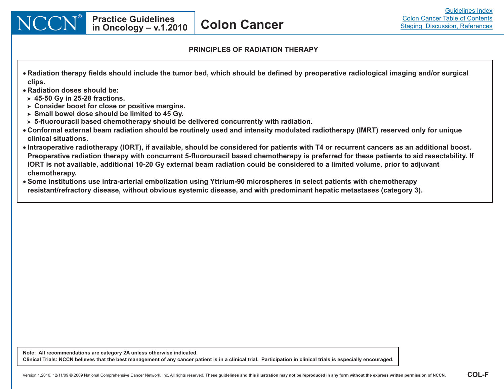#### **PRINCIPLES OF RADIATION THERAPY**

- <span id="page-33-0"></span> **Radiation therapy fields should include the tumor bed, which should be defined by preoperative radiological imaging and/or surgical clips.**
- **Radiation doses should be:**
- **45-50 Gy in 25-28 fractions.** -
- **Consider boost for close or positive margins.** -
- **Small bowel dose should be limited to 45 Gy.** -
- **5-fluorouracil based chemotherapy should be delivered concurrently with radiation.** -
- **Conformal external beam radiation should be routinely used and intensity modulated radiotherapy (IMRT) reserved only for unique clinical situations.**
- **Intraoperative radiotherapy (IORT), if available, should be considered for patients with T4 or recurrent cancers as an additional boost. Preoperative radiation therapy with concurrent 5-fluorouracil based chemotherapy is preferred for these patients to aid resectability. If IORT is not available, additional 10-20 Gy external beam radiation could be considered to a limited volume, prior to adjuvant chemotherapy.**
- Some institutions use intra-arterial embolization using Yttrium-90 microspheres in select patients with chemotherapy **resistant/refractory disease, without obvious systemic disease, and with predominant hepatic metastases (category 3).**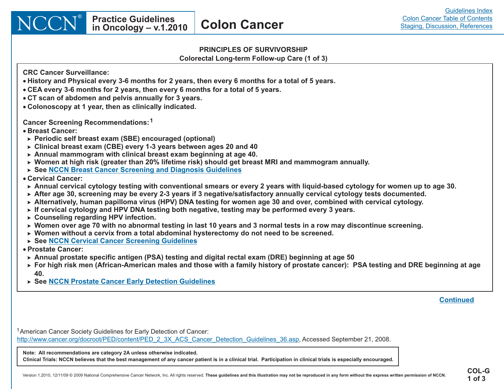# **PRINCIPLES OF SURVIVORSHIP**

**Colon Cancer**

**Colorectal Long-term Follow-up Care (1 of 3)**

**CRC Cancer Surveillance:**

- **History and Physical every 3-6 months for 2 years, then every 6 months for a total of 5 years.**
- $\bullet$  CEA every 3-6 months for 2 years, then every 6 months for a total of 5 years.
- **CT scan of abdomen and pelvis annually for 3 years.**
- **Colonoscopy at 1 year, then as clinically indicated.**

<span id="page-34-0"></span> $\text{NCCN}^{\circ}$  **Practice Guidelines**<br>in Oncology – v.1.2010

**Cancer Screening Recommendations: 1**

- **Breast Cancer:**
- **Periodic self breast exam (SBE) encouraged (optional)** -
- **Clinical breast exam (CBE) every 1-3 years between ages 20 and 40** -
- **Annual mammogram with clinical breast exam beginning at age 40.** -
- **Women at high risk (greater than 20% lifetime risk) should get breast MRI and mammogram annually.** -
- **See**-**NCCN Breast Cancer Screening and Diagnosis Guidelines**

**Practice Guidelines**

- **Cervical Cancer:**
- **Annual cervical cytology testing with conventional smears or every 2 years with liquid-based cytology for women up to age 30.** -
- **After age 30, screening may be every 2-3 years if 3 negative/satisfactory annually cervical cytology tests documented.** -
- **Alternatively, human papilloma virus (HPV) DNA testing for women age 30 and over, combined with cervical cytology.** -
- ► If cervical cytology and HPV DNA testing both negative, testing may be performed every 3 years.
- **Counseling regarding HPV infection.** -
- **Women over age 70 with no abnormal testing in last 10 years and 3 normal tests in a row may discontinue screening.** -
- **Women without a cervix from a total abdominal hysterectomy do not need to be screened.** -
- **See NCCN Cervical Cancer Screening Guidelines**
- **Prostate Cancer:**
- **Annual prostate specific antigen (PSA) testing and digital rectal exam (DRE) beginning at age 50** -
- ► For high risk men (African-American males and those with a family history of prostate cancer): PSA testing and DRE beginning at age **40.**
- **See NCCN Prostate Cancer Early Detection Guidelines**

**[Continued](#page-35-0)**

<sup>1</sup> American Cancer Society Guidelines for Early Detection of Cancer: [http://www.cancer.org/docroot/PED/content/PED\\_2\\_3X\\_ACS\\_Cancer\\_Detection\\_Guidelines\\_36.asp,](http://www.cancer.org/docroot/PED/content/PED_2_3X_ACS_Cancer_Detection_Guidelines_36.asp) Accessed September 21, 2008.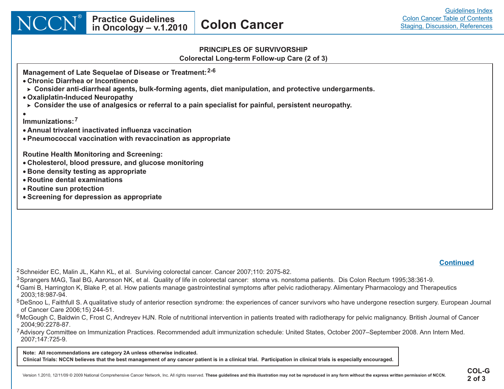#### **PRINCIPLES OF SURVIVORSHIPColorectal Long-term Follow-up Care (2 of 3)**

**Colon Cancer**

**Management of Late Sequelae of Disease or Treatment: 2-6**

<span id="page-35-0"></span> $\text{NCCN}^{\circ}$  **Practice Guidelines**<br>in Oncology – v.1.2010

**Practice Guidelines**

- **Chronic Diarrhea or Incontinence**
- **Consider anti-diarrheal agents, bulk-forming agents, diet manipulation, and protective undergarments.** -
- **Oxaliplatin-Induced Neuropathy**
- **Consider the use of analgesics or referral to a pain specialist for painful, persistent neuropathy.** -
- $\bullet$

**Immunizations:7**

- **Annual trivalent inactivated influenza vaccination**
- **Pneumococcal vaccination with revaccination as appropriate**

**Routine Health Monitoring and Screening:**

- **Cholesterol, blood pressure, and glucose monitoring**
- **Bone density testing as appropriate**
- **Routine dental examinations**
- **Routine sun protection**
- **Screening for depression as appropriate**

#### **[Continued](#page-36-0)**

<sup>2</sup>Schneider EC, Malin JL, Kahn KL, et al. Surviving colorectal cancer. Cancer 2007;110: 2075-82.

- <sup>3</sup>Sprangers MAG, Taal BG, Aaronson NK, et al. Quality of life in colorectal cancer: stoma vs. nonstoma patients. Dis Colon Rectum 1995;38:361-9.
- <sup>4</sup>Gami B, Harrington K, Blake P, et al. How patients manage gastrointestinal symptoms after pelvic radiotherapy. Alimentary Pharmacology and Therapeutics 2003;18:987-94.
- <sup>5</sup>DeSnoo L, Faithfull S. A qualitative study of anterior resection syndrome: the experiences of cancer survivors who have undergone resection surgery. European Journal of Cancer Care 2006;15) 244-51.
- 6McGough C, Baldwin C, Frost C, Andreyev HJN. Role of nutritional intervention in patients treated with radiotherapy for pelvic malignancy. British Journal of Cancer 2004;90:2278-87.
- <sup>7</sup> Advisory Committee on Immunization Practices. Recommended adult immunization schedule: United States, October 2007–September 2008. Ann Intern Med. 2007;147:725-9.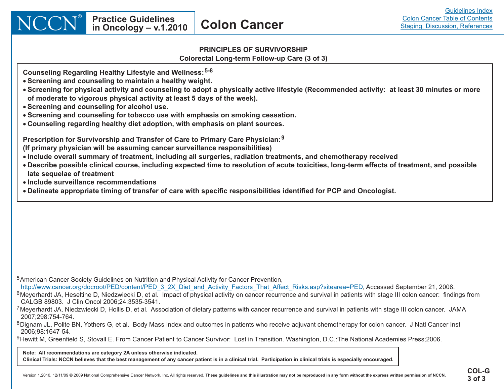# **PRINCIPLES OF SURVIVORSHIP**

**Colon Cancer**

**Colorectal Long-term Follow-up Care (3 of 3)**

**Counseling Regarding Healthy Lifestyle and Wellness: 5-8**

**Practice Guidelines**

- **Screening and counseling to maintain a healthy weight.**
- **Screening for physical activity and counseling to adopt a physically active lifestyle (Recommended activity: at least 30 minutes or more of moderate to vigorous physical activity at least 5 days of the week).**
- **Screening and counseling for alcohol use.**

 $\text{NCCN}^{\circ}$  **Practice Guidelines**<br>in Oncology – v.1.2010

- **Screening and counseling for tobacco use with emphasis on smoking cessation.**
- **Counseling regarding healthy diet adoption, with emphasis on plant sources.**

**Prescription for Survivorship and Transfer of Care to Primary Care Physician: 9**

**(If primary physician will be assuming cancer surveillance responsibilities)**

- **Include overall summary of treatment, including all surgeries, radiation treatments, and chemotherapy received**
- **Describe possible clinical course, including expected time to resolution of acute toxicities, long-term effects of treatment, and possible late sequelae of treatment**
- **Include surveillance recommendations**
- **Delineate appropriate timing of transfer of care with specific responsibilities identified for PCP and Oncologist.**

<sup>5</sup> American Cancer Society Guidelines on Nutrition and Physical Activity for Cancer Prevention,

<u>[http://www.cancer.org/docroot/PED/content/PED\\_3\\_2X\\_Diet\\_and\\_Activity\\_Factors\\_That\\_Affect\\_Risks.asp?sitearea=PED](http://www.cancer.org/docroot/PED/content/PED_3_2X_Diet_and_Activity_Factors_That_Affect_Risks.asp?sitearea=PED),</u> Accessed September 21, 2008.

<sup>6</sup>Meyerhardt JA, Heseltine D, Niedzwiecki D, et al. Impact of physical activity on cancer recurrence and survival in patients with stage III colon cancer: findings from CALGB 89803. J Clin Oncol 2006;24:3535-3541.

<sup>7</sup>Meyerhardt JA, Niedzwiecki D, Hollis D, et al. Association of dietary patterns with cancer recurrence and survival in patients with stage III colon cancer. JAMA 2007;298:754-764.

<sup>8</sup>Dignam JL, Polite BN, Yothers G, et al. Body Mass Index and outcomes in patients who receive adjuvant chemotherapy for colon cancer. J Natl Cancer Inst 2006;98:1647-54.

9Hewitt M, Greenfield S, Stovall E. From Cancer Patient to Cancer Survivor: Lost in Transition. Washington, D.C.:The National Academies Press;2006.

**Note: All recommendations are category 2A unless otherwise indicated. Clinical Trials: NCCN believes that the best management of any cancer patient is in a clinical trial. Participation in clinical trials is especially encouraged.**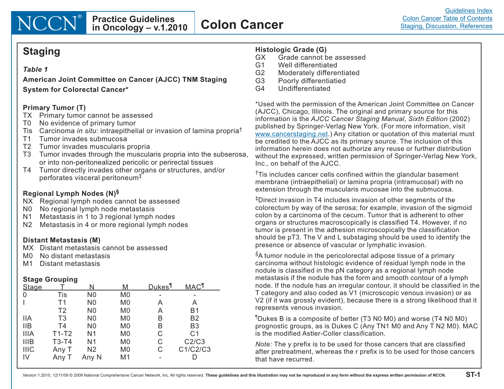# <span id="page-37-0"></span>**Staging**

### *Table 1*

**American Joint Committee on Cancer (AJCC) TNM Staging**

**System for Colorectal Cancer\***

### **Primary Tumor (T)**

- TX Primary tumor cannot be assessed
- T0 No evidence of primary tumor
- Tis Carcinoma *in situ*: intraepithelial or invasion of lamina propria<sup>†</sup>
- T1 Tumor invades submucosa
- T2 Tumor invades muscularis propria
- T3 Tumor invades through the muscularis propria into the subserosa, or into non-peritonealized pericolic or perirectal tissues
- T4 Tumor directly invades other organs or structures, and/or perforates visceral peritoneum ‡

### **Regional Lymph Nodes (N) §**

- NX Regional lymph nodes cannot be assessed
- N0 No regional lymph node metastasis
- N1 Metastasis in 1 to 3 regional lymph nodes
- N2 Metastasis in 4 or more regional lymph nodes

### **Distant Metastasis (M)**

- MX Distant metastasis cannot be assessed
- M0 No distant metastasis
- M1 Distant metastasis

### **Stage Grouping**

| - -- - - -<br><b>Stage</b> | -----          | N              | M              | Dukes <sup>¶</sup> | <b>MAC<sup>¶</sup></b> |
|----------------------------|----------------|----------------|----------------|--------------------|------------------------|
| 0                          | Tis            | N <sub>0</sub> | M <sub>0</sub> | -                  |                        |
|                            | Τ1             | N <sub>0</sub> | M <sub>0</sub> | A                  | A                      |
|                            | T <sub>2</sub> | N <sub>0</sub> | M <sub>0</sub> | A                  | B1                     |
| <b>IIA</b>                 | T3             | N <sub>0</sub> | M <sub>0</sub> | в                  | B <sub>2</sub>         |
| <b>IIB</b>                 | T4             | N <sub>0</sub> | M <sub>0</sub> | B                  | B <sub>3</sub>         |
| <b>IIIA</b>                | $T1-T2$        | N <sub>1</sub> | M <sub>0</sub> | С                  | C1                     |
| <b>IIIB</b>                | $T3-T4$        | N <sub>1</sub> | M <sub>0</sub> | С                  | C2/C3                  |
| <b>IIIC</b>                | Any T          | N <sub>2</sub> | M0             | С                  | C1/C2/C3               |
| IV                         | Any T          | Any N          | M1             |                    |                        |

### **Histologic Grade (G)**

- GX Grade cannot be assessed
- G1 Well differentiated
- G2 Moderately differentiated
- G3 Poorly differentiatied
- G4 Undifferentiated

\*Used with the permission of the American Joint Committee on Cancer (AJCC), Chicago, Illinois. The original and primary source for this information is the , (2002) *AJCC Cancer Staging Manual Sixth Edition* published by Springer-Verlag New York. (For more information, visit <u>[www.cancerstaging.net](http://www.cancerstaging.net)</u>.) Any citation or quotation of this material must be credited to the AJCC as its primary source. The inclusion of this information herein does not authorize any reuse or further distribution without the expressed, written permission of Springer-Verlag New York, Inc., on behalf of the AJCC.

† Tis includes cancer cells confined within the glandular basement membrane (intraepithelial) or lamina propria (intramucosal) with no extension through the muscularis mucosae into the submucosa.

‡ Direct invasion in T4 includes invasion of other segments of the colorectum by way of the serosa; for example, invasion of the sigmoid colon by <sup>a</sup> carcinoma of the cecum. Tumor that is adherent to other organs or structures macroscopically is classified T4. However, if no tumor is present in the adhesion microscopically the classification should be pT3. The V and L substaging should be used to identify the presence or absence of vascular or lymphatic invasion.

A tumor nodule in the pericolorectal adipose tissue of <sup>a</sup> primary *§* carcinoma without histologic evidence of residual lymph node in the nodule is classified in the pN category as <sup>a</sup> regional lymph node metastasis if the nodule has the form and smooth contour of <sup>a</sup> lymph node. If the nodule has an irregular contour, it should be classified in the T category and also coded as V1 (microscopic venous invasion) or as V2 (if it was grossly evident), because there is <sup>a</sup> strong likelihood that it represents venous invasion.

 $^\P$ Dukes B is a composite of better (T3 N0 M0) and worse (T4 N0 M0) prognostic groups, as is Dukes C (Any TN1 M0 and Any T N2 M0). MAC is the modified Astler-Coller classification.

*Note:* The y prefix is to be used for those cancers that are classified after pretreatment, whereas the <sup>r</sup> prefix is to be used for those cancers that have recurred.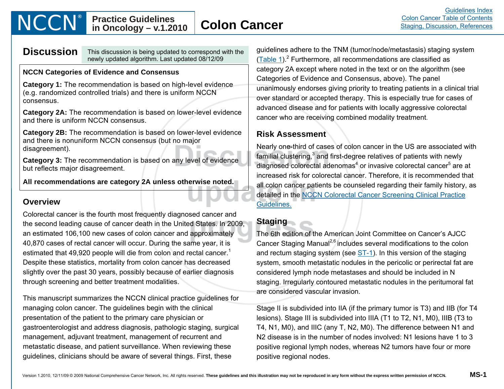# **Discussion**

NCCN<sup>®</sup>

This discussion is being updated to correspond with the newly updated algorithm. Last updated 08/12/09

### **NCCN Categories of Evidence and Consensus**

**Category 1:** The recommendation is based on high-level evidence (e.g. randomized controlled trials) and there is uniform NCCN consensus.

**Category 2A:** The recommendation is based on lower-level evidence and there is uniform NCCN consensus.

**Category 2B:** The recommendation is based on lower-level evidence and there is nonuniform NCCN consensus (but no major disagreement).

**Category 3:** The recommendation is based on any level of evidence but reflects major disagreement.

**All recommendations are category 2A unless otherwise noted.** 

### **Overview**

Colorectal cancer is the fourth most frequently diagnosed cancer and the second leading cause of cancer death in the United States. In 2009, an estimated 106,100 new cases of colon cancer and approximately 40,870 cases of rectal cancer will occur. During the same year, it is estimated that 49,920 people will die from colon and rectal cancer.<sup>1</sup> Despite these statistics, mortality from colon cancer has decreased slightly over the past 30 years, possibly because of earlier diagnosis through screening and better treatment modalities.

This manuscript summarizes the NCCN clinical practice guidelines for managing colon cancer. The guidelines begin with the clinical presentation of the patient to the primary care physician or gastroenterologist and address diagnosis, pathologic staging, surgical management, adjuvant treatment, management of recurrent and metastatic disease, and patient surveillance. When reviewing these guidelines, clinicians should be aware of several things. First, these

guidelines adhere to the TNM (tumor/node/metastasis) staging system [\(Table 1\).](#page-37-0) $^2$  Furthermore, all recommendations are classified as category 2A except where noted in the text or on the algorithm (see Categories of Evidence and Consensus, above). The panel unanimously endorses giving priority to treating patients in a clinical trial over standard or accepted therapy. This is especially true for cases of advanced disease and for patients with locally aggressive colorectal cancer who are receiving combined modality treatment.

## **Risk Assessment**

Nearly one-third of cases of colon cancer in the US are associated with familial clustering, $3$  and first-degree relatives of patients with newly diagnosed colorectal adenomas $4$  or invasive colorectal cancer $5$  are at increased risk for colorectal cancer. Therefore, it is recommended that all colon cancer patients be counseled regarding their family history, as detailed in the [NCCN Colorectal Cancer Screening Clinical Practice](#page-0-1)  [Guidelines.](#page-0-1)

# **Staging**

The 6th edition of the American Joint Committee on Cancer's AJCC Cancer Staging Manual<sup>2,6</sup> includes several modifications to the colon and rectum staging system (see  $ST-1$ ). In this version of the staging system, smooth metastatic nodules in the pericolic or perirectal fat are considered lymph node metastases and should be included in N staging. Irregularly contoured metastatic nodules in the peritumoral fat are considered vascular invasion.

Stage II is subdivided into IIA (if the primary tumor is T3) and IIB (for T4 lesions). Stage III is subdivided into IIIA (T1 to T2, N1, M0), IIIB (T3 to T4, N1, M0), and IIIC (any T, N2, M0). The difference between N1 and N2 disease is in the number of nodes involved: N1 lesions have 1 to 3 positive regional lymph nodes, whereas N2 tumors have four or more positive regional nodes.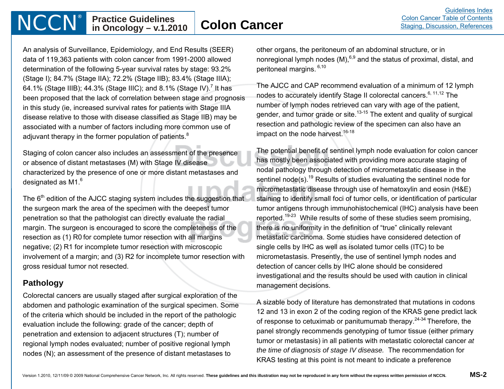<span id="page-39-0"></span>An analysis of Surveillance, Epidemiology, and End Results (SEER) data of 119,363 patients with colon cancer from 1991-2000 allowed determination of the following 5-year survival rates by stage: 93.2% (Stage I); 84.7% (Stage IIA); 72.2% (Stage IIB); 83.4% (Stage IIIA); 64.1% (Stage IIIB); 44.3% (Stage IIIC); and 8.1% (Stage IV).<sup>7</sup> It has been proposed that the lack of correlation between stage and prognosis in this study (ie, increased survival rates for patients with Stage IIIA disease relative to those with disease classified as Stage IIB) may be associated with a number of factors including more common use of adjuvant therapy in the former population of patients.<sup>8</sup>

Staging of colon cancer also includes an assessment of the presence or absence of distant metastases (M) with Stage IV disease characterized by the presence of one or more distant metastases and designated as M1.<sup>6</sup>

The  $6<sup>th</sup>$  edition of the AJCC staging system includes the suggestion that the surgeon mark the area of the specimen with the deepest tumor penetration so that the pathologist can directly evaluate the radial margin. The surgeon is encouraged to score the completeness of the resection as (1) R0 for complete tumor resection with all margins negative; (2) R1 for incomplete tumor resection with microscopic involvement of a margin; and (3) R2 for incomplete tumor resection with gross residual tumor not resected.

# **Pathology**

Colorectal cancers are usually staged after surgical exploration of the abdomen and pathologic examination of the surgical specimen. Some of the criteria which should be included in the report of the pathologic evaluation include the following: grade of the cancer; depth of penetration and extension to adjacent structures (T); number of regional lymph nodes evaluated; number of positive regional lymph nodes (N); an assessment of the presence of distant metastases to

other organs, the peritoneum of an abdominal structure, or in nonregional lymph nodes  $(M)$ ,  $6.9$  and the status of proximal, distal, and peritoneal margins. 6,10

The AJCC and CAP recommend evaluation of a minimum of 12 lymph nodes to accurately identify Stage II colorectal cancers.<sup>6, 11,12</sup> The number of lymph nodes retrieved can vary with age of the patient, gender, and tumor grade or site.<sup>13-15</sup> The extent and quality of surgical resection and pathologic review of the specimen can also have an impact on the node harvest.  $16-18$ 

The potential benefit of sentinel lymph node evaluation for colon cancer has mostly been associated with providing more accurate staging of nodal pathology through detection of micrometastatic disease in the sentinel node(s).<sup>19</sup> Results of studies evaluating the sentinel node for micrometastatic disease through use of hematoxylin and eosin (H&E) staining to identify small foci of tumor cells, or identification of particular tumor antigens through immunohistochemical (IHC) analysis have been reported.<sup>19-23</sup> While results of some of these studies seem promising, there is no uniformity in the definition of "true" clinically relevant metastatic carcinoma. Some studies have considered detection of single cells by IHC as well as isolated tumor cells (ITC) to be micrometastasis. Presently, the use of sentinel lymph nodes and detection of cancer cells by IHC alone should be considered investigational and the results should be used with caution in clinical management decisions.

A sizable body of literature has demonstrated that mutations in codons 12 and 13 in exon 2 of the coding region of the KRAS gene predict lack of response to cetuximab or panitumumab therapy. $24-34$  Therefore, the panel strongly recommends genotyping of tumor tissue (either primary tumor or metastasis) in all patients with metastatic colorectal cancer *at the time of diagnosis of stage IV disease.* The recommendation for KRAS testing at this point is not meant to indicate a preference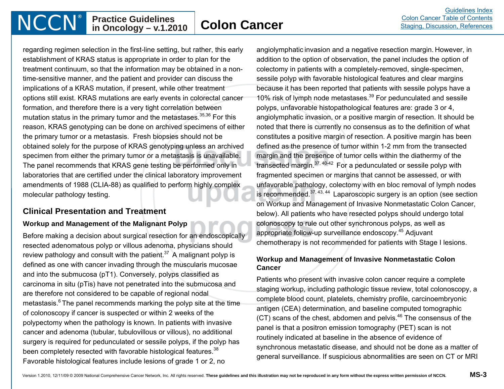#### <span id="page-40-0"></span>**Practice GuidelinesNCCN in Oncology – v.1.2010**

regarding regimen selection in the first-line setting, but rather, this early establishment of KRAS status is appropriate in order to plan for the treatment continuum, so that the information may be obtained in a nontime-sensitive manner, and the patient and provider can discuss the implications of a KRAS mutation, if present, while other treatment options still exist. KRAS mutations are early events in colorectal cancer formation, and therefore there is a very tight correlation between mutation status in the primary tumor and the metastases.<sup>35,36</sup> For this reason, KRAS genotyping can be done on archived specimens of either the primary tumor or a metastasis. Fresh biopsies should not be obtained solely for the purpose of KRAS genotyping unless an archived specimen from either the primary tumor or a metastasis is unavailable. The panel recommends that KRAS gene testing be performed only in laboratories that are certified under the clinical laboratory improvement amendments of 1988 (CLIA-88) as qualified to perform highly complex molecular pathology testing.

## **Clinical Presentation and Treatment**

### **Workup and Management of the Malignant Polyp**

Before making a decision about surgical resection for an endoscopically resected adenomatous polyp or villous adenoma, physicians should review pathology and consult with the patient. $37$  A malignant polyp is defined as one with cancer invading through the muscularis mucosae and into the submucosa (pT1). Conversely, polyps classified as carcinoma in situ (pTis) have not penetrated into the submucosa and are therefore not considered to be capable of regional nodal metastasis.<sup>6</sup> The panel recommends marking the polyp site at the time of colonoscopy if cancer is suspected or within 2 weeks of the polypectomy when the pathology is known. In patients with invasive cancer and adenoma (tubular, tubulovillous or villous), no additional surgery is required for pedunculated or sessile polyps, if the polyp has been completely resected with favorable histological features.<sup>38</sup> Favorable histological features include lesions of grade 1 or 2, no

angiolymphatic invasion and a negative resection margin. However, in addition to the option of observation, the panel includes the option of colectomy in patients with a completely-removed, single-specimen, sessile polyp with favorable histological features and clear margins because it has been reported that patients with sessile polyps have a 10% risk of lymph node metastases. $39$  For pedunculated and sessile polyps, unfavorable histopathological features are: grade 3 or 4, angiolymphatic invasion, or a positive margin of resection. It should be noted that there is currently no consensus as to the definition of what constitutes a positive margin of resection. A positive margin has been defined as the presence of tumor within 1-2 mm from the transected margin and the presence of tumor cells within the diathermy of the transected margin. $37,40-42$  For a pedunculated or sessile polyp with fragmented specimen or margins that cannot be assessed, or with unfavorable pathology, colectomy with en bloc removal of lymph nodes is recommended. $37, 43, 44$  Laparoscopic surgery is an option (see section on Workup and Management of Invasive Nonmetastatic Colon Cancer, below). All patients who have resected polyps should undergo total colonoscopy to rule out other synchronous polyps, as well as appropriate follow-up surveillance endoscopy.<sup>45</sup> Adjuvant chemotherapy is not recommended for patients with Stage I lesions.

### **Workup and Management of Invasive Nonmetastatic Colon Cancer**

Patients who present with invasive colon cancer require a complete staging workup, including pathologic tissue review, total colonoscopy, a complete blood count, platelets, chemistry profile, carcinoembryonic antigen (CEA) determination, and baseline computed tomographic (CT) scans of the chest, abdomen and pelvis.<sup>46</sup> The consensus of the panel is that a positron emission tomography (PET) scan is not routinely indicated at baseline in the absence of evidence of synchronous metastatic disease, and should not be done as a matter of general surveillance. If suspicious abnormalities are seen on CT or MRI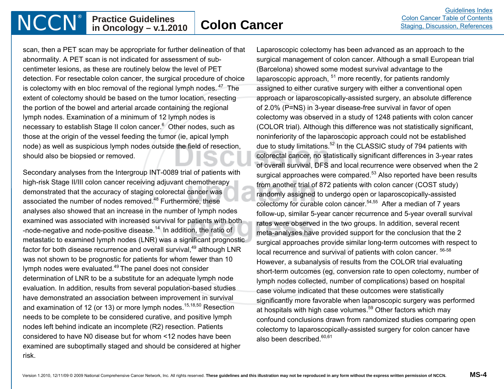scan, then a PET scan may be appropriate for further delineation of that abnormality. A PET scan is not indicated for assessment of subcentimeter lesions, as these are routinely below the level of PET detection. For resectable colon cancer, the surgical procedure of choice is colectomy with en bloc removal of the regional lymph nodes.  $47$  The extent of colectomy should be based on the tumor location, resecting the portion of the bowel and arterial arcade containing the regional lymph nodes. Examination of a minimum of 12 lymph nodes is necessary to establish Stage II colon cancer.<sup>6</sup> Other nodes, such as those at the origin of the vessel feeding the tumor (ie, apical lymph node) as well as suspicious lymph nodes outside the field of resection, should also be biopsied or removed.

Secondary analyses from the Intergroup INT-0089 trial of patients with high-risk Stage II/III colon cancer receiving adjuvant chemotherapy demonstrated that the accuracy of staging colorectal cancer was associated the number of nodes removed.<sup>48</sup> Furthermore, these analyses also showed that an increase in the number of lymph nodes examined was associated with increased survival for patients with both -node-negative and node-positive disease.<sup>14</sup> In addition, the ratio of metastatic to examined lymph nodes (LNR) was a significant prognostic factor for both disease recurrence and overall survival,<sup>49</sup> although LNR was not shown to be prognostic for patients for whom fewer than 10 lymph nodes were evaluated.<sup>49</sup> The panel does not consider determination of LNR to be a substitute for an adequate lymph node evaluation. In addition, results from several population-based studies have demonstrated an association between improvement in survival and examination of 12 (or 13) or more lymph nodes.<sup>15,18,50</sup> Resection needs to be complete to be considered curative, and positive lymph nodes left behind indicate an incomplete (R2) resection. Patients considered to have N0 disease but for whom <12 nodes have been examined are suboptimally staged and should be considered at higher risk.

Laparoscopic colectomy has been advanced as an approach to the surgical management of colon cancer. Although a small European trial (Barcelona) showed some modest survival advantage to the laparoscopic approach,  $51$  more recently, for patients randomly assigned to either curative surgery with either a conventional open approach or laparoscopically-assisted surgery, an absolute difference of 2.0% (P=NS) in 3-year disease-free survival in favor of open colectomy was observed in a study of 1248 patients with colon cancer (COLOR trial). Although this difference was not statistically significant, noninferiority of the laparoscopic approach could not be established due to study limitations.<sup>52</sup> In the CLASSIC study of 794 patients with colorectal cancer, no statistically significant differences in 3-year rates of overall survival, DFS and local recurrence were observed when the 2 surgical approaches were compared.<sup>53</sup> Also reported have been results from another trial of 872 patients with colon cancer (COST study) randomly assigned to undergo open or laparoscopically-assisted colectomy for curable colon cancer. $54,55$  After a median of 7 years follow-up, similar 5-year cancer recurrence and 5-year overall survival rates were observed in the two groups. In addition, several recent meta-analyses have provided support for the conclusion that the 2 surgical approaches provide similar long-term outcomes with respect to local recurrence and survival of patients with colon cancer. 56-58 However, a subanalysis of results from the COLOR trial evaluating short-term outcomes (eg, conversion rate to open colectomy, number of lymph nodes collected, number of complications) based on hospital case volume indicated that these outcomes were statistically significantly more favorable when laparoscopic surgery was performed at hospitals with high case volumes.<sup>59</sup> Other factors which may confound conclusions drawn from randomized studies comparing open colectomy to laparoscopically-assisted surgery for colon cancer have also been described. $60,61$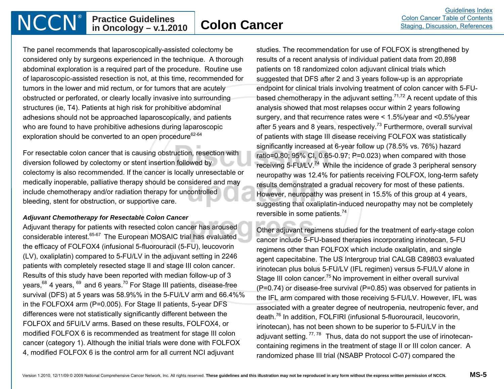The panel recommends that laparoscopically-assisted colectomy be considered only by surgeons experienced in the technique. A thorough abdominal exploration is a required part of the procedure. Routine use of laparoscopic-assisted resection is not, at this time, recommended for tumors in the lower and mid rectum, or for tumors that are acutely obstructed or perforated, or clearly locally invasive into surrounding structures (ie, T4). Patients at high risk for prohibitive abdominal adhesions should not be approached laparoscopically, and patients who are found to have prohibitive adhesions during laparoscopic exploration should be converted to an open procedure $62-64$ 

For resectable colon cancer that is causing obstruction, resection with diversion followed by colectomy or stent insertion followed by colectomy is also recommended. If the cancer is locally unresectable or medically inoperable, palliative therapy should be considered and may include chemotherapy and/or radiation therapy for uncontrolled bleeding, stent for obstruction, or supportive care.

#### *Adjuvant Chemotherapy for Resectable Colon Cancer*

Adjuvant therapy for patients with resected colon cancer has aroused considerable interest.<sup>65-67</sup> The European MOSAIC trial has evaluated the efficacy of FOLFOX4 (infusional 5-fluorouracil (5-FU), leucovorin (LV), oxaliplatin) compared to 5-FU/LV in the adjuvant setting in 2246 patients with completely resected stage II and stage III colon cancer. Results of this study have been reported with median follow-up of 3 years,  $68$  4 years,  $69$  and 6 years.<sup>70</sup> For Stage III patients, disease-free survival (DFS) at 5 years was 58.9%% in the 5-FU/LV arm and 66.4%% in the FOLFOX4 arm (P=0.005). For Stage II patients, 5-year DFS differences were not statistically significantly different between the FOLFOX and 5FU/LV arms. Based on these results, FOLFOX4, or modified FOLFOX 6 is recommended as treatment for stage III colon cancer (category 1). Although the initial trials were done with FOLFOX 4, modified FOLFOX 6 is the control arm for all current NCI adjuvant

studies. The recommendation for use of FOLFOX is strengthened by results of a recent analysis of individual patient data from 20,898 patients on 18 randomized colon adjuvant clinical trials which suggested that DFS after 2 and 3 years follow-up is an appropriate endpoint for clinical trials involving treatment of colon cancer with 5-FUbased chemotherapy in the adjuvant setting.<sup>71,72</sup> A recent update of this analysis showed that most relapses occur within 2 years following surgery, and that recurrence rates were < 1.5%/year and <0.5%/year after 5 years and 8 years, respectively.<sup>73</sup> Furthermore, overall survival of patients with stage III disease receiving FOLFOX was statistically significantly increased at 6-year follow up (78.5% vs. 76%) hazard ratio=0.80; 95% CI, 0.65-0.97; P=0.023) when compared with those receiving 5-FU/LV.<sup>74</sup> While the incidence of grade 3 peripheral sensory neuropathy was 12.4% for patients receiving FOLFOX, long-term safety results demonstrated a gradual recovery for most of these patients. However, neuropathy was present in 15.5% of this group at 4 years, suggesting that oxaliplatin-induced neuropathy may not be completely reversible in some patients.<sup>74</sup>

Other adjuvant regimens studied for the treatment of early-stage colon cancer include 5-FU-based therapies incorporating irinotecan, 5-FU regimens other than FOLFOX which include oxaliplatin, and single agent capecitabine. The US Intergroup trial CALGB C89803 evaluated irinotecan plus bolus 5-FU/LV (IFL regimen) versus 5-FU/LV alone in Stage III colon cancer.<sup>75</sup> No improvement in either overall survival (P=0.74) or disease-free survival (P=0.85) was observed for patients in the IFL arm compared with those receiving 5-FU/LV. However, IFL was associated with a greater degree of neutropenia, neutropenic fever, and death.76 In addition, FOLFIRI (infusional 5-fluorouracil, leucovorin, irinotecan), has not been shown to be superior to 5-FU/LV in the adjuvant setting.  $77,78$  Thus, data do not support the use of irinotecancontaining regimens in the treatment of stage II or III colon cancer. A randomized phase III trial (NSABP Protocol C-07) compared the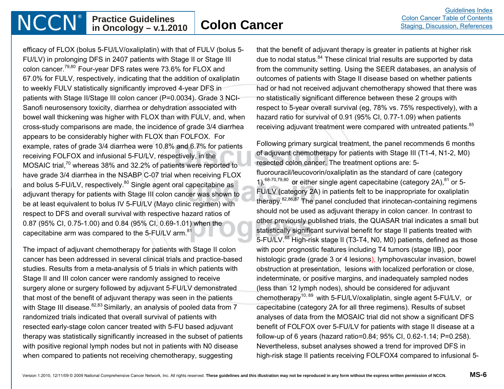efficacy of FLOX (bolus 5-FU/LV/oxaliplatin) with that of FULV (bolus 5- FU/LV) in prolonging DFS in 2407 patients with Stage II or Stage III colon cancer.79,80 Four-year DFS rates were 73.6% for FLOX and 67.0% for FULV, respectively, indicating that the addition of oxaliplatin to weekly FULV statistically significantly improved 4-year DFS in patients with Stage II/Stage III colon cancer (P=0.0034). Grade 3 NCI-Sanofi neurosensory toxicity, diarrhea or dehydration associated with bowel wall thickening was higher with FLOX than with FULV, and, when cross-study comparisons are made, the incidence of grade 3/4 diarrhea appears to be considerably higher with FLOX than FOLFOX. For example, rates of grade 3/4 diarrhea were 10.8% and 6.7% for patients receiving FOLFOX and infusional 5-FU/LV, respectively, in the MOSAIC trial,<sup>70</sup> whereas 38% and 32.2% of patients were reported to have grade 3/4 diarrhea in the NSABP C-07 trial when receiving FLOX and bolus 5-FU/LV, respectively.<sup>80</sup> Single agent oral capecitabine as adjuvant therapy for patients with Stage III colon cancer was shown to be at least equivalent to bolus IV 5-FU/LV (Mayo clinic regimen) with respect to DFS and overall survival with respective hazard ratios of 0.87 (95% CI, 0.75-1.00) and 0.84 (95% CI, 0.69-1.01) when the capecitabine arm was compared to the 5-FU/LV arm. $81$ 

The impact of adjuvant chemotherapy for patients with Stage II colon cancer has been addressed in several clinical trials and practice-based studies. Results from a meta-analysis of 5 trials in which patients with Stage II and III colon cancer were randomly assigned to receive surgery alone or surgery followed by adjuvant 5-FU/LV demonstrated that most of the benefit of adjuvant therapy was seen in the patients with Stage III disease. $82,83$  Similarly, an analysis of pooled data from 7 randomized trials indicated that overall survival of patients with resected early-stage colon cancer treated with 5-FU based adjuvant therapy was statistically significantly increased in the subset of patients with positive regional lymph nodes but not in patients with N0 disease when compared to patients not receiving chemotherapy, suggesting

that the benefit of adjuvant therapy is greater in patients at higher risk due to nodal status.<sup>84</sup> These clinical trial results are supported by data from the community setting. Using the SEER databases, an analysis of outcomes of patients with Stage II disease based on whether patients had or had not received adjuvant chemotherapy showed that there was no statistically significant difference between these 2 groups with respect to 5-year overall survival (eg, 78% vs. 75% respectively), with a hazard ratio for survival of 0.91 (95% CI, 0.77-1.09) when patients receiving adjuvant treatment were compared with untreated patients.<sup>85</sup>

Following primary surgical treatment, the panel recommends 6 months of adjuvant chemotherapy for patients with Stage III (T1-4, N1-2, M0) resected colon cancer. The treatment options are: 5 fluorouracil/leucovorin/oxaliplatin as the standard of care (category 1),  $68-70,79,80$  or either single agent capecitabine (category 2A),  $81$  or 5-FU/LV (category 2A) in patients felt to be inappropriate for oxaliplatin therapy. $82,86,87$  The panel concluded that irinotecan-containing regimens should not be used as adjuvant therapy in colon cancer. In contrast to other previously published trials, the QUASAR trial indicates a small but statistically significant survival benefit for stage II patients treated with 5-FU/LV.<sup>88</sup> High-risk stage II (T3-T4, N0, M0) patients, defined as those with poor prognostic features including T4 tumors (stage IIB), poor histologic grade (grade 3 or 4 lesions), lymphovascular invasion, bowel obstruction at presentation, lesions with localized perforation or close, indeterminate, or positive margins, and inadequately sampled nodes (less than 12 lymph nodes), should be considered for adjuvant chemotherapy<sup>10, 89</sup> with 5-FU/LV/oxaliplatin, single agent 5-FU/LV, or capecitabine (category 2A for all three regimens). Results of subset analyses of data from the MOSAIC trial did not show a significant DFS benefit of FOLFOX over 5-FU/LV for patients with stage II disease at a follow-up of 6 years (hazard ratio=0.84; 95% CI, 0.62-1.14; P=0.258). Nevertheless, subset analyses showed a trend for improved DFS in high-risk stage II patients receiving FOLFOX4 compared to infusional 5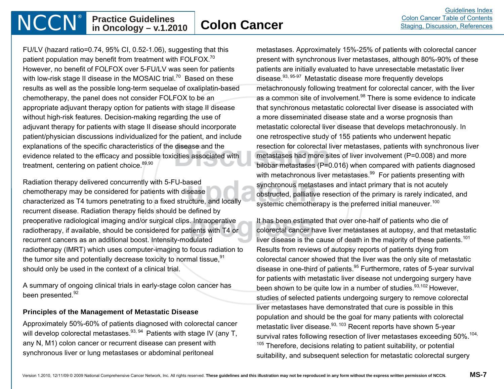<span id="page-44-0"></span>FU/LV (hazard ratio=0.74, 95% CI, 0.52-1.06), suggesting that this patient population may benefit from treatment with FOLFOX.<sup>70</sup> However, no benefit of FOLFOX over 5-FU/LV was seen for patients with low-risk stage II disease in the MOSAIC trial.<sup>70</sup> Based on these results as well as the possible long-term sequelae of oxaliplatin-based chemotherapy, the panel does not consider FOLFOX to be an appropriate adjuvant therapy option for patients with stage II disease without high-risk features. Decision-making regarding the use of adjuvant therapy for patients with stage II disease should incorporate patient/physician discussions individualized for the patient, and include explanations of the specific characteristics of the disease and the evidence related to the efficacy and possible toxicities associated with treatment, centering on patient choice. $89,90$ 

Radiation therapy delivered concurrently with 5-FU-based chemotherapy may be considered for patients with disease characterized as T4 tumors penetrating to a fixed structure, and locally recurrent disease. Radiation therapy fields should be defined by preoperative radiological imaging and/or surgical clips. Intraoperative radiotherapy, if available, should be considered for patients with T4 or recurrent cancers as an additional boost. Intensity-modulated radiotherapy (IMRT) which uses computer-imaging to focus radiation to the tumor site and potentially decrease toxicity to normal tissue.<sup>91</sup> should only be used in the context of a clinical trial.

A summary of ongoing clinical trials in early-stage colon cancer has been presented.<sup>92</sup>

### **Principles of the Management of Metastatic Disease**

Approximately 50%-60% of patients diagnosed with colorectal cancer will develop colorectal metastases. $93, 94$  Patients with stage IV (any T, any N, M1) colon cancer or recurrent disease can present with synchronous liver or lung metastases or abdominal peritoneal

metastases. Approximately 15%-25% of patients with colorectal cancer present with synchronous liver metastases, although 80%-90% of these patients are initially evaluated to have unresectable metastatic liver disease.<sup>93, 95-97</sup> Metastatic disease more frequently develops metachronously following treatment for colorectal cancer, with the liver as a common site of involvement.<sup>98</sup> There is some evidence to indicate that synchronous metastatic colorectal liver disease is associated with a more disseminated disease state and a worse prognosis than metastatic colorectal liver disease that develops metachronously. In one retrospective study of 155 patients who underwent hepatic resection for colorectal liver metastases, patients with synchronous liver metastases had more sites of liver involvement (P=0.008) and more bilobar metastases (P=0.016) when compared with patients diagnosed with metachronous liver metastases.<sup>99</sup> For patients presenting with synchronous metastases and intact primary that is not acutely obstructed, palliative resection of the primary is rarely indicated, and systemic chemotherapy is the preferred initial maneuver.<sup>100</sup>

It has been estimated that over one-half of patients who die of colorectal cancer have liver metastases at autopsy, and that metastatic liver disease is the cause of death in the majority of these patients.<sup>101</sup> Results from reviews of autopsy reports of patients dying from colorectal cancer showed that the liver was the only site of metastatic disease in one-third of patients.<sup>95</sup> Furthermore, rates of 5-year survival for patients with metastatic liver disease not undergoing surgery have been shown to be quite low in a number of studies.<sup>93,102</sup> However, studies of selected patients undergoing surgery to remove colorectal liver metastases have demonstrated that cure is possible in this population and should be the goal for many patients with colorectal metastatic liver disease.<sup>93, 103</sup> Recent reports have shown 5-year survival rates following resection of liver metastases exceeding 50%.<sup>104,</sup>  $105$  Therefore, decisions relating to patient suitability, or potential suitability, and subsequent selection for metastatic colorectal surgery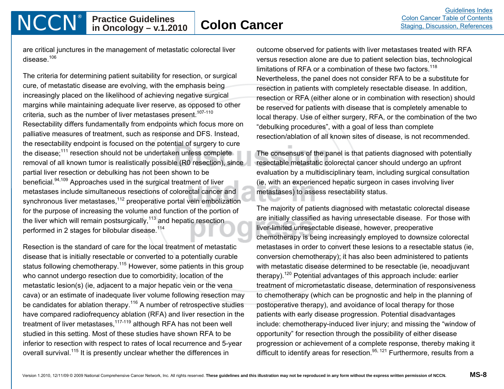are critical junctures in the management of metastatic colorectal liver disease.<sup>106</sup>

The criteria for determining patient suitability for resection, or surgical cure, of metastatic disease are evolving, with the emphasis being increasingly placed on the likelihood of achieving negative surgical margins while maintaining adequate liver reserve, as opposed to other criteria, such as the number of liver metastases present.<sup>107-110</sup> Resectability differs fundamentally from endpoints which focus more on palliative measures of treatment, such as response and DFS. Instead, the resectability endpoint is focused on the potential of surgery to cure the disease; $111$  resection should not be undertaken unless complete removal of all known tumor is realistically possible (R0 resection), since partial liver resection or debulking has not been shown to be beneficial.<sup>94,109</sup> Approaches used in the surgical treatment of liver metastases include simultaneous resections of colorectal cancer and synchronous liver metastases,<sup>112</sup> preoperative portal vein embolization for the purpose of increasing the volume and function of the portion of the liver which will remain postsurgically,  $113$  and hepatic resection performed in 2 stages for bilobular disease.<sup>114</sup>

Resection is the standard of care for the local treatment of metastatic disease that is initially resectable or converted to a potentially curable status following chemotherapy.<sup>115</sup> However, some patients in this group who cannot undergo resection due to comorbidity, location of the metastatic lesion(s) (ie, adjacent to a major hepatic vein or the vena cava) or an estimate of inadequate liver volume following resection may be candidates for ablation therapy.<sup>116</sup> A number of retrospective studies have compared radiofrequency ablation (RFA) and liver resection in the treatment of liver metastases, $117-119$  although RFA has not been well studied in this setting. Most of these studies have shown RFA to be inferior to resection with respect to rates of local recurrence and 5-year overall survival.<sup>115</sup> It is presently unclear whether the differences in

outcome observed for patients with liver metastases treated with RFA versus resection alone are due to patient selection bias, technological limitations of RFA or a combination of these two factors.<sup>118</sup> Nevertheless, the panel does not consider RFA to be a substitute for resection in patients with completely resectable disease. In addition, resection or RFA (either alone or in combination with resection) should be reserved for patients with disease that is completely amenable to local therapy. Use of either surgery, RFA, or the combination of the two "debulking procedures", with a goal of less than complete resection/ablation of all known sites of disease, is not recommended.

The consensus of the panel is that patients diagnosed with potentially resectable metastatic colorectal cancer should undergo an upfront evaluation by a multidisciplinary team, including surgical consultation (ie, with an experienced hepatic surgeon in cases involving liver metastases) to assess resectability status.

The majority of patients diagnosed with metastatic colorectal disease are initially classified as having unresectable disease. For those with liver-limited unresectable disease, however, preoperative chemotherapy is being increasingly employed to downsize colorectal metastases in order to convert these lesions to a resectable status (ie, conversion chemotherapy); it has also been administered to patients with metastatic disease determined to be resectable (ie, neoadjuvant therapy).120 Potential advantages of this approach include: earlier treatment of micrometastatic disease, determination of responsiveness to chemotherapy (which can be prognostic and help in the planning of postoperative therapy), and avoidance of local therapy for those patients with early disease progression. Potential disadvantages include: chemotherapy-induced liver injury; and missing the "window of opportunity" for resection through the possibility of either disease progression or achievement of a complete response, thereby making it difficult to identify areas for resection.<sup>95, 121</sup> Furthermore, results from a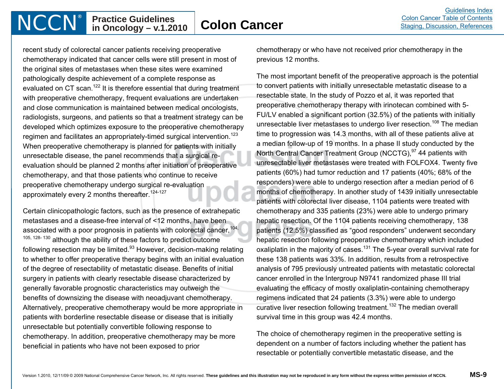recent study of colorectal cancer patients receiving preoperative chemotherapy indicated that cancer cells were still present in most of the original sites of metastases when these sites were examined pathologically despite achievement of a complete response as evaluated on CT scan.<sup>122</sup> It is therefore essential that during treatment with preoperative chemotherapy, frequent evaluations are undertaken and close communication is maintained between medical oncologists, radiologists, surgeons, and patients so that a treatment strategy can be developed which optimizes exposure to the preoperative chemotherapy regimen and facilitates an appropriately-timed surgical intervention.<sup>123</sup> When preoperative chemotherapy is planned for patients with initially unresectable disease, the panel recommends that a surgical reevaluation should be planned 2 months after initiation of preoperative chemotherapy, and that those patients who continue to receive preoperative chemotherapy undergo surgical re-evaluation approximately every 2 months thereafter.<sup>124-127</sup>

Certain clinicopathologic factors, such as the presence of extrahepatic metastases and a disease-free interval of <12 months, have been associated with a poor prognosis in patients with colorectal cancer, 104, <sup>105, 128- 130</sup> although the ability of these factors to predict outcome following resection may be limited. $93$  However, decision-making relating to whether to offer preoperative therapy begins with an initial evaluation of the degree of resectability of metastatic disease. Benefits of initial surgery in patients with clearly resectable disease characterized by generally favorable prognostic characteristics may outweigh the benefits of downsizing the disease with neoadjuvant chemotherapy. Alternatively, preoperative chemotherapy would be more appropriate in patients with borderline resectable disease or disease that is initially unresectable but potentially convertible following response to chemotherapy. In addition, preoperative chemotherapy may be more beneficial in patients who have not been exposed to prior

chemotherapy or who have not received prior chemotherapy in the previous 12 months.

The most important benefit of the preoperative approach is the potential to convert patients with initially unresectable metastatic disease to a resectable state. In the study of Pozzo et al, it was reported that preoperative chemotherapy therapy with irinotecan combined with 5- FU/LV enabled a significant portion (32.5%) of the patients with initially unresectable liver metastases to undergo liver resection.<sup>108</sup> The median time to progression was 14.3 months, with all of these patients alive at a median follow-up of 19 months. In a phase II study conducted by the North Central Cancer Treatment Group (NCCTG),<sup>97</sup> 44 patients with unresectable liver metastases were treated with FOLFOX4. Twenty five patients (60%) had tumor reduction and 17 patients (40%; 68% of the responders) were able to undergo resection after a median period of 6 months of chemotherapy. In another study of 1439 initially unresectable patients with colorectal liver disease, 1104 patients were treated with chemotherapy and 335 patients (23%) were able to undergo primary hepatic resection. Of the 1104 patients receiving chemotherapy, 138 patients (12.5%) classified as "good responders" underwent secondary hepatic resection following preoperative chemotherapy which included oxaliplatin in the majority of cases.<sup>131</sup> The 5-year overall survival rate for [these 13](#page-23-0)8 patients was 33%. In addition, results from a retrospective analysis of 795 previously untreated patients with metastatic colorectal cancer enrolled in the Intergroup N9741 randomized phase III trial evaluating the efficacy of mostly oxaliplatin-containing chemotherapy regimens indicated that 24 patients (3.3%) were able to undergo curative liver resection following treatment.<sup>132</sup> The median overall survival time in this group was 42.4 months.

The choice of chemotherapy regimen in the preoperative setting is dependent on a number of factors including whether the patient has resectable or potentially convertible metastatic disease, and the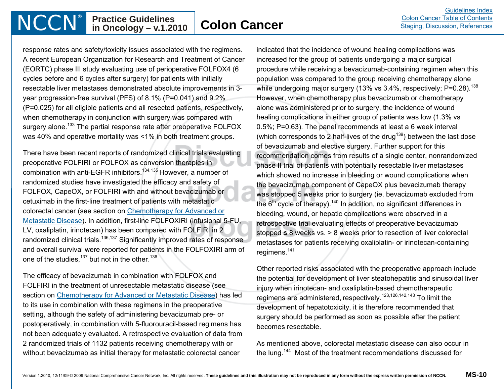response rates and safety/toxicity issues associated with the regimens. A recent European Organization for Research and Treatment of Cancer (EORTC) phase III study evaluating use of perioperative FOLFOX4 (6 cycles before and 6 cycles after surgery) for patients with initially resectable liver metastases demonstrated absolute improvements in 3 year progression-free survival (PFS) of 8.1% (P=0.041) and 9.2% (P=0.025) for all eligible patients and all resected patients, respectively, when chemotherapy in conjunction with surgery was compared with surgery alone.<sup>133</sup> The partial response rate after preoperative FOLFOX was 40% and operative mortality was <1% in both treatment groups.

There have been recent reports of randomized clinical trials evaluating preoperative FOLFIRI or FOLFOX as conversion therapies in combination with anti-EGFR inhibitors.134,135 However, a number of randomized studies have investigated the efficacy and safety of FOLFOX, CapeOX, or FOLFIRI with and without bevacizumab or cetuximab in the first-line treatment of patients with metastatic colorectal cancer (see section on [Chemotherapy for Advanced or](#page-52-0)  [Metastatic Disease\). I](#page-52-0)n addition, first-line FOLFOXIRI (infusional 5-FU, LV, oxaliplatin, irinotecan) has been compared with FOLFIRI in 2 randomized clinical trials.<sup>136,137</sup> Significantly improved rates of response and overall survival were reported for patients in the FOLFOXIRI arm of one of the studies,  $137$  but not in the other.  $136$ 

The efficacy of bevacizumab in combination with FOLFOX and FOLFIRI in the treatment of unresectable metastatic disease (see [section o](#page-23-0)n Chemother[apy for Advanced or Metastatic Disease\) has](#page-52-0) led [to its use](#page-52-0) in combination with these regimens in the preoperative setting, although the safety of administering bevacizumab pre- or postoperatively, in combination with 5-fluorouracil-based regimens has not been adequately evaluated. A retrospective evaluation of data from 2 randomized trials of 1132 patients receiving chemotherapy with or without bevacizumab as initial therapy for metastatic colorectal cancer

indicated that the incidence of wound healing complications was increased for the group of patients undergoing a major surgical procedure while receiving a bevacizumab-containing regimen when this population was compared to the group receiving chemotherapy alone while undergoing major surgery (13% vs 3.4%, respectively; P=0.28).<sup>138</sup> However, when chemotherapy plus bevacizumab or chemotherapy alone was administered prior to surgery, the incidence of wound healing complications in either group of patients was low (1.3% vs 0.5%; P=0.63). The panel recommends at least a 6 week interval (which corresponds to 2 half-lives of the drug<sup>139</sup>) between the last dose of bevacizumab and elective surgery. Further support for this recommendation comes from results of a single center, nonrandomized phase II trial of patients with potentially resectable liver metastases which showed no increase in bleeding or wound complications when the bevacizumab component of CapeOX plus bevacizumab therapy was stopped 5 weeks prior to surgery (ie, bevacizumab excluded from the  $6<sup>th</sup>$  cycle of therapy).<sup>140</sup> In addition, no significant differences in bleeding, wound, or hepatic complications were observed in a retrospective trial evaluating effects of preoperative bevacizumab stopped  $\leq 8$  weeks vs.  $> 8$  weeks prior to resection of liver colorectal metastases for patients receiving oxaliplatin- or irinotecan-containing regimens.<sup>141</sup>

Other reported risks associated with the preoperative approach include the potential for development of liver steatohepatitis and sinusoidal liver injury when irinotecan- and oxaliplatin-based chemotherapeutic regimens are administered, respectively.<sup>123,126,142,143</sup> To limit the development of hepatotoxicity, it is therefore recommended that surgery should be performed as soon as possible after the patient becomes resectable.

As mentioned above, colorectal metastatic disease can also occur in the lung.144 Most of the treatment recommendations discussed for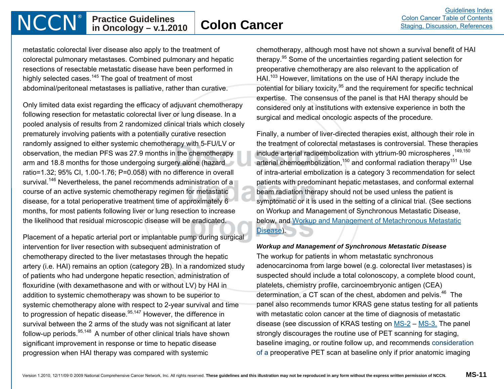#### **Practice Guidelines**NCCN<sup>®</sup> **in Oncology – v.1.2010**

metastatic colorectal liver disease also apply to the treatment of colorectal pulmonary metastases. Combined pulmonary and hepatic resections of resectable metastatic disease have been performed in highly selected cases.<sup>145</sup> The goal of treatment of most abdominal/peritoneal metastases is palliative, rather than curative.

Only limited data exist regarding the efficacy of adjuvant chemotherapy following resection for metastatic colorectal liver or lung disease. In a pooled analysis of results from 2 randomized clinical trials which closely prematurely involving patients with a potentially curative resection randomly assigned to either systemic chemotherapy with 5-FU/LV or observation, the median PFS was 27.9 months in the chemotherapy arm and 18.8 months for those undergoing surgery alone (hazard ratio=1.32; 95% CI, 1.00-1.76; P=0.058) with no difference in overall survival.<sup>146</sup> Nevertheless, the panel recommends administration of a course of an active systemic chemotherapy regimen for metastatic disease, for a total perioperative treatment time of approximately 6 months, for most patients following liver or lung resection to increase the likelihood that residual microscopic disease will be eradicated.

Placement of a hepatic arterial port or implantable pump during surgical intervention for liver resection with subsequent administration of chemotherapy directed to the liver metastases through the hepatic artery (i.e. HAI) remains an option (category 2B). In a randomized study of patients who had undergone hepatic resection, administration of floxuridine (with dexamethasone and with or without LV) by HAI in addition to systemic chemotherapy was shown to be superior to systemic chemotherapy alone with respect to 2-year survival and time to progression of hepatic disease. $95,147$  However, the difference in survival between the 2 arms of the study was not significant at later follow-up periods.<sup>95,148</sup> A number of other clinical trials have shown significant improvement in response or time to hepatic disease progression when HAI therapy was compared with systemic

chemotherapy, although most have not shown a survival benefit of HAI therapy.95 Some of the uncertainties regarding patient selection for preoperative chemotherapy are also relevant to the application of HAI.<sup>103</sup> However, limitations on the use of HAI therapy include the potential for biliary toxicity, $95$  and the requirement for specific technical expertise. The consensus of the panel is that HAI therapy should be considered only at institutions with extensive experience in both the surgical and medical oncologic aspects of the procedure.

Finally, a number of liver-directed therapies exist, although their role in the treatment of colorectal metastases is controversial. These therapies include arterial radioembolization with yttrium-90 microspheres .<sup>149,150</sup> arterial chemoembolization,<sup>150</sup> and conformal radiation therapy<sup>151</sup> Use of intra-arterial embolization is a category 3 recommendation for select patients with predominant hepatic metastases, and conformal external beam radiation therapy should not be used unless the patient is symptomatic or it is used in the setting of a clinical trial. (See sections on Workup and Management of Synchronous Metastatic Disease, below, and [Workup and Management of Metachronous Metastatic](#page-51-0)  [Disease\).](#page-51-0) 

#### *Workup and Management of Synchronous Metastatic Disease*

The workup for patients in whom metastatic synchronous adenocarcinoma from large bowel (e.g. colorectal liver metastases) is suspected should include a total colonoscopy, a complete blood count, platelets, chemistry profile, carcinoembryonic antigen (CEA) determination, a CT scan of the chest, abdomen and pelvis.<sup>46</sup> The panel also recommends tumor KRAS gene status testing for all patients with metastatic colon cancer at the time of diagnosis of metastatic disease (see discussion of KRAS testing o[n MS-2 –](#page-39-0) [MS-3.](#page-40-0) The panel strongly discourages the routine use of PET scanning for staging, baseline imaging, or routine follow up, and recommends consideration of a preoperative PET scan at baseline only if prior anatomic imaging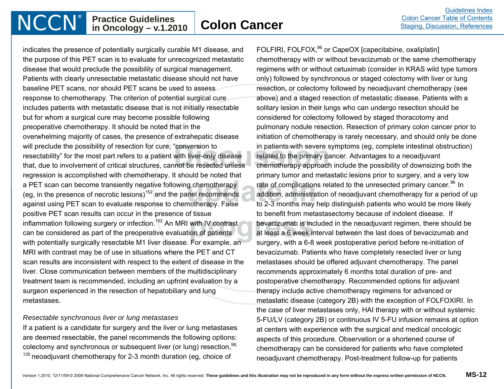#### **Practice Guidelines**NCCN<sup>®</sup> **in Oncology – v.1.2010**

indicates the presence of potentially surgically curable M1 disease, and the purpose of this PET scan is to evaluate for unrecognized metastatic disease that would preclude the possibility of surgical management. Patients with clearly unresectable metastatic disease should not have baseline PET scans, nor should PET scans be used to assess response to chemotherapy. The criterion of potential surgical cure includes patients with metastatic disease that is not initially resectable but for whom a surgical cure may become possible following preoperative chemotherapy. It should be noted that in the overwhelming majority of cases, the presence of extrahepatic disease will preclude the possibility of resection for cure; "conversion to resectability" for the most part refers to a patient with liver-only disease that, due to involvement of critical structures, cannot be resected unless regression is accomplished with chemotherapy. It should be noted that a PET scan can become transiently negative following chemotherapy (eq. in the presence of necrotic lesions)<sup>152</sup> and the panel recommends against using PET scan to evaluate response to chemotherapy. False positive PET scan results can occur in the presence of tissue inflammation following surgery or infection.<sup>152</sup> An MRI with IV contrast can be considered as part of the preoperative evaluation of patients with potentially surgically resectable M1 liver disease. For example, an MRI with contrast may be of use in situations where the PET and CT scan results are inconsistent with respect to the extent of disease in the liver. Close communication between members of the multidisciplinary treatment team is recommended, including an upfront evaluation by a surgeon experienced in the resection of hepatobiliary and lung metastases.

#### *Resectable synchronous liver or lung metastases*

If a patient is a candidate for surgery and the liver or lung metastases are deemed resectable, the panel recommends the following options: colectomy and synchronous or subsequent liver (or lung) resection, <sup>98,</sup>  $130$  neoadjuvant chemotherapy for 2-3 month duration (eg, choice of

FOLFIRI, FOLFOX,<sup>96</sup> or CapeOX [capecitabine, oxaliplatin] chemotherapy with or without bevacizumab or the same chemotherapy regimens with or without cetuximab (consider in KRAS wild type tumors only) followed by synchronous or staged colectomy with liver or lung resection, or colectomy followed by neoadjuvant chemotherapy (see above) and a staged resection of metastatic disease. Patients with a solitary lesion in their lungs who can undergo resection should be considered for colectomy followed by staged thoracotomy and pulmonary nodule resection. Resection of primary colon cancer prior to initiation of chemotherapy is rarely necessary, and should only be done in patients with severe symptoms (eg, complete intestinal obstruction) related to the primary cancer. Advantages to a neoadjuvant chemotherapy approach include the possibility of downsizing both the primary tumor and metastatic lesions prior to surgery, and a very low rate of complications related to the unresected primary cancer.<sup>96</sup> In addition, administration of neoadjuvant chemotherapy for a period of up to 2-3 months may help distinguish patients who would be more likely to benefit from metastasectomy because of indolent disease. If bevacizumab is included in the neoadjuvant regimen, there should be at least a 6 week interval between the last does of bevacizumab and surgery, with a 6-8 week postoperative period before re-initiation of bevacizumab. Patients who have completely resected liver or lung metastases should be offered adjuvant chemotherapy. The panel recommends approximately 6 months total duration of pre- and postoperative chemotherapy. Recommended options for adjuvant therapy include active chemotherapy regimens for advanced or metastatic disease (category 2B) wit[h the exce](#page-23-0)ption of FOLFOXIRI. In the case of liver metastases only, HAI therapy with or without systemic 5-FU/LV (category 2B) or continuous IV 5-FU infusion remains at option at centers with experience with the surgical and medical oncologic aspects of this procedure. Observation or a shortened course of chemotherapy can be considered for patients who have completed neoadjuvant chemotherapy. Post-treatment follow-up for patients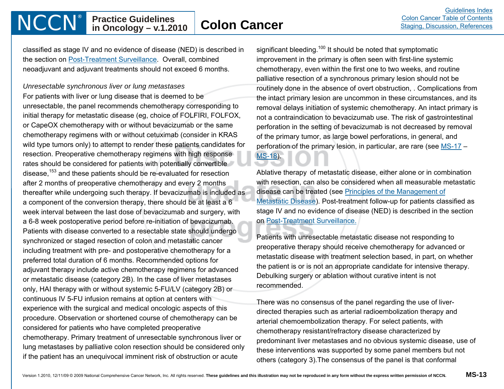#### **Practice Guidelines** $\mathbf{NCCN}^\circ$  Practice Guideline **in Oncology – v.1.2010**

classified as stage IV and no evidence of disease (NED) is described in the section o[n Post-Treatment Surveillance.](#page-59-0) Overall, combined neoadjuvant and adjuvant treatments should not exceed 6 months.

#### *Unresectable synchronous liver or lung metastases*

For patients with liver or lung disease that is deemed to be unresectable, the panel recommends chemotherapy corresponding to initial therapy for metastatic disease (eg, choice of FOLFIRI, FOLFOX, or CapeOX chemotherapy with or without bevacizumab or the same chemotherapy regimens with or without cetuximab (consider in KRAS wild type tumors only) to attempt to render these patients candidates for resection. Preoperative chemotherapy regimens with high response rates should be considered for patients with potentially convertible disease,153 and these patients should be re-evaluated for resection after 2 months of preoperative chemotherapy and every 2 months thereafter while undergoing such therapy. If bevacizumab is included as a component of the conversion therapy, there should be at least a 6 week interval between the last dose of bevacizumab and surgery, with a 6-8 week postoperative period before re-initiation of bevacizumab. Patients with disease converted to a resectable state should undergo synchronized or staged resection of colon and metastatic cancer including treatment with pre- and postoperative chemotherapy for a preferred total duration of 6 months. Recommended options for adjuvant therapy include active chemotherapy regimens for advanced or metastatic disease (category 2B). In the case of liver metastases only, HAI therapy with or without systemic 5-FU/LV (category 2B) or continuous IV 5-FU infusion remains at option at centers with experience with the surgical and medical oncologic aspects of this procedure. Observation or shortened course of chemotherapy can be considered for patients who have completed preoperative chemotherapy. Primary treatment of unresectable synchronous liver or lung metastases by palliative colon resection should be considered only if the patient has an unequivocal imminent risk of obstruction or acute

significant bleeding.<sup>100</sup> It should be noted that symptomatic improvement in the primary is often seen with first-line systemic chemotherapy, even within the first one to two weeks, and routine palliative resection of a synchronous primary lesion should not be routinely done in the absence of overt obstruction, . Complications from the intact primary lesion are uncommon in these circumstances, and its removal delays initiation of systemic chemotherapy. An intact primary is not a contraindication to bevacizumab use. The risk of gastrointestinal perforation in the setting of bevacizumab is not decreased by removal of the primary tumor, as large bowel perforations, in general, and perforation of the primary lesion, in particular, are rare (se[e MS-17 –](#page-54-0)  [MS-18\)](#page-55-0).

Ablative therapy of metastatic disease, either alone or in combination with resection, can also be considered when all measurable metastatic disease can be treated (se[e Principles of the Management of](#page-44-0)  [Metastatic Disease\).](#page-44-0) Post-treatment follow-up for patients classified as stage IV and no evidence of disease (NED) is described in the section o[n Post-Treatment Surveillance.](#page-59-0)

Patients with unresectable metastatic disease not responding to preoperative therapy should receive chemotherapy for advanced or metastatic disease with treatment selection based, in part, on whether the patient is or is not an appropriate candidate for intensive therapy. Debulking surgery or ablation without curative intent is not recommended.

There was no consensus of the panel regarding the use of liverdirected therapies such as arterial radioembolization therapy and arterial chemoembolization therapy. For select patients, with chemotherapy resistant/refractory disease characterized by predominant liver metastases and no obvious systemic disease, use of these interventions was supported by some panel members but not others (category 3).The consensus of the panel is that conformal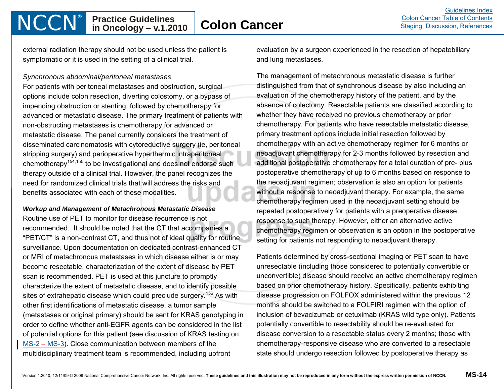<span id="page-51-0"></span>external radiation therapy should not be used unless the patient is symptomatic or it is used in the setting of a clinical trial.

#### *Synchronous abdominal/peritoneal metastases*

For patients with peritoneal metastases and obstruction, surgical options include colon resection, diverting colostomy, or a bypass of impending obstruction or stenting, followed by chemotherapy for advanced or metastatic disease. The primary treatment of patients with non-obstructing metastases is chemotherapy for advanced or metastatic disease. The panel currently considers the treatment of disseminated carcinomatosis with cytoreductive surgery (ie, peritoneal stripping surgery) and perioperative hyperthermic intraperitoneal chemotherapy<sup>154,155</sup> to be investigational and does not endorse such therapy outside of a clinical trial. However, the panel recognizes the need for randomized clinical trials that will address the risks and benefits associated with each of these modalities.

#### *Workup and Management of Metachronous Metastatic Disease*

Routine use of PET to monitor for disease recurrence is not recommended. It should be noted that the CT that accompanies a "PET/CT" is a non-contrast CT, and thus not of ideal quality for routine surveillance. Upon documentation on dedicated contrast-enhanced CT or MRI of metachronous metastases in which disease either is or may become resectable, characterization of the extent of disease by PET scan is recommended. PET is used at this juncture to promptly characterize the extent of metastatic disease, and to identify possible sites of extrahepatic disease which could preclude surgery.<sup>156</sup> As with other first identifications of metastatic disease, a tumor sample (metastases or original primary) should be sent for KRAS genotyping in order to define whether anti-EGFR agents can be considered in the list of potential options for this patient (see discussion of KRAS testing on [MS-2 –](#page-39-0) [MS-3\).](#page-40-0) Close communication between members of the multidisciplinary treatment team is recommended, including upfront

evaluation by a surgeon experienced in the resection of hepatobiliary and lung metastases.

The management of metachronous metastatic disease is further distinguished from that of synchronous disease by also including an evaluation of the chemotherapy history of the patient, and by the absence of colectomy. Resectable patients are classified according to whether they have received no previous chemotherapy or prior chemotherapy. For patients who have resectable metastatic disease, primary treatment options include initial resection followed by chemotherapy with an active chemotherapy regimen for 6 months or neoadjuvant chemotherapy for 2-3 months followed by resection and additional postoperative chemotherapy for a total duration of pre- plus postoperative chemotherapy of up to 6 months based on response to the neoadjuvant regimen; observation is also an option for patients without a response to neoadjuvant therapy. For example, the same chemotherapy regimen used in the neoadjuvant setting should be repeated postoperatively for patients with a preoperative disease response to such therapy. However, either an alternative active chemotherapy regimen or observation is an option in the postoperative setting for patients not responding to neoadjuvant therapy.

Patients determined by cross-sectional imaging or PET scan to have unresectable (including those considered to potentially convertible or unconvertible) disease should receive an active chemotherapy regimen based on prior chemotherapy history. Specifically, patients exhibiting disease progression on FOLFOX administered within the previous 12 months should be switched to a FOLFIRI regimen with the option of inclusion of bevacizumab or cetuximab (KRAS wild type only). Patients potentially convertible to resectability should be re-evaluated for disease conversion to a resectable status every 2 months; those with chemotherapy-responsive disease who are converted to a resectable state should undergo resection followed by postoperative therapy as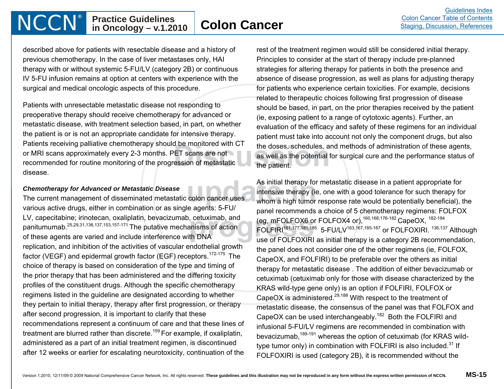#### <span id="page-52-0"></span>**Practice Guidelines** $\mathbf{NCCN}^\circ$  Practice Guideline **in Oncology – v.1.2010**

described above for patients with resectable disease and a history of previous chemotherapy. In the case of liver metastases only, HAI therapy with or without systemic 5-FU/LV (category 2B) or continuous IV 5-FU infusion remains at option at centers with experience with the surgical and medical oncologic aspects of this procedure.

Patients with unresectable metastatic disease not responding to preoperative therapy should receive chemotherapy for advanced or metastatic disease, with treatment selection based, in part, on whether the patient is or is not an appropriate candidate for intensive therapy. Patients receiving palliative chemotherapy should be monitored with CT or MRI scans approximately every 2-3 months. PET scans are not recommended for routine monitoring of the progression of metastatic disease.

#### *Chemotherapy for Advanced or Metastatic Disease*

The current management of disseminated metastatic colon cancer uses various active drugs, either in combination or as single agents: 5-FU/ LV, capecitabine; irinotecan, oxaliplatin, bevacizumab, cetuximab, and panitumumab.25,29,31,136,137,153,157-171 The putative mechanisms of action of these agents are varied and include interference with DNA replication, and inhibition of the activities of vascular endothelial growth factor (VEGF) and epidermal growth factor (EGF) receptors.<sup>172-175</sup> The choice of therapy is based on consideration of the type and timing of the prior therapy that has been administered and the differing toxicity profiles of the constituent drugs. Although the specific chemotherapy regimens listed in the guideline are designated according to whether they pertain to initial therapy, therapy after first progression, or therapy after second progression, it is important to clarify that these recommendations represent a continuum of care and that these lines of treatment are blurred rather than discrete.<sup>159</sup> For example, if oxaliplatin, administered as a part of an initial treatment regimen, is discontinued after 12 weeks or earlier for escalating neurotoxicity, continuation of the

rest of the treatment regimen would still be considered initial therapy. Principles to consider at the start of therapy include pre-planned strategies for altering therapy for patients in both the presence and absence of disease progression, as well as plans for adjusting therapy for patients who experience certain toxicities. For example, decisions related to therapeutic choices following first progression of disease should be based, in part, on the prior therapies received by the patient (ie, exposing patient to a range of cytotoxic agents). Further, an evaluation of the efficacy and safety of these regimens for an individual patient must take into account not only the component drugs, but also the doses, schedules, and methods of administration of these agents, as well as the potential for surgical cure and the performance status of the patient.

As initial therapy for metastatic disease in a patient appropriate for intensive therapy (ie, one with a good tolerance for such therapy for whom a high tumor response rate would be potentially beneficial), the panel recommends a choice of 5 chemotherapy regimens: FOLFOX (eg, mFOLFOX6 or FOLFOX4 or),160,168,176-182 CapeOX, 182-184 FOLFIRI161,177,181,185 5-FU/LV163,167,185-187 or FOLFOXIRI. 136,137 Although use of FOLFOXIRI as initial therapy is a category 2B recommendation, the panel does not consider one of the other regimens (ie, FOLFOX, CapeOX, and FOLFIRI) to be preferable over the others as initial therapy for metastatic disease . The addition of either bevacizumab or cetuximab (cetuximab only for those with disease characterized by the KRAS wild-type gene only) is an option if FOLFIRI, FOLFOX or CapeOX is administered.<sup>29,188</sup> With respect to the treatment of metastatic disease, the consensus of the panel was that FOLFOX and CapeOX can be used interchangeably.182 Both the FOLFIRI and infusional 5-FU/LV regimens are recommended in combination with bevacizumab,  $189-191$  whereas the option of cetuximab (for KRAS wildtype tumor only) in combination with FOLFIRI is also included.<sup>31</sup> If FOLFOXIRI is used (category 2B), it is recommended without the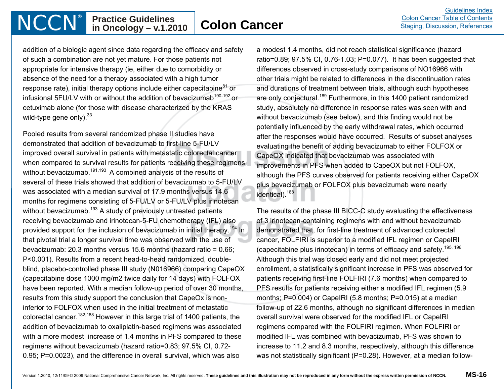addition of a biologic agent since data regarding the efficacy and safety of such a combination are not yet mature. For those patients not appropriate for intensive therapy (ie, either due to comorbidity or absence of the need for a therapy associated with a high tumor response rate), initial therapy options include either capecitabine $81$  or infusional 5FU/LV with or without the addition of bevacizumab<sup>190-192</sup> or cetuximab alone (for those with disease characterized by the KRAS wild-type gene only).  $33$ 

Pooled results from several randomized phase II studies have demonstrated that addition of bevacizumab to first-line 5-FU/LV improved overall survival in patients with metastatic colorectal cancer when compared to survival results for patients receiving these regimens without bevacizumab.<sup>191,193</sup> A combined analysis of the results of several of these trials showed that addition of bevacizumab to 5-FU/LV was associated with a median survival of 17.9 months versus 14.6 months for regimens consisting of 5-FU/LV or 5-FU/LV plus irinotecan without bevacizumab.<sup>193</sup> A study of previously untreated patients receiving bevacizumab and irinotecan-5-FU chemotherapy (IFL) also provided support for the inclusion of bevacizumab in initial therapy.<sup>194</sup> In that pivotal trial a longer survival time was observed with the use of bevacizumab: 20.3 months versus 15.6 months (hazard ratio = 0.66; P<0.001). Results from a recent head-to-head randomized, doubleblind, placebo-controlled phase III study (N016966) comparing CapeOX (capecitabine dose 1000 mg/m2 twice daily for 14 days) with FOLFOX have been reported. With a median follow-up period of over 30 months, results from this study support the conclusion that CapeOx is noninferior to FOLFOX when used in the initial treatment of metastatic colorectal cancer.182,188 However in this large trial of 1400 patients, the addition of bevacizumab to oxaliplatin-based regimens was associated with a more modest increase of 1.4 months in PFS compared to these regimens without bevacizumab (hazard ratio=0.83; 97.5% CI, 0.72- 0.95; P=0.0023), and the difference in overall survival, which was also

a modest 1.4 months, did not reach statistical significance (hazard ratio=0.89; 97.5% CI, 0.76-1.03; P=0.077). It has been suggested that differences observed in cross-study comparisons of NO16966 with other trials might be related to differences in the discontinuation rates and durations of treatment between trials, although such hypotheses are only conjectural.<sup>189</sup> Furthermore, in this 1400 patient randomized study, absolutely no difference in response rates was seen with and without bevacizumab (see below), and this finding would not be potentially influenced by the early withdrawal rates, which occurred after the responses would have occurred. Results of subset analyses evaluating the benefit of adding bevacizumab to either FOLFOX or CapeOX indicated that bevacizumab was associated with improvements in PFS when added to CapeOX but not FOLFOX, although the PFS curves observed for patients receiving either CapeOX plus bevacizumab or FOLFOX plus bevacizumab were nearly identical).<sup>188</sup>

The results of the phase III BICC-C study evaluating the effectiveness of 3 irinotecan-containing regimens with and without bevacizumab demonstrated that, for first-line treatment of advanced colorectal cancer, FOLFIRI is superior to a modified IFL regimen or CapeIRI (capecitabine plus irinotecan) in terms of efficacy and safety.195, 196 Although this trial was closed early and did not meet projected enrollment, a statistically significant increase in PFS was observed for patients receiving first-line FOLFIRI (7.6 months) when compared to PFS results for patients receiving either a modified IFL regimen (5.9 months; P=0.004) or CapeIRI (5.8 months; P=0.015) at a median follow-up of 22.6 months, although no significant differences in median overall survival were observed for the modified IFL or CapeIRI regimens compared with the FOLFIRI regimen. When FOLFIRI or modified IFL was combined with bevacizumab, PFS was shown to increase to 11.2 and 8.3 months, respectively, although this difference was not statistically significant (P=0.28). However, at a median follow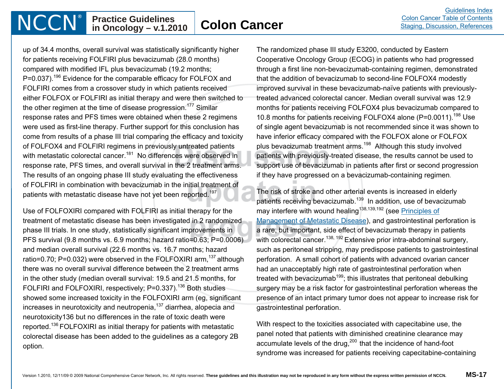<span id="page-54-0"></span>up of 34.4 months, overall survival was statistically significantly higher for patients receiving FOLFIRI plus bevacizumab (28.0 months) compared with modified IFL plus bevacizumab (19.2 months; P=0.037).<sup>196</sup> Evidence for the comparable efficacy for FOLFOX and FOLFIRI comes from a crossover study in which patients received either FOLFOX or FOLFIRI as initial therapy and were then switched to the other regimen at the time of disease progression.<sup>177</sup> Similar response rates and PFS times were obtained when these 2 regimens were used as first-line therapy. Further support for this conclusion has come from results of a phase III trial comparing the efficacy and toxicity of FOLFOX4 and FOLFIRI regimens in previously untreated patients with metastatic colorectal cancer.<sup>181</sup> No differences were observed in response rate, PFS times, and overall survival in the 2 treatment arms. The results of an ongoing phase III study evaluating the effectiveness of FOLFIRI in combination with bevacizumab in the initial treatment of patients with metastatic disease have not yet been reported.<sup>197</sup>

Use of FOLFOXIRI compared with FOLFIRI as initial therapy for the treatment of metastatic disease has been investigated in 2 randomized phase III trials. In one study, statistically significant improvements in PFS survival (9.8 months vs. 6.9 months; hazard ratio=0.63; P=0.0006) and median overall survival (22.6 months vs. 16.7 months; hazard ratio=0.70; P=0.032) were observed in the FOLFOXIRI arm,<sup>137</sup> although there was no overall survival difference between the 2 treatment arms in the other study (median overall survival: 19.5 and 21.5 months, for FOLFIRI and FOLFOXIRI, respectively; P=0.337).<sup>136</sup> Both studies showed some increased toxicity in the FOLFOXIRI arm (eg, significant increases in neurotoxicity and neutropenia, $137$  diarrhea, alopecia and neurotoxicity136 but no differences in the rate of toxic death were reported.136 FOLFOXIRI as initial therapy for patients with metastatic colorectal disease has been added to the guidelines as a category 2B option.

The randomized phase III study E3200, conducted by Eastern Cooperative Oncology Group (ECOG) in patients who had progressed through a first line non-bevacizumab-containing regimen, demonstrated that the addition of bevacizumab to second-line FOLFOX4 modestly improved survival in these bevacizumab-naïve patients with previouslytreated advanced colorectal cancer. Median overall survival was 12.9 months for patients receiving FOLFOX4 plus bevacizumab compared to 10.8 months for patients receiving FOLFOX4 alone (P=0.0011).<sup>198</sup> Use of single agent bevacizumab is not recommended since it was shown to have inferior efficacy compared with the FOLFOX alone or FOLFOX plus bevacizumab treatment arms.198 Although this study involved patients with previously-treated disease, the results cannot be used to support use of bevacizumab in patients after first or second progression if they have progressed on a bevacizumab-containing regimen.

The risk of stroke and other arterial events is increased in elderly patients receiving bevacizumab.<sup>139</sup> In addition, use of bevacizumab may interfere with wound healing<sup>138,139,192</sup> (see Principles of [Management of Metastatic Disease\),](#page-44-0) and gastrointestinal perforation is a rare, but important, side effect of bevacizumab therapy in patients with colorectal cancer.<sup>138, 192</sup> Extensive prior intra-abdominal surgery, such as peritoneal stripping, may predispose patients to gastrointestinal perforation. A small cohort of patients with advanced ovarian cancer had an unacceptably high rate of gastrointestinal perforation when treated with bevacizumab<sup>199</sup>; this illustrates that peritoneal debulking surgery may be a risk factor for gastrointestinal perforation whereas the presence of an intact primary tumor does not appear to increase risk for gastrointestinal perforation.

With respect to the toxicities associated with capecitabine use, the panel noted that patients with diminished creatinine clearance may accumulate levels of the drug, $200$  that the incidence of hand-foot syndrome was increased for patients receiving capecitabine-containing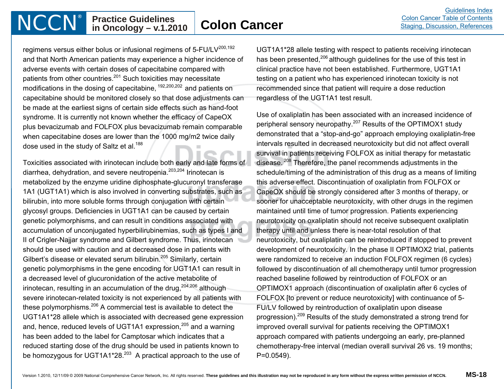<span id="page-55-0"></span>regimens versus either bolus or infusional regimens of 5-FU/LV<sup>200,192</sup> and that North American patients may experience a higher incidence of adverse events with certain doses of capecitabine compared with patients from other countries.<sup>201</sup> Such toxicities may necessitate modifications in the dosing of capecitabine, 192,200,202 and patients on capecitabine should be monitored closely so that dose adjustments can be made at the earliest signs of certain side effects such as hand-foot syndrome. It is currently not known whether the efficacy of CapeOX plus bevacizumab and FOLFOX plus bevacizumab remain comparable when capecitabine doses are lower than the 1000 mg/m2 twice daily dose used in the study of Saltz et al.<sup>188</sup>

Toxicities associated with irinotecan include both early and late forms of diarrhea, dehydration, and severe neutropenia.<sup>203,204</sup> Irinotecan is metabolized by the enzyme uridine diphosphate-glucuronyl transferase 1A1 (UGT1A1) which is also involved in converting substrates, such as bilirubin, into more soluble forms through conjugation with certain glycosyl groups. Deficiencies in UGT1A1 can be caused by certain genetic polymorphisms, and can result in conditions associated with accumulation of unconjugated hyperbilirubinemias, such as types I and II of Crigler-Najjar syndrome and Gilbert syndrome. Thus, irinotecan should be used with caution and at decreased dose in patients with Gilbert's disease or elevated serum bilirubin.<sup>205</sup> Similarly, certain genetic polymorphisms in the gene encoding for UGT1A1 can result in a decreased level of glucuronidation of the active metabolite of irinotecan, resulting in an accumulation of the drug,  $204,206$  although severe irinotecan-related toxicity is not experienced by all patients with these polymorphisms.206 A commercial test is available to detect the UGT1A1\*28 allele which is associated with decreased gene expression and, hence, reduced levels of UGT1A1 expression,<sup>205</sup> and a warning has been added to the label for Camptosar which indicates that a reduced starting dose of the drug should be used in patients known to be homozygous for UGT1A1\*28.<sup>203</sup> A practical approach to the use of

UGT1A1\*28 allele testing with respect to patients receiving irinotecan has been presented,<sup>206</sup> although guidelines for the use of this test in clinical practice have not been established. Furthermore, UGT1A1 testing on a patient who has experienced irinotecan toxicity is not recommended since that patient will require a dose reduction regardless of the UGT1A1 test result.

Use of oxaliplatin has been associated with an increased incidence of peripheral sensory neuropathy.<sup>207</sup> Results of the OPTIMOX1 study demonstrated that a "stop-and-go" approach employing oxaliplatin-free intervals resulted in decreased neurotoxicity but did not affect overall survival in patients receiving FOLFOX as initial therapy for metastatic disease. <sup>208</sup> Therefore, the panel recommends adjustments in the schedule/timing of the administration of this drug as a means of limiting this adverse effect. Discontinuation of oxaliplatin from FOLFOX or CapeOX should be strongly considered after 3 months of therapy, or sooner for unacceptable neurotoxicity, with other drugs in the regimen maintained until time of tumor progression. Patients experiencing neurotoxicity on oxaliplatin should not receive subsequent oxaliplatin therapy until and unless there is near-total resolution of that neurotoxicity, but oxaliplatin can be reintroduced if stopped to prevent development of neurotoxicity. In the phase II OPTIMOX2 trial, patients were randomized to receive an induction FOLFOX regimen (6 cycles) followed by discontinuation of all chemotherapy until tumor progression reached baseline followed by reintroduction of FOLFOX or an OPTIMOX1 approach (discontinuation of oxaliplatin after 6 cycles of FOLFOX [to prevent or reduce neurotoxicity] with continuance of 5- FU/LV followed by reintroduction of oxaliplatin upon disease progression).<sup>209</sup> Results of the study demonstrated a strong trend for improved overall survival for patients receiving the OPTIMOX1 approach compared with patients undergoing an early, pre-planned chemotherapy-free interval (median overall survival 26 vs. 19 months; P=0.0549).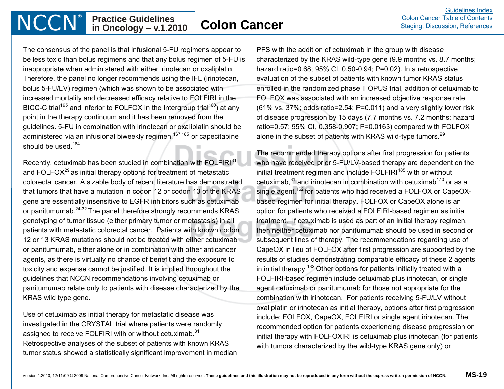The consensus of the panel is that infusional 5-FU regimens appear to be less toxic than bolus regimens and that any bolus regimen of 5-FU is inappropriate when administered with either irinotecan or oxaliplatin. Therefore, the panel no longer recommends using the IFL (irinotecan, bolus 5-FU/LV) regimen (which was shown to be associated with increased mortality and decreased efficacy relative to FOLFIRI in the BICC-C trial<sup>195</sup> and inferior to FOLFOX in the Intergroup trial<sup>160</sup>) at any point in the therapy continuum and it has been removed from the guidelines. 5-FU in combination with irinotecan or oxaliplatin should be administered via an infusional biweekly regimen,<sup>167,185</sup> or capecitabine should be used.<sup>164</sup>

Recently, cetuximab has been studied in combination with FOLFIRI<sup>31</sup> and FOLFO $X^{29}$  as initial therapy options for treatment of metastatic colorectal cancer. A sizable body of recent literature has demonstrated that tumors that have a mutation in codon 12 or codon 13 of the KRAS gene are essentially insensitive to EGFR inhibitors such as cetuximab or panitumumab.<sup>24-32</sup> The panel therefore strongly recommends KRAS genotyping of tumor tissue (either primary tumor or metastasis) in all patients with metastatic colorectal cancer. Patients with known codon 12 or 13 KRAS mutations should not be treated with either cetuximab or panitumumab, either alone or in combination with other anticancer agents, as there is virtually no chance of benefit and the exposure to toxicity and expense cannot be justified. It is implied throughout the guidelines that NCCN recommendations involving cetuximab or panitumumab relate only to patients with disease characterized by the KRAS wild type gene.

Use of cetuximab as initial therapy for metastatic disease was investigated in the CRYSTAL trial where patients were randomly assigned to receive FOLFIRI with or without cetuximab.<sup>31</sup> Retrospective analyses of the subset of patients with known KRAS tumor status showed a statistically significant improvement in median

PFS with the addition of cetuximab in the group with disease characterized by the KRAS wild-type gene (9.9 months vs. 8.7 months; hazard ratio=0.68; 95% CI, 0.50-0.94; P=0.02). In a retrospective evaluation of the subset of patients with known tumor KRAS status enrolled in the randomized phase II OPUS trial, addition of cetuximab to FOLFOX was associated with an increased objective response rate (61% vs. 37%; odds ratio=2.54; P=0.011) and a very slightly lower risk of disease progression by 15 days (7.7 months vs. 7.2 months; hazard ratio=0.57; 95% CI, 0.358-0.907; P=0.0163) compared with FOLFOX alone in the subset of patients with KRAS wild-type tumors.<sup>29</sup>

The recommended therapy options after first progression for patients who have received prior 5-FU/LV-based therapy are dependent on the initial treatment regimen and include  $FOLFIR1<sup>185</sup>$  with or without cetuximab, $31$  and irinotecan in combination with cetuximab<sup>170</sup> or as a single agent, $162$  for patients who had received a FOLFOX or CapeOXbased regimen for initial therapy. FOLFOX or CapeOX alone is an option for patients who received a FOLFIRI-based regimen as initial treatment. If cetuximab is used as part of an initial therapy regimen, then neither cetuximab nor panitumumab should be used in second or subsequent lines of therapy. The recommendations regarding use of CapeOX in lieu of FOLFOX after first progression are supported by the results of studies demonstrating comparable efficacy of these 2 agents in initial therapy.<sup>182</sup> Other options for patients initially treated with a FOLFIRI-based regimen include cetuximab plus irinotecan, or single agent cetuximab or panitumumab for those not appropriate for the combination with irinotecan. For patients receiving 5-FU/LV without oxaliplatin or irinotecan as initial therapy, options after first progression include: FOLFOX, CapeOX, FOLFIRI or single agent irinotecan. The recommended option for patients experiencing disease progression on initial therapy with FOLFOXIRI is cetuximab plus irinotecan (for patients with tumors characterized by the wild-type KRAS gene only) or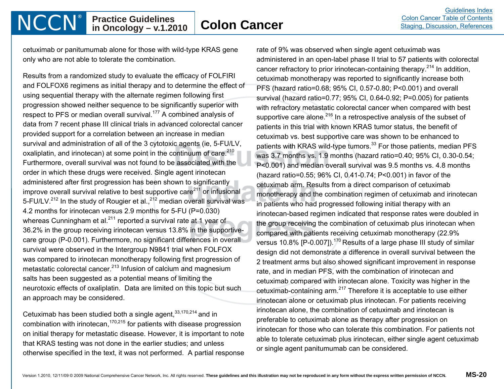cetuximab or panitumumab alone for those with wild-type KRAS gene only who are not able to tolerate the combination.

Results from a randomized study to evaluate the efficacy of FOLFIRI and FOLFOX6 regimens as initial therapy and to determine the effect of using sequential therapy with the alternate regimen following first progression showed neither sequence to be significantly superior with respect to PFS or median overall survival.<sup>177</sup> A combined analysis of data from 7 recent phase III clinical trials in advanced colorectal cancer provided support for a correlation between an increase in median survival and administration of all of the 3 cytotoxic agents (ie, 5-FU/LV, oxaliplatin, and irinotecan) at some point in the continuum of care. $210$ Furthermore, overall survival was not found to be associated with the order in which these drugs were received. Single agent irinotecan administered after first progression has been shown to significantly improve overall survival relative to best supportive care $211$  or infusional 5-FU/LV.<sup>212</sup> In the study of Rougier et al.,  $2^{12}$  median overall survival was 4.2 months for irinotecan versus 2.9 months for 5-FU (P=0.030) whereas Cunningham et al. $^{211}$  reported a survival rate at 1 year of 36.2% in the group receiving irinotecan versus 13.8% in the supportivecare group (P-0.001). Furthermore, no significant differences in overall survival were observed in the Intergroup N9841 trial when FOLFOX was compared to irinotecan monotherapy following first progression of metastatic colorectal cancer.<sup>213</sup> Infusion of calcium and magnesium salts has been suggested as a potential means of limiting the neurotoxic effects of oxaliplatin. Data are limited on this topic but such an approach may be considered.

Cetuximab has been studied both a single agent,  $33,170,214$  and in combination with irinotecan,  $170,215$  for patients with disease progression on initial therapy for metastatic disease. However, it is important to note that KRAS testing was not done in the earlier studies; and unless otherwise specified in the text, it was not performed. A partial response rate of 9% was observed when single agent cetuximab was administered in an open-label phase II trial to 57 patients with colorectal cancer refractory to prior irinotecan-containing therapy.<sup>214</sup> In addition, cetuximab monotherapy was reported to significantly increase both PFS (hazard ratio=0.68; 95% CI, 0.57-0.80; P<0.001) and overall survival (hazard ratio=0.77; 95% CI, 0.64-0.92; P=0.005) for patients with refractory metastatic colorectal cancer when compared with best supportive care alone.<sup>216</sup> In a retrospective analysis of the subset of patients in this trial with known KRAS tumor status, the benefit of cetuximab vs. best supportive care was shown to be enhanced to patients with KRAS wild-type tumors.<sup>33</sup> For those patients, median PFS was 3.7 months vs. 1.9 months (hazard ratio=0.40; 95% CI, 0.30-0.54; P<0.001) and median overall survival was 9.5 months vs. 4.8 months (hazard ratio=0.55; 96% CI, 0.41-0.74; P<0.001) in favor of the cetuximab arm. Results from a direct comparison of cetuximab monotherapy and the combination regimen of cetuximab and irinotecan in patients who had progressed following initial therapy with an irinotecan-based regimen indicated that response rates were doubled in the group receiving the combination of cetuximab plus irinotecan when compared with patients receiving cetuximab monotherapy (22.9% versus 10.8% [P-0.007]).<sup>170</sup> Results of a large phase III study of similar design did not demonstrate a difference in overall survival between the 2 treatment arms but also showed significant improvement in response rate, and in median PFS, with the combination of irinotecan and cetuximab compared with irinotecan alone. Toxicity was higher in the cetuximab-containing arm.217 Therefore it is acceptable to use either irinotecan alone or cetuximab plus irinotecan. For patients receiving irinotecan alone, the combination of cetuximab and irinotecan is preferable to cetuximab alone as therapy after progression on irinotecan for those who can tolerate this combination. For patients not able to tolerate cetuximab plus irinotecan, either single agent cetuximab or single agent panitumumab can be considered.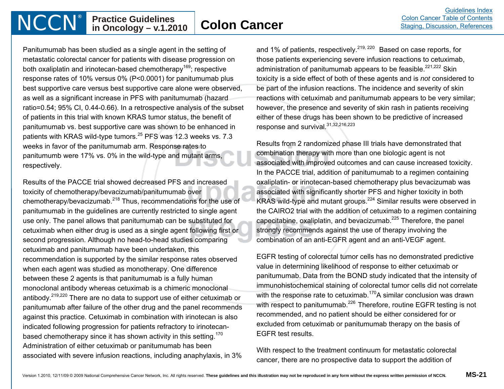Panitumumab has been studied as a single agent in the setting of metastatic colorectal cancer for patients with disease progression on both oxaliplatin and irinotecan-based chemotherapy<sup>169</sup>; respective response rates of 10% versus 0% (P<0.0001) for panitumumab plus best supportive care versus best supportive care alone were observed, as well as a significant increase in PFS with panitumumab (hazard ratio=0.54; 95% CI, 0.44-0.66). In a retrospective analysis of the subset of patients in this trial with known KRAS tumor status, the benefit of panitumumab vs. best supportive care was shown to be enhanced in patients with KRAS wild-type tumors.<sup>25</sup> PFS was 12.3 weeks vs. 7.3 weeks in favor of the panitumumab arm. Response rates to panitumumb were 17% vs. 0% in the wild-type and mutant arms, respectively.

Results of the PACCE trial showed decreased PFS and increased toxicity of chemotherapy/bevacizumab/panitumumab over chemotherapy/bevacizumab.218 Thus, recommendations for the use of panitumumab in the guidelines are currently restricted to single agent use only. The panel allows that panitumumab can be substituted for cetuximab when either drug is used as a single agent following first or second progression. Although no head-to-head studies comparing cetuximab and panitumumab have been undertaken, this recommendation is supported by the similar response rates observed when each agent was studied as monotherapy. One difference between these 2 agents is that panitumumab is a fully human monoclonal antibody whereas cetuximab is a chimeric monoclonal antibody.219,220 There are no data to support use of either cetuximab or panitumumab after failure of the other drug and the panel recommends against this practice. Cetuximab in combination with irinotecan is also indicated following progression for patients refractory to irinotecanbased chemotherapy since it has shown activity in this setting.<sup>170</sup> Administration of either cetuximab or panitumumab has been associated with severe infusion reactions, including anaphylaxis, in 3%

and 1% of patients, respectively.<sup>219, 220</sup> Based on case reports, for those patients experiencing severe infusion reactions to cetuximab, administration of panitumumab appears to be feasible.<sup>221,222</sup> Skin toxicity is a side effect of both of these agents and is *not* considered to be part of the infusion reactions. The incidence and severity of skin reactions with cetuximab and panitumumab appears to be very similar; however, the presence and severity of skin rash in patients receiving either of these drugs has been shown to be predictive of increased response and survival.<sup>31,32,216,223</sup>

Results from 2 randomized phase III trials have demonstrated that combination therapy with more than one biologic agent is not associated with improved outcomes and can cause increased toxicity. In the PACCE trial, addition of panitumumab to a regimen containing oxaliplatin- or irinotecan-based chemotherapy plus bevacizumab was associated with significantly shorter PFS and higher toxicity in both KRAS wild-type and mutant groups.<sup>224</sup> Similar results were observed in the CAIRO2 trial with the addition of cetuximab to a regimen containing capecitabine, oxaliplatin, and bevacizumab. $225$  Therefore, the panel strongly recommends against the use of therapy involving the combination of an anti-EGFR agent and an anti-VEGF agent.

EGFR testing of colorectal tumor cells has no demonstrated predictive value in determining likelihood of response to either cetuximab or panitumumab. Data from the BOND study indicated that the intensity of immunohistochemical staining of colorectal tumor cells did not correlate with the response rate to cetuximab.<sup>170</sup>A similar conclusion was drawn with respect to panitumumab.<sup>226</sup> Therefore, routine EGFR testing is not recommended, and no patient should be either considered for or excluded from cetuximab or panitumumab therapy on the basis of EGFR test results.

With respect to the treatment continuum for metastatic colorectal cancer, there are no prospective data to support the addition of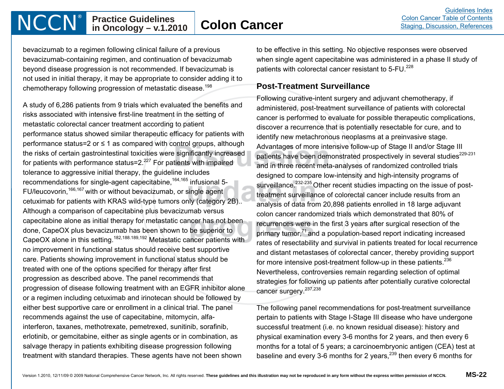#### <span id="page-59-0"></span>**Practice Guidelines** $\mathbf{NCCN}^\circ$  Practice Guideline **in Oncology – v.1.2010**

bevacizumab to a regimen following clinical failure of a previous bevacizumab-containing regimen, and continuation of bevacizumab beyond disease progression is not recommended. If bevacizumab is not used in initial therapy, it may be appropriate to consider adding it to chemotherapy following progression of metastatic disease.<sup>198</sup>

A study of 6,286 patients from 9 trials which evaluated the benefits and risks associated with intensive first-line treatment in the setting of metastatic colorectal cancer treatment according to patient performance status showed similar therapeutic efficacy for patients with performance status=2 or <sup>≤</sup> 1 as compared with control groups, although the risks of certain gastrointestinal toxicities were significantly increased for patients with performance status= $2.227$  For patients with impaired tolerance to aggressive initial therapy, the guideline includes recommendations for single-agent capecitabine,  $164,165$  infusional 5-FU/leucovorin,<sup>166,167</sup> with or without bevacizumab, or single agent cetuximab for patients with KRAS wild-type tumors only (category 2B).. Although a comparison of capecitabine plus bevacizumab versus capecitabine alone as initial therapy for metastatic cancer has not been done, CapeOX plus bevacizumab has been shown to be superior to CapeOX alone in this setting.<sup>182,188.189,192</sup> Metastatic cancer patients with no improvement in functional status should receive best supportive care. Patients showing improvement in functional status should be treated with one of the options specified for therapy after first progression as described above. The panel recommends that progression of disease following treatment with an EGFR inhibitor alone or a regimen including cetuximab and irinotecan should be followed by either best supportive care or enrollment in a clinical trial. The panel recommends against the use of capecitabine, mitomycin, alfainterferon, taxanes, methotrexate, pemetrexed, sunitinib, sorafinib, erlotinib, or gemcitabine, either as single agents or in combination, as salvage therapy in patients exhibiting disease progression following treatment with standard therapies. These agents have not been shown

to be effective in this setting. No objective responses were observed when single agent capecitabine was administered in a phase II study of patients with colorectal cancer resistant to 5-FU.<sup>228</sup>

### **Post-Treatment Surveillance**

Following curative-intent surgery and adjuvant chemotherapy, if administered, post-treatment surveillance of patients with colorectal cancer is performed to evaluate for possible therapeutic complications, discover a recurrence that is potentially resectable for cure, and to identify new metachronous neoplasms at a preinvasive stage. Advantages of more intensive follow-up of Stage II and/or Stage III patients have been demonstrated prospectively in several studies<sup>229-231</sup> and in three recent meta-analyses of randomized controlled trials designed to compare low-intensity and high-intensity programs of surveillance.<sup>232-235</sup> Other recent studies impacting on the issue of posttreatment surveillance of colorectal cancer include results from an analysis of data from 20,898 patients enrolled in 18 large adjuvant colon cancer randomized trials which demonstrated that 80% of recurrences were in the first 3 years after surgical resection of the primary tumor, $71$  and a population-based report indicating increased rates of resectability and survival in patients treated for local recurrence and distant metastases of colorectal cancer, thereby providing support for more intensive post-treatment follow-up in these patients.<sup>236</sup> Nevertheless, controversies remain regarding selection of optimal strategies for following up patients after potentially curative colorectal cancer surgery.<sup>237,238</sup>

The following panel recommendations for post-treatment surveillance pertain to patients with Stage I-Stage III disease who have undergone successful treatment (i.e. no known residual disease): history and physical examination every 3-6 months for 2 years, and then every 6 months for a total of 5 years; a carcinoembryonic antigen (CEA) test at baseline and every 3-6 months for 2 years, $^{239}$  then every 6 months for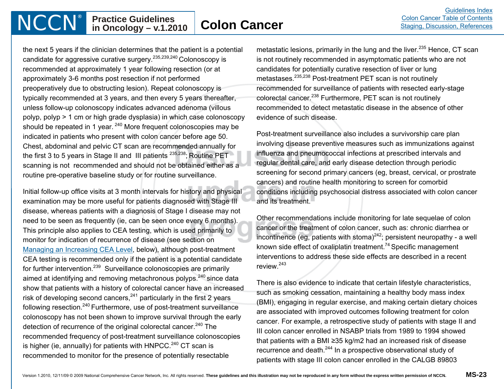the next 5 years if the clinician determines that the patient is a potential candidate for aggressive curative surgery.<sup>235,239,240</sup> Colonoscopy is recommended at approximately 1 year following resection (or at approximately 3-6 months post resection if not performed preoperatively due to obstructing lesion). Repeat colonoscopy is typically recommended at 3 years, and then every 5 years thereafter, unless follow-up colonoscopy indicates advanced adenoma (villous polyp, polyp > 1 cm or high grade dysplasia) in which case colonoscopy should be repeated in 1 year. <sup>240</sup> More frequent colonoscopies may be indicated in patients who present with colon cancer before age 50. Chest, abdominal and pelvic CT scan are recommended annually for the first 3 to 5 years in Stage II and III patients  $^{235,238}$ ; Routine PET scanning is not recommended and should not be obtained either as a routine pre-operative baseline study or for routine surveillance.

Initial follow-up office visits at 3 month intervals for history and physical examination may be more useful for patients diagnosed with Stage III disease, whereas patients with a diagnosis of Stage I disease may not need to be seen as frequently (ie, can be seen once every 6 months). This principle also applies to CEA testing, which is used primarily to monitor for indication of recurrence of disease (see section on [Managing an Increasing CEA Level,](#page-61-0) below), although post-treatment CEA testing is recommended only if the patient is a potential candidate for further intervention.<sup>239</sup> Surveillance colonoscopies are primarily aimed at identifying and removing metachronous polyps.<sup>240</sup> since data show that patients with a history of colorectal cancer have an increased risk of developing second cancers,  $241$  particularly in the first 2 years following resection.<sup>240</sup> Furthermore, use of post-treatment surveillance colonoscopy has not been shown to improve survival through the early detection of recurrence of the original colorectal cancer. $240$  The recommended frequency of post-treatment surveillance colonoscopies is higher (ie, annually) for patients with  $HNPCC<sup>240</sup>  $CT$  scan is$ recommended to monitor for the presence of potentially resectable

metastatic lesions, primarily in the lung and the liver.<sup>235</sup> Hence, CT scan is not routinely recommended in asymptomatic patients who are not candidates for potentially curative resection of liver or lung metastases.235,238 Post-treatment PET scan is not routinely recommended for surveillance of patients with resected early-stage colorectal cancer.<sup>238</sup> Furthermore, PET scan is not routinely recommended to detect metastatic disease in the absence of other evidence of such disease.

Post-treatment surveillance also includes a survivorship care plan involving disease preventive measures such as immunizations against influenza and pneumococcal infections at prescribed intervals and regular dental care, and early disease detection through periodic screening for second primary cancers (eg, breast, cervical, or prostrate cancers) and routine health monitoring to screen for comorbid conditions including psychosocial distress associated with colon cancer and its treatment.

Other recommendations include monitoring for late sequelae of colon cancer or the treatment of colon cancer, such as: chronic diarrhea or incontinence (eq. patients with stoma)<sup>242</sup>; persistent neuropathy - a well known side effect of oxaliplatin treatment.<sup>74</sup> Specific management interventions to address these side effects are described in a recent review.<sup>243</sup>

There is also evidence to indicate that certain lifestyle characteristics, such as smoking cessation, maintaining a healthy body mass index (BMI), engaging in regular exercise, and making certain dietary choices are associated with improved outcomes following treatment for colon cancer. For example, a retrospective study of patients with stage II and III colon cancer enrolled in NSABP trials from 1989 to 1994 showed that patients with a BMI <sup>≥</sup>35 kg/m2 had an increased risk of disease recurrence and death.<sup>244</sup> In a prospective observational study of patients with stage III colon cancer enrolled in the CALGB 89803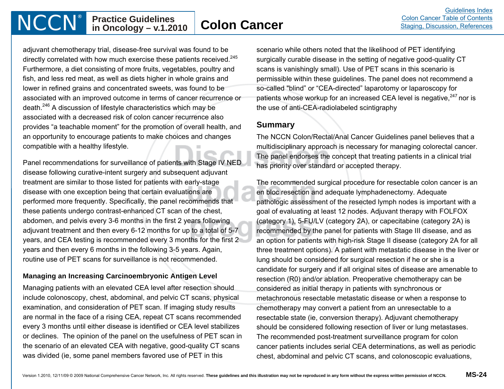<span id="page-61-0"></span>adjuvant chemotherapy trial, disease-free survival was found to be directly correlated with how much exercise these patients received.<sup>245</sup> Furthermore, a diet consisting of more fruits, vegetables, poultry and fish, and less red meat, as well as diets higher in whole grains and lower in refined grains and concentrated sweets, was found to be associated with an improved outcome in terms of cancer recurrence or death.246 A discussion of lifestyle characteristics which may be associated with a decreased risk of colon cancer recurrence also provides "a teachable moment" for the promotion of overall health, and an opportunity to encourage patients to make choices and changes compatible with a healthy lifestyle.

Panel recommendations for surveillance of patients with Stage IV NED disease following curative-intent surgery and subsequent adjuvant treatment are similar to those listed for patients with early-stage disease with one exception being that certain evaluations are performed more frequently. Specifically, the panel recommends that these patients undergo contrast-enhanced CT scan of the chest, abdomen, and pelvis every 3-6 months in the first 2 years following adjuvant treatment and then every 6-12 months for up to a total of 5-7 years, and CEA testing is recommended every 3 months for the first 2 years and then every 6 months in the following 3-5 years. Again, routine use of PET scans for surveillance is not recommended.

### **Managing an Increasing Carcinoembryonic Antigen Level**

Managing patients with an elevated CEA level after resection should include colonoscopy, chest, abdominal, and pelvic CT scans, physical examination, and consideration of PET scan. If imaging study results are normal in the face of a rising CEA, repeat CT scans recommended every 3 months until either disease is identified or CEA level stabilizes or declines. The opinion of the panel on the usefulness of PET scan in the scenario of an elevated CEA with negative, good-quality CT scans was divided (ie, some panel members favored use of PET in this

scenario while others noted that the likelihood of PET identifying surgically curable disease in the setting of negative good-quality CT scans is vanishingly small). Use of PET scans in this scenario is permissible within these guidelines. The panel does not recommend a so-called "blind" or "CEA-directed" laparotomy or laparoscopy for patients whose workup for an increased CEA level is negative, $247$  nor is the use of anti-CEA-radiolabeled scintigraphy

### **Summary**

The NCCN Colon/Rectal/Anal Cancer Guidelines panel believes that a multidisciplinary approach is necessary for managing colorectal cancer. The panel endorses the concept that treating patients in a clinical trial has priority over standard or accepted therapy.

The recommended surgical procedure for resectable colon cancer is an en bloc resection and adequate lymphadenectomy. Adequate pathologic assessment of the resected lymph nodes is important with a goal of evaluating at least 12 nodes. Adjuvant therapy with FOLFOX (category 1), 5-FU/LV (category 2A), or capecitabine (category 2A) is recommended by the panel for patients with Stage III disease, and as an option for patients with high-risk Stage II disease (category 2A for all three treatment options). A patient with metastatic disease in the liver or lung should be considered for surgical resection if he or she is a candidate for surgery and if all original sites of disease are amenable to resection (R0) and/or ablation. Preoperative chemotherapy can be considered as initial therapy in patients with synchronous or metachronous resectable metastatic disease or when a response to chemotherapy may convert a patient from an unresectable to a resectable state (ie, conversion therapy). Adjuvant chemotherapy should be considered following resection of liver or lung metastases. The recommended post-treatment surveillance program for colon cancer patients includes serial CEA determinations, as well as periodic chest, abdominal and pelvic CT scans, and colonoscopic evaluations,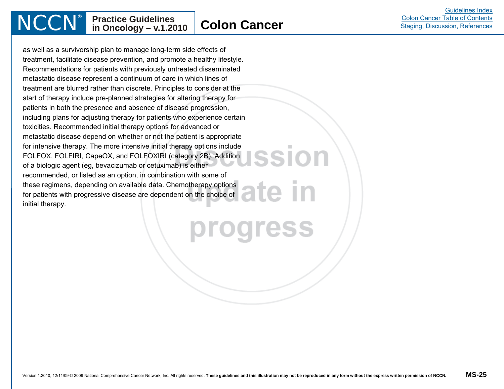# **Practice Guidelines** NCCN**in Oncology – v.1.2010 ®**

as well as a survivorship plan to manage long-term side effects of treatment, facilitate disease prevention, and promote a healthy lifestyle. Recommendations for patients with previously untreated disseminated metastatic disease represent a continuum of care in which lines of treatment are blurred rather than discrete. Principles to consider at the start of therapy include pre-planned strategies for altering therapy for patients in both the presence and absence of disease progression, including plans for adjusting therapy for patients who experience certain toxicities. Recommended initial therapy options for advanced or metastatic disease depend on whether or not the patient is appropriate for intensive therapy. The more intensive initial therapy options include FOLFOX, FOLFIRI, CapeOX, and FOLFOXIRI (category 2B). Addition of a biologic agent (eg, bevacizumab or cetuximab) is either recommended, or listed as an option, in combination with some of these regimens, depending on available data. Chemotherapy options for patients with progressive disease are dependent on the choice of initial therapy.

ogress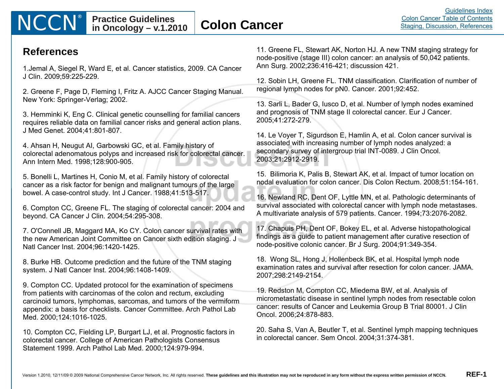# **References**

1.Jemal A, Siegel R, Ward E, et al. Cancer statistics, 2009. CA Cancer J Clin. 2009;59:225-229.

2. Greene F, Page D, Fleming I, Fritz A. AJCC Cancer Staging Manual. New York: Springer-Verlag; 2002.

3. Hemminki K, Eng C. Clinical genetic counselling for familial cancers requires reliable data on familial cancer risks and general action plans. J Med Genet. 2004;41:801-807.

4. Ahsan H, Neugut AI, Garbowski GC, et al. Family history of colorectal adenomatous polyps and increased risk for colorectal cancer. Ann Intern Med. 1998;128:900-905.

5. Bonelli L, Martines H, Conio M, et al. Family history of colorectal cancer as a risk factor for benign and malignant tumours of the large bowel. A case-control study. Int J Cancer. 1988;41:513-517.

6. Compton CC, Greene FL. The staging of colorectal cancer: 2004 and beyond. CA Cancer J Clin. 2004;54:295-308.

7. O'Connell JB, Maggard MA, Ko CY. Colon cancer survival rates with the new American Joint Committee on Cancer sixth edition staging. J Natl Cancer Inst. 2004;96:1420-1425.

8. Burke HB. Outcome prediction and the future of the TNM staging system. J Natl Cancer Inst. 2004;96:1408-1409.

9. Compton CC. Updated protocol for the examination of specimens from patients with carcinomas of the colon and rectum, excluding carcinoid tumors, lymphomas, sarcomas, and tumors of the vermiform appendix: a basis for checklists. Cancer Committee. Arch Pathol Lab Med. 2000;124:1016-1025.

10. Compton CC, Fielding LP, Burgart LJ, et al. Prognostic factors in colorectal cancer. College of American Pathologists Consensus Statement 1999. Arch Pathol Lab Med. 2000;124:979-994.

11. Greene FL, Stewart AK, Norton HJ. A new TNM staging strategy for node-positive (stage III) colon cancer: an analysis of 50,042 patients. Ann Surg. 2002;236:416-421; discussion 421.

12. Sobin LH, Greene FL. TNM classification. Clarification of number of regional lymph nodes for pN0. Cancer. 2001;92:452.

13. Sarli L, Bader G, Iusco D, et al. Number of lymph nodes examined and prognosis of TNM stage II colorectal cancer. Eur J Cancer. 2005;41:272-279.

14. Le Voyer T, Sigurdson E, Hamlin A, et al. Colon cancer survival is associated with increasing number of lymph nodes analyzed: a secondary survey of intergroup trial INT-0089. J Clin Oncol. 2003;21:2912-2919.

15. Bilimoria K, Palis B, Stewart AK, et al. Impact of tumor location on nodal evaluation for colon cancer. Dis Colon Rectum. 2008;51:154-161.

16. Newland RC, Dent OF, Lyttle MN, et al. Pathologic determinants of survival associated with colorectal cancer with lymph node metastases. A multivariate analysis of 579 patients. Cancer. 1994;73:2076-2082.

17. Chapuis PH, Dent OF, Bokey EL, et al. Adverse histopathological findings as a guide to patient management after curative resection of node-positive colonic cancer. Br J Surg. 2004;91:349-354.

18. Wong SL, Hong J, Hollenbeck BK, et al. Hospital lymph node examination rates and survival after resection for colon cancer. JAMA. 2007;298:2149-2154.

19. Redston M, Compton CC, Miedema BW, et al. Analysis of micrometastatic disease in sentinel lymph nodes from resectable colon cancer: results of Cancer and Leukemia Group B Trial 80001. J Clin Oncol. 2006;24:878-883.

20. Saha S, Van A, Beutler T, et al. Sentinel lymph mapping techniques in colorectal cancer. Sem Oncol. 2004;31:374-381.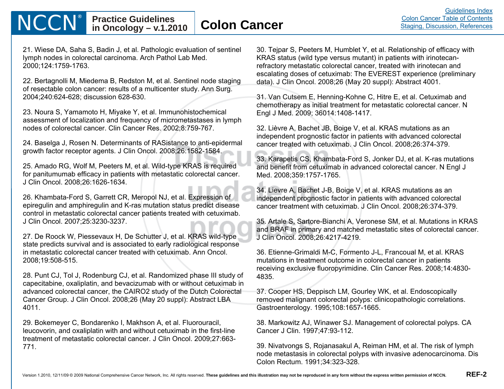21. Wiese DA, Saha S, Badin J, et al. Pathologic evaluation of sentinel lymph nodes in colorectal carcinoma. Arch Pathol Lab Med. 2000;124:1759-1763.

**Practice Guidelines**

**in Oncology – v.1.2010** 

NCCN<sup>®</sup>

22. Bertagnolli M, Miedema B, Redston M, et al. Sentinel node staging of resectable colon cancer: results of a multicenter study. Ann Surg. 2004;240:624-628; discussion 628-630.

23. Noura S, Yamamoto H, Miyake Y, et al. Immunohistochemical assessment of localization and frequency of micrometastases in lymph nodes of colorectal cancer. Clin Cancer Res. 2002;8:759-767.

24. Baselga J, Rosen N. Determinants of RASistance to anti-epidermal growth factor receptor agents. J Clin Oncol. 2008;26:1582-1584.

25. Amado RG, Wolf M, Peeters M, et al. Wild-type KRAS is required for panitumumab efficacy in patients with metastatic colorectal cancer. J Clin Oncol. 2008;26:1626-1634.

26. Khambata-Ford S, Garrett CR, Meropol NJ, et al. Expression of epiregulin and amphiregulin and K-ras mutation status predict disease control in metastatic colorectal cancer patients treated with cetuximab. J Clin Oncol. 2007;25:3230-3237.

27. De Roock W, Piessevaux H, De Schutter J, et al. KRAS wild-type state predicts survival and is associated to early radiological response in metastatic colorectal cancer treated with cetuximab. Ann Oncol. 2008;19:508-515.

28. Punt CJ, Tol J, Rodenburg CJ, et al. Randomized phase III study of capecitabine, oxaliplatin, and bevacizumab with or without cetuximab in advanced colorectal cancer, the CAIRO2 study of the Dutch Colorectal Cancer Group. J Clin Oncol. 2008;26 (May 20 suppl): Abstract LBA 4011.

29. Bokemeyer C, Bondarenko I, Makhson A, et al. Fluorouracil, leucovorin, and oxaliplatin with and without cetuximab in the first-line treatment of metastatic colorectal cancer. J Clin Oncol. 2009;27:663- 771.

30. Tejpar S, Peeters M, Humblet Y, et al. Relationship of efficacy with KRAS status (wild type versus mutant) in patients with irinotecanrefractory metastatic colorectal cancer, treated with irinotecan and escalating doses of cetuximab: The EVEREST experience (preliminary data). J Clin Oncol. 2008;26 (May 20 suppl): Abstract 4001.

31. Van Cutsem E, Henning-Kohne C, Hitre E, et al. Cetuximab and chemotherapy as initial treatment for metastatic colorectal cancer. N Engl J Med. 2009; 36014:1408-1417.

32. Lièvre A, Bachet JB, Boige V, et al. KRAS mutations as an independent prognostic factor in patients with advanced colorectal cancer treated with cetuximab. J Clin Oncol. 2008;26:374-379.

33. Karapetis CS, Khambata-Ford S, Jonker DJ, et al. K-ras mutations and benefit from cetuximab in advanced colorectal cancer. N Engl J Med. 2008;359:1757-1765.

34. Lievre A, Bachet J-B, Boige V, et al. KRAS mutations as an independent prognostic factor in patients with advanced colorectal cancer treatment with cetuximab. J Clin Oncol. 2008;26:374-379.

35. Artale S, Sartore-Bianchi A, Veronese SM, et al. Mutations in KRAS and BRAF in primary and matched metastatic sites of colorectal cancer. J Clin Oncol. 2008;26:4217-4219.

36. Etienne-Grimaldi M-C, Formento J-L, Francoual M, et al. KRAS mutations in treatment outcome in colorectal cancer in patients receiving exclusive fluoropyrimidine. Clin Cancer Res. 2008;14:4830- 4835.

37. Cooper HS, Deppisch LM, Gourley WK, et al. Endoscopically removed malignant colorectal polyps: clinicopathologic correlations. Gastroenterology. 1995;108:1657-1665.

38. Markowitz AJ, Winawer SJ. Management of colorectal polyps. CA Cancer J Clin. 1997;47:93-112.

39. Nivatvongs S, Rojanasakul A, Reiman HM, et al. The risk of lymph node metastasis in colorectal polyps with invasive adenocarcinoma. Dis Colon Rectum. 1991;34:323-328.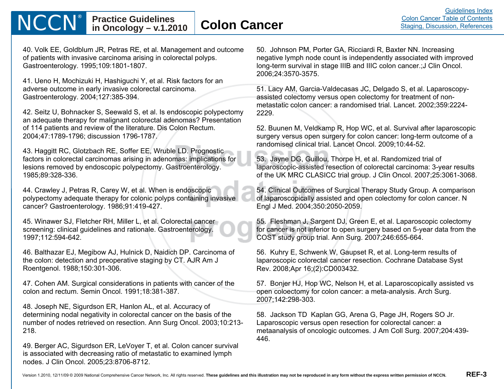## **Practice Guidelines** NCCN**in Oncology – v.1.2010**

40. Volk EE, Goldblum JR, Petras RE, et al. Management and outcome of patients with invasive carcinoma arising in colorectal polyps. Gastroenterology. 1995;109:1801-1807.

41. Ueno H, Mochizuki H, Hashiguchi Y, et al. Risk factors for an adverse outcome in early invasive colorectal carcinoma. Gastroenterology. 2004;127:385-394.

42. Seitz U, Bohnacker S, Seewald S, et al. Is endoscopic polypectomy an adequate therapy for malignant colorectal adenomas? Presentation of 114 patients and review of the literature. Dis Colon Rectum. 2004;47:1789-1796; discussion 1796-1787.

43. Haggitt RC, Glotzbach RE, Soffer EE, Wruble LD. Prognostic factors in colorectal carcinomas arising in adenomas: implications for lesions removed by endoscopic polypectomy. Gastroenterology. 1985;89:328-336.

44. Crawley J, Petras R, Carey W, et al. When is endoscopic polypectomy adequate therapy for colonic polyps containing invasive cancer? Gastroenterology. 1986;91:419-427.

45. Winawer SJ, Fletcher RH, Miller L, et al. Colorectal cancer screening: clinical guidelines and rationale. Gastroenterology. 1997;112:594-642.

46. Balthazar EJ, Megibow AJ, Hulnick D, Naidich DP. Carcinoma of the colon: detection and preoperative staging by CT. AJR Am J Roentgenol. 1988;150:301-306.

47. Cohen AM. Surgical considerations in patients with cancer of the colon and rectum. Semin Oncol. 1991;18:381-387.

48. Joseph NE, Sigurdson ER, Hanlon AL, et al. Accuracy of determining nodal negativity in colorectal cancer on the basis of the number of nodes retrieved on resection. Ann Surg Oncol. 2003;10:213- 218.

49. Berger AC, Sigurdson ER, LeVoyer T, et al. Colon cancer survival is associated with decreasing ratio of metastatic to examined lymph nodes. J Clin Oncol. 2005;23:8706-8712.

50. Johnson PM, Porter GA, Ricciardi R, Baxter NN. Increasing negative lymph node count is independently associated with improved long-term survival in stage IIIB and IIIC colon cancer.;J Clin Oncol. 2006;24:3570-3575.

51. Lacy AM, Garcia-Valdecasas JC, Delgado S, et al. Laparoscopyassisted colectomy versus open colectomy for treatment of nonmetastatic colon cancer: a randomised trial. Lancet. 2002;359:2224- 2229.

52. Buunen M, Veldkamp R, Hop WC, et al. Survival after laparoscopic surgery versus open surgery for colon cancer: long-term outcome of a randomised clinical trial. Lancet Oncol. 2009;10:44-52.

53. Jayne DG, Guillou, Thorpe H, et al. Randomized trial of laparoscopic-assisted resection of colorectal carcinoma: 3-year results of the UK MRC CLASICC trial group. J Clin Oncol. 2007;25:3061-3068.

54. Clinical Outcomes of Surgical Therapy Study Group. A comparison of laparoscopically assisted and open colectomy for colon cancer. N Engl J Med. 2004;350:2050-2059.

55. Fleshman J, Sargent DJ, Green E, et al. Laparoscopic colectomy for cancer is not inferior to open surgery based on 5-year data from the COST study group trial. Ann Surg. 2007;246:655-664.

56. Kuhry E, Schwenk W, Gaupset R, et al. Long-term results of laparoscopic colorectal cancer resection. Cochrane Database Syst Rev. 2008;Apr 16;(2):CD003432.

57. Bonjer HJ, Hop WC, Nelson H, et al. Laparoscopically assisted vs open coloectomy for colon cancer: a meta-analysis. Arch Surg. 2007;142:298-303.

58. Jackson TD Kaplan GG, Arena G, Page JH, Rogers SO Jr. Laparoscopic versus open resection for colorectal cancer: a metaanalysis of oncologic outcomes. J Am Coll Surg. 2007;204:439- 446.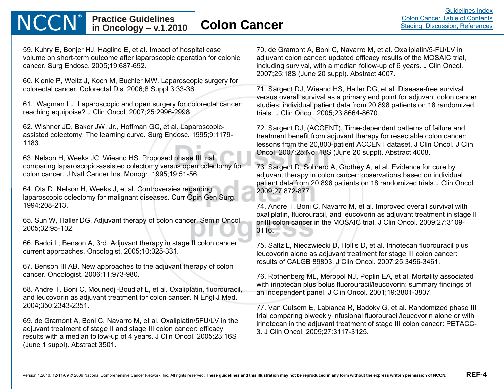59. Kuhry E, Bonjer HJ, Haglind E, et al. Impact of hospital case volume on short-term outcome after laparoscopic operation for colonic cancer. Surg Endosc. 2005;19:687-692.

60. Kienle P, Weitz J, Koch M, Buchler MW. Laparoscopic surgery for colorectal cancer. Colorectal Dis. 2006;8 Suppl 3:33-36.

61. Wagman LJ. Laparoscopic and open surgery for colorectal cancer: reaching equipoise? J Clin Oncol. 2007;25:2996-2998.

62. Wishner JD, Baker JW, Jr., Hoffman GC, et al. Laparoscopicassisted colectomy. The learning curve. Surg Endosc. 1995;9:1179- 1183.

63. Nelson H, Weeks JC, Wieand HS. Proposed phase III trial comparing laparoscopic-assisted colectomy versus open colectomy for colon cancer. J Natl Cancer Inst Monogr. 1995;19:51-56.

64. Ota D, Nelson H, Weeks J, et al. Controversies regarding laparoscopic colectomy for malignant diseases. Curr Opin Gen Surg. 1994:208-213.

65. Sun W, Haller DG. Adjuvant therapy of colon cancer. Semin Oncol. 2005;32:95-102.

66. Baddi L, Benson A, 3rd. Adjuvant therapy in stage II colon cancer: current approaches. Oncologist. 2005;10:325-331.

67. Benson III AB. New approaches to the adjuvant therapy of colon cancer. Oncologist. 2006;11:973-980.

68. Andre T, Boni C, Mounedji-Boudiaf L, et al. Oxaliplatin, fluorouracil, and leucovorin as adjuvant treatment for colon cancer. N Engl J Med. 2004;350:2343-2351.

69. de Gramont A, Boni C, Navarro M, et al. Oxaliplatin/5FU/LV in the adjuvant treatment of stage II and stage III colon cancer: efficacy results with a median follow-up of 4 years. J Clin Oncol. 2005;23:16S (June 1 suppl). Abstract 3501.

70. de Gramont A, Boni C, Navarro M, et al. Oxaliplatin/5-FU/LV in adjuvant colon cancer: updated efficacy results of the MOSAIC trial, including survival, with a median follow-up of 6 years. J Clin Oncol. 2007;25:18S (June 20 suppl). Abstract 4007.

71. Sargent DJ, Wieand HS, Haller DG, et al. Disease-free survival versus overall survival as a primary end point for adjuvant colon cancer studies: individual patient data from 20,898 patients on 18 randomized trials. J Clin Oncol. 2005;23:8664-8670.

72. Sargent DJ, (ACCENT). Time-dependent patterns of failure and treatment benefit from adjuvant therapy for resectable colon cancer: lessons from the 20,800-patient ACCENT dataset. J Clin Oncol. J Clin Oncol. 2007;25:No. 18S (June 20 suppl). Abstract 4008.

73. Sargent D, Sobrero A, Grothey A, et al. Evidence for cure by adjuvant therapy in colon cancer: observations based on individual patient data from 20,898 patients on 18 randomized trials.J Clin Oncol. 2009;27:872-877.

74. Andre T, Boni C, Navarro M, et al. Improved overall survival with oxaliplatin, fluorouracil, and leucovorin as adjuvant treatment in stage II or III colon cancer in the MOSAIC trial. J Clin Oncol. 2009;27:3109- 3116.

75. Saltz L, Niedzwiecki D, Hollis D, et al. Irinotecan fluorouracil plus leucovorin alone as adjuvant treatment for stage III colon cancer: results of CALGB 89803. J Clin Oncol. 2007;25:3456-3461.

76. Rothenberg ML, Meropol NJ, Poplin EA, et al. Mortality associated with irinotecan plus bolus fluorouracil/leucovorin: summary findings of an independent panel. J Clin Oncol. 2001;19:3801-3807.

77. Van Cutsem E, Labianca R, Bodoky G, et al. Randomized phase III trial comparing biweekly infusional fluorouracil/leucovorin alone or with irinotecan in the adjuvant treatment of stage III colon cancer: PETACC-3. J Clin Oncol. 2009;27:3117-3125.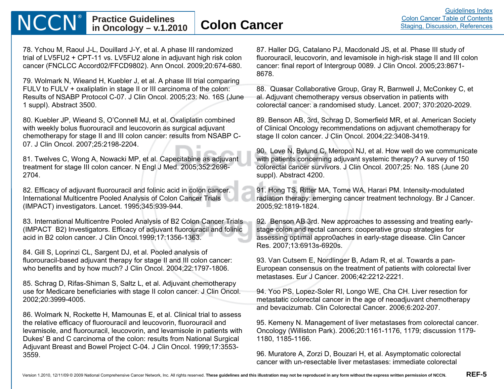### **Practice Guidelines** NCCN**in Oncology – v.1.2010**

78. Ychou M, Raoul J-L, Douillard J-Y, et al. A phase III randomized trial of LV5FU2 + CPT-11 vs. LV5FU2 alone in adjuvant high risk colon cancer (FNCLCC Accord02/FFCD9802). Ann Oncol. 2009;20:674-680.

79. Wolmark N, Wieand H, Kuebler J, et al. A phase III trial comparing FULV to FULV + oxaliplatin in stage II or III carcinoma of the colon: Results of NSABP Protocol C-07. J Clin Oncol. 2005;23: No. 16S (June 1 suppl). Abstract 3500.

80. Kuebler JP, Wieand S, O'Connell MJ, et al. Oxaliplatin combined with weekly bolus fluorouracil and leucovorin as surgical adjuvant chemotherapy for stage II and III colon cancer: results from NSABP C-07. J Clin Oncol. 2007;25:2198-2204.

81. Twelves C, Wong A, Nowacki MP, et al. Capecitabine as adjuvant treatment for stage III colon cancer. N Engl J Med. 2005;352:2696- 2704.

82. Efficacy of adjuvant fluorouracil and folinic acid in colon cancer. International Multicentre Pooled Analysis of Colon Cancer Trials (IMPACT) investigators. Lancet. 1995;345:939-944.

83. International Multicentre Pooled Analysis of B2 Colon Cancer Trials (IMPACT B2) Investigators. Efficacy of adjuvant fluorouracil and folinic acid in B2 colon cancer. J Clin Oncol.1999;17:1356-1363.

84. Gill S, Loprinzi CL, Sargent DJ, et al. Pooled analysis of fluorouracil-based adjuvant therapy for stage II and III colon cancer: who benefits and by how much? J Clin Oncol. 2004;22:1797-1806.

85. Schrag D, Rifas-Shiman S, Saltz L, et al. Adjuvant chemotherapy use for Medicare beneficiaries with stage II colon cancer. J Clin Oncol. 2002;20:3999-4005.

86. Wolmark N, Rockette H, Mamounas E, et al. Clinical trial to assess the relative efficacy of fluorouracil and leucovorin, fluorouracil and levamisole, and fluorouracil, leucovorin, and levamisole in patients with Dukes' B and C carcinoma of the colon: results from National Surgical Adjuvant Breast and Bowel Project C-04. J Clin Oncol. 1999;17:3553- 3559.

87. Haller DG, Catalano PJ, Macdonald JS, et al. Phase III study of fluorouracil, leucovorin, and levamisole in high-risk stage II and III colon cancer: final report of Intergroup 0089. J Clin Oncol. 2005;23:8671- 8678.

88. Quasar Collaborative Group, Gray R, Barnwell J, McConkey C, et al. Adjuvant chemotherapy versus observation in patients with colorectal cancer: a randomised study. Lancet. 2007; 370:2020-2029.

89. Benson AB, 3rd, Schrag D, Somerfield MR, et al. American Society of Clinical Oncology recommendations on adjuvant chemotherapy for stage II colon cancer. J Clin Oncol. 2004;22:3408-3419.

90. Love N, Bylund C, Meropol NJ, et al. How well do we communicate with patients concerning adjuvant systemic therapy? A survey of 150 colorectal cancer survivors. J Clin Oncol. 2007;25: No. 18S (June 20 suppl). Abstract 4200.

91. Hong TS, Ritter MA, Tome WA, Harari PM. Intensity-modulated radiation therapy: emerging cancer treatment technology. Br J Cancer. 2005;92:1819-1824.

92. Benson AB 3rd. New approaches to assessing and treating earlystage colon and rectal cancers: cooperative group strategies for assessing optimal appro0aches in early-stage disease. Clin Cancer Res. 2007;13:6913s-6920s.

93. Van Cutsem E, Nordlinger B, Adam R, et al. Towards a pan-European consensus on the treatment of patients with colorectal liver metastases. Eur J Cancer. 2006;42:2212-2221.

94. Yoo PS, Lopez-Soler RI, Longo WE, Cha CH. Liver resection for metastatic colorectal cancer in the age of neoadjuvant chemotherapy and bevacizumab. Clin Colorectal Cancer. 2006;6:202-207.

95. Kemeny N. Management of liver metastases from colorectal cancer. Oncology (Williston Park). 2006;20:1161-1176, 1179; discussion 1179- 1180, 1185-1166.

96. Muratore A, Zorzi D, Bouzari H, et al. Asymptomatic colorectal cancer with un-resectable liver metastases: immediate colorectal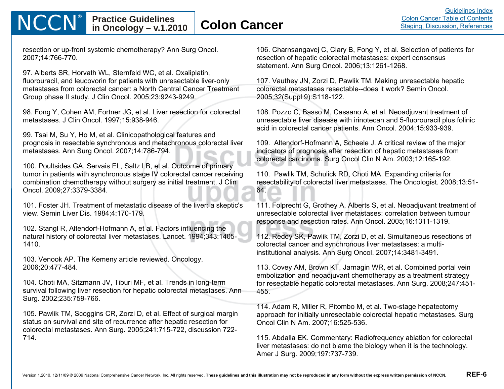resection or up-front systemic chemotherapy? Ann Surg Oncol. 2007;14:766-770.

NCCN<sup>®</sup>

97. Alberts SR, Horvath WL, Sternfeld WC, et al. Oxaliplatin, fluorouracil, and leucovorin for patients with unresectable liver-only metastases from colorectal cancer: a North Central Cancer Treatment Group phase II study. J Clin Oncol. 2005;23:9243-9249.

98. Fong Y, Cohen AM, Fortner JG, et al. Liver resection for colorectal metastases. J Clin Oncol. 1997;15:938-946.

99. Tsai M, Su Y, Ho M, et al. Clinicopathological features and prognosis in resectable synchronous and metachronous colorectal liver metastases. Ann Surg Oncol. 2007;14:786-794.

100. Poultsides GA, Servais EL, Saltz LB, et al. Outcome of primary tumor in patients with synchronous stage IV colorectal cancer receiving combination chemotherapy without surgery as initial treatment. J Clin Oncol. 2009;27:3379-3384.

101. Foster JH. Treatment of metastatic disease of the liver: a skeptic's view. Semin Liver Dis. 1984;4:170-179.

102. Stangl R, Altendorf-Hofmann A, et al. Factors influencing the natural history of colorectal liver metastases. Lancet. 1994;343:1405- 1410.

103. Venook AP. The Kemeny article reviewed. Oncology. 2006;20:477-484.

104. Choti MA, Sitzmann JV, Tiburi MF, et al. Trends in long-term survival following liver resection for hepatic colorectal metastases. Ann Surg. 2002;235:759-766.

105. Pawlik TM, Scoggins CR, Zorzi D, et al. Effect of surgical margin status on survival and site of recurrence after hepatic resection for colorectal metastases. Ann Surg. 2005;241:715-722, discussion 722- 714.

106. Charnsangavej C, Clary B, Fong Y, et al. Selection of patients for resection of hepatic colorectal metastases: expert consensus statement. Ann Surg Oncol. 2006;13:1261-1268.

107. Vauthey JN, Zorzi D, Pawlik TM. Making unresectable hepatic colorectal metastases resectable--does it work? Semin Oncol. 2005;32(Suppl 9):S118-122.

108. Pozzo C, Basso M, Cassano A, et al. Neoadjuvant treatment of unresectable liver disease with irinotecan and 5-fluorouracil plus folinic acid in colorectal cancer patients. Ann Oncol. 2004;15:933-939.

109. Altendorf-Hofmann A, Scheele J. A critical review of the major indicators of prognosis after resection of hepatic metastases from colorectal carcinoma. Surg Oncol Clin N Am. 2003;12:165-192.

110. Pawlik TM, Schulick RD, Choti MA. Expanding criteria for resectability of colorectal liver metastases. The Oncologist. 2008;13:51- 64.

111. Folprecht G, Grothey A, Alberts S, et al. Neoadjuvant treatment of unresectable colorectal liver metastases: correlation between tumour response and resection rates. Ann Oncol. 2005;16:1311-1319.

112. Reddy SK, Pawlik TM, Zorzi D, et al. Simultaneous resections of colorectal cancer and synchronous liver metastases: a multiinstitutional analysis. Ann Surg Oncol. 2007;14:3481-3491.

113. Covey AM, Brown KT, Jarnagin WR, et al. Combined portal vein embolization and neoadjuvant chemotherapy as a treatment strategy for resectable hepatic colorectal metastases. Ann Surg. 2008;247:451- 455.

114. Adam R, Miller R, Pitombo M, et al. Two-stage hepatectomy approach for initially unresectable colorectal hepatic metastases. Surg Oncol Clin N Am. 2007;16:525-536.

115. Abdalla EK. Commentary: Radiofrequency ablation for colorectal liver metastases: do not blame the biology when it is the technology. Amer J Surg. 2009;197:737-739.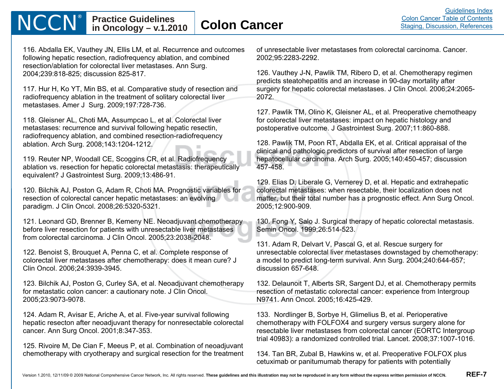#### **Practice Guidelines**NCCN<sup>®</sup> **in Oncology – v.1.2010**

116. Abdalla EK, Vauthey JN, Ellis LM, et al. Recurrence and outcomes following hepatic resection, radiofrequency ablation, and combined resection/ablation for colorectal liver metastases. Ann Surg. 2004;239:818-825; discussion 825-817.

117. Hur H, Ko YT, Min BS, et al. Comparative study of resection and radiofrequency ablation in the treatment of solitary colorectal liver metastases. Amer J Surg. 2009;197:728-736.

118. Gleisner AL, Choti MA, Assumpcao L, et al. Colorectal liver metastases: recurrence and survival following hepatic resectin, radiofrequency ablation, and combined resection-radiofrequency ablation. Arch Surg. 2008;143:1204-1212.

119. Reuter NP, Woodall CE, Scoggins CR, et al. Radiofrequency ablation vs. resection for hepatic colorectal metastasis: therapeutically equivalent? J Gastrointest Surg. 2009;13:486-91.

120. Bilchik AJ, Poston G, Adam R, Choti MA. Prognostic variables for resection of colorectal cancer hepatic metastases: an evolving paradigm. J Clin Oncol. 2008;26:5320-5321.

121. Leonard GD, Brenner B, Kemeny NE. Neoadjuvant chemotherapy before liver resection for patients with unresectable liver metastases from colorectal carcinoma. J Clin Oncol. 2005;23:2038-2048.

122. Benoist S, Brouquet A, Penna C, et al. Complete response of colorectal liver metastases after chemotherapy: does it mean cure? J Clin Oncol. 2006;24:3939-3945.

123. Bilchik AJ, Poston G, Curley SA, et al. Neoadjuvant chemotherapy for metastatic colon cancer: a cautionary note. J Clin Oncol. 2005;23:9073-9078.

124. Adam R, Avisar E, Ariche A, et al. Five-year survival following hepatic resecton after neoadjuvant therapy for nonresectable colorectal cancer. Ann Surg Oncol. 2001;8:347-353.

125. Rivoire M, De Cian F, Meeus P, et al. Combination of neoadjuvant chemotherapy with cryotherapy and surgical resection for the treatment of unresectable liver metastases from colorectal carcinoma. Cancer. 2002;95:2283-2292.

126. Vauthey J-N, Pawlik TM, Ribero D, et al. Chemotherapy regimen predicts steatohepatitis and an increase in 90-day mortality after surgery for hepatic colorectal metastases. J Clin Oncol. 2006;24:2065- 2072.

127. Pawlik TM, Olino K, Gleisner AL, et al. Preoperative chemotheapy for colorectal liver metastases: impact on hepatic histology and postoperative outcome. J Gastrointest Surg. 2007;11:860-888.

128. Pawlik TM, Poon RT, Abdalla EK, et al. Critical appraisal of the clinical and pathologic predictors of survival after resection of large hepatocellular carcinoma. Arch Surg. 2005;140:450-457; discussion 457-458.

129. Elias D, Liberale G, Vernerey D, et al. Hepatic and extrahepatic colorectal metastases: when resectable, their localization does not matter, but their total number has a prognostic effect. Ann Surg Oncol. 2005;12:900-909.

130. Fong Y, Salo J. Surgical therapy of hepatic colorectal metastasis. Semin Oncol. 1999;26:514-523.

131. Adam R, Delvart V, Pascal G, et al. Rescue surgery for unresectable colorectal liver metastases downstaged by chemotherapy: a model to predict long-term survival. Ann Surg. 2004;240:644-657; discussion 657-648.

132. Delaunoit T, Alberts SR, Sargent DJ, et al. Chemotherapy permits resection of metastatic colorectal cancer: experience from Intergroup N9741. Ann Oncol. 2005;16:425-429.

133. Nordlinger B, Sorbye H, Glimelius B, et al. Perioperative chemotherapy with FOLFOX4 and surgery versus surgery alone for resectable liver metastases from colorectal cancer (EORTC Intergroup trial 40983): a randomized controlled trial. Lancet. 2008;37:1007-1016.

134. Tan BR, Zubal B, Hawkins w, et al. Preoperative FOLFOX plus cetuximab or panitumumab therapy for patients with potentially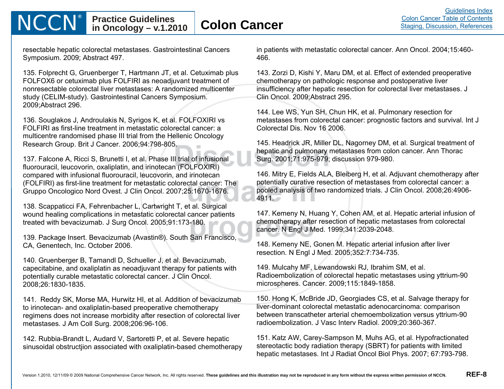### **Practice Guidelinesin Oncology – v.1.2010 ®**

resectable hepatic colorectal metastases. Gastrointestinal Cancers Symposium. 2009; Abstract 497.

NCCN

135. Folprecht G, Gruenberger T, Hartmann JT, et al. Cetuximab plus FOLFOX6 or cetuximab plus FOLFIRI as neoadjuvant treatment of nonresectable colorectal liver metastases: A randomized multicenter study (CELIM-study). Gastrointestinal Cancers Symposium. 2009;Abstract 296.

136. Souglakos J, Androulakis N, Syrigos K, et al. FOLFOXIRI vs FOLFIRI as first-line treatment in metastatic colorectal cancer: a multicentre randomised phase III trial from the Hellenic Oncology Research Group. Brit J Cancer. 2006;94:798-805.

137. Falcone A, Ricci S, Brunetti I, et al. Phase III trial of infusional fluorouracil, leucovorin, oxaliplatin, and irinotecan (FOLFOXIRI) compared with infusional fluorouracil, leucovorin, and irinotecan (FOLFIRI) as first-line treatment for metastatic colorectal cancer: The Gruppo Oncologico Nord Ovest. J Clin Oncol. 2007;25:1670-1676.

138. Scappaticci FA, Fehrenbacher L, Cartwright T, et al. Surgical wound healing complications in metastatic colorectal cancer patients treated with bevacizumab. J Surg Oncol. 2005;91:173-180.

139. Package Insert. Bevacizumab (Avastin®). South San Francisco, CA, Genentech, Inc. October 2006.

140. Gruenberger B, Tamandl D, Schueller J, et al. Bevacizumab, capecitabine, and oxaliplatin as neoadjuvant therapy for patients with potentially curable metastatic colorectal cancer. J Clin Oncol. 2008;26:1830-1835.

141. Reddy SK, Morse MA, Hurwitz HI, et al. Addition of bevacizumab to irinotecan- and oxaliplatin-based preoperative chemotherapy regimens does not increase morbidity after resection of colorectal liver metastases. J Am Coll Surg. 2008;206:96-106.

142. Rubbia-Brandt L, Audard V, Sartoretti P, et al. Severe hepatic sinusoidal obstructjion associated with oxaliplatin-based chemotherapy in patients with metastatic colorectal cancer. Ann Oncol. 2004;15:460- 466.

143. Zorzi D, Kishi Y, Maru DM, et al. Effect of extended preoperative chemotherapy on pathologic response and postoperative liver insufficiency after hepatic resection for colorectal liver metastases. J Clin Oncol. 2009;Abstract 295.

144. Lee WS, Yun SH, Chun HK, et al. Pulmonary resection for metastases from colorectal cancer: prognostic factors and survival. Int J Colorectal Dis. Nov 16 2006.

145. Headrick JR, Miller DL, Nagorney DM, et al. Surgical treatment of hepatic and pulmonary metastases from colon cancer. Ann Thorac Surg. 2001;71:975-979; discussion 979-980.

146. Mitry E, Fields ALA, Bleiberg H, et al. Adjuvant chemotherapy after potentially curative resection of metastases from colorectal cancer: a pooled analysis of two randomized trials. J Clin Oncol. 2008;26:4906- 4911.

147. Kemeny N, Huang Y, Cohen AM, et al. Hepatic arterial infusion of chemotherapy after resection of hepatic metastases from colorectal cancer. N Engl J Med. 1999;341:2039-2048.

148. Kemeny NE, Gonen M. Hepatic arterial infusion after liver resection. N Engl J Med. 2005;352:7:734-735.

149. Mulcahy MF, Lewandowski RJ, Ibrahim SM, et al. Radioembolization of colorectal hepatic metastases using yttrium-90 microspheres. Cancer. 2009;115:1849-1858.

150. Hong K, McBride JD, Georgiades CS, et al. Salvage therapy for liver-dominant colorectal metastatic adenocarcinoma: comparison between transcatheter arterial chemoembolization versus yttrium-90 radioembolization. J Vasc Interv Radiol. 2009;20:360-367.

151. Katz AW, Carey-Sampson M, Muhs AG, et al. Hypofractionated stereotactic body radiation therapy (SBRT) for patients with limited hepatic metastases. Int J Radiat Oncol Biol Phys. 2007; 67:793-798.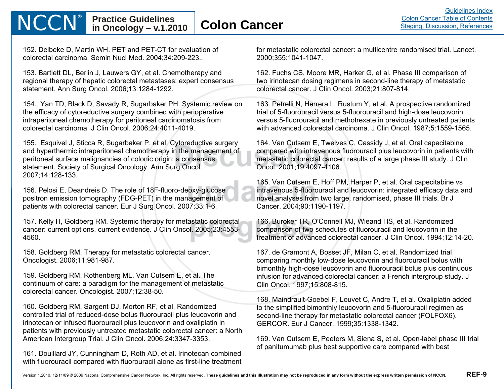152. Delbeke D, Martin WH. PET and PET-CT for evaluation of colorectal carcinoma. Semin Nucl Med. 2004;34:209-223..

153. Bartlett DL, Berlin J, Lauwers GY, et al. Chemotherapy and regional therapy of hepatic colorectal metastases: expert consensus statement. Ann Surg Oncol. 2006;13:1284-1292.

154. Yan TD, Black D, Savady R, Sugarbaker PH. Systemic review on the efficacy of cytoreductive surgery combined with perioperative intraperitoneal chemotherapy for peritoneal carcinomatosis from colorectal carcinoma. J Clin Oncol. 2006;24:4011-4019.

155. Esquivel J, Sticca R, Sugarbaker P, et al. Cytoreductive surgery and hyperthermic intraperitoneal chemotherapy in the management of peritoneal surface malignancies of colonic origin: a consensus statement. Society of Surgical Oncology. Ann Surg Oncol. 2007;14:128-133.

156. Pelosi E, Deandreis D. The role of 18F-fluoro-deoxy-glucose positron emission tomography (FDG-PET) in the management of patients with colorectal cancer. Eur J Surg Oncol. 2007;33:1-6.

157. Kelly H, Goldberg RM. Systemic therapy for metastatic colorectal cancer: current options, current evidence. J Clin Oncol. 2005;23:4553- 4560.

158. Goldberg RM. Therapy for metastatic colorectal cancer. Oncologist. 2006;11:981-987.

159. Goldberg RM, Rothenberg ML, Van Cutsem E, et al. The continuum of care: a paradigm for the management of metastatic colorectal cancer. Oncologist. 2007;12:38-50.

160. Goldberg RM, Sargent DJ, Morton RF, et al. Randomized controlled trial of reduced-dose bolus fluorouracil plus leucovorin and irinotecan or infused fluorouracil plus leucovorin and oxaliplatin in patients with previously untreated metastatic colorectal cancer: a North American Intergroup Trial. J Clin Oncol. 2006;24:3347-3353.

161. Douillard JY, Cunningham D, Roth AD, et al. Irinotecan combined with fluorouracil compared with fluorouracil alone as first-line treatment for metastatic colorectal cancer: a multicentre randomised trial. Lancet. 2000;355:1041-1047.

162. Fuchs CS, Moore MR, Harker G, et al. Phase III comparison of two irinotecan dosing regimens in second-line therapy of metastatic colorectal cancer. J Clin Oncol. 2003;21:807-814.

163. Petrelli N, Herrera L, Rustum Y, et al. A prospective randomized trial of 5-fluorouracil versus 5-fluorouracil and high-dose leucovorin versus 5-fluorouracil and methotrexate in previously untreated patients with advanced colorectal carcinoma. J Clin Oncol. 1987;5:1559-1565.

164. Van Cutsem E, Twelves C, Cassidy J, et al. Oral capecitabine compared with intravenous fluorouracil plus leucovorin in patients with metastatic colorectal cancer: results of a large phase III study. J Clin Oncol. 2001;19:4097-4106.

165. Van Cutsem E, Hoff PM, Harper P, et al. Oral capecitabine vs intravenous 5-fluorouracil and leucovorin: integrated efficacy data and novel analyses from two large, randomised, phase III trials. Br J Cancer. 2004;90:1190-1197.

166. Buroker TR, O'Connell MJ, Wieand HS, et al. Randomized comparison of two schedules of fluorouracil and leucovorin in the treatment of advanced colorectal cancer. J Clin Oncol. 1994;12:14-20.

167. de Gramont A, Bosset JF, Milan C, et al. Randomized trial comparing monthly low-dose leucovorin and fluorouracil bolus with bimonthly high-dose leucovorin and fluorouracil bolus plus continuous infusion for advanced colorectal cancer: a French intergroup study. J Clin Oncol. 1997;15:808-815.

168. Maindrault-Goebel F, Louvet C, Andre T, et al. Oxaliplatin added to the simplified bimonthly leucovorin and 5-fluorouracil regimen as second-line therapy for metastatic colorectal cancer (FOLFOX6). GERCOR. Eur J Cancer. 1999;35:1338-1342.

169. Van Cutsem E, Peeters M, Siena S, et al. Open-label phase III trial of panitumumab plus best supportive care compared with best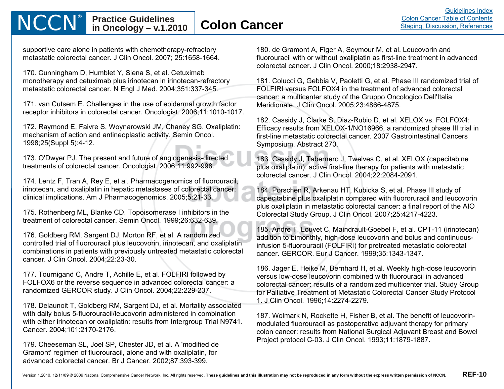## **Practice Guidelines** $\mathbf{NCCN}^\circ$  Practice Guideline **in Oncology – v.1.2010**

supportive care alone in patients with chemotherapy-refractory metastatic colorectal cancer. J Clin Oncol. 2007; 25:1658-1664.

170. Cunningham D, Humblet Y, Siena S, et al. Cetuximab monotherapy and cetuximab plus irinotecan in irinotecan-refractory metastatic colorectal cancer. N Engl J Med. 2004;351:337-345.

171. van Cutsem E. Challenges in the use of epidermal growth factor receptor inhibitors in colorectal cancer. Oncologist. 2006;11:1010-1017.

172. Raymond E, Faivre S, Woynarowski JM, Chaney SG. Oxaliplatin: mechanism of action and antineoplastic activity. Semin Oncol. 1998;25(Suppl 5):4-12.

173. O'Dwyer PJ. The present and future of angiogenesis-directed treatments of colorectal cancer. Oncologist. 2006;11:992-998.

174. Lentz F, Tran A, Rey E, et al. Pharmacogenomics of fluorouracil, irinotecan, and oxaliplatin in hepatic metastases of colorectal cancer: clinical implications. Am J Pharmacogenomics. 2005;5:21-33.

175. Rothenberg ML, Blanke CD. Topoisomerase I inhibitors in the treatment of colorectal cancer. Semin Oncol. 1999;26:632-639.

176. Goldberg RM, Sargent DJ, Morton RF, et al. A randomized controlled trial of fluorouracil plus leucovorin, irinotecan, and oxaliplatin combinations in patients with previously untreated metastatic colorectal cancer. J Clin Oncol. 2004;22:23-30.

177. Tournigand C, Andre T, Achille E, et al. FOLFIRI followed by FOLFOX6 or the reverse sequence in advanced colorectal cancer: a randomized GERCOR study. J Clin Oncol. 2004;22:229-237.

178. Delaunoit T, Goldberg RM, Sargent DJ, et al. Mortality associated with daily bolus 5-fluorouracil/leucovorin administered in combination with either irinotecan or oxaliplatin: results from Intergroup Trial N9741. Cancer. 2004;101:2170-2176.

179. Cheeseman SL, Joel SP, Chester JD, et al. A 'modified de Gramont' regimen of fluorouracil, alone and with oxaliplatin, for advanced colorectal cancer. Br J Cancer. 2002;87:393-399.

180. de Gramont A, Figer A, Seymour M, et al. Leucovorin and fluorouracil with or without oxaliplatin as first-line treatment in advanced colorectal cancer. J Clin Oncol. 2000;18:2938-2947.

181. Colucci G, Gebbia V, Paoletti G, et al. Phase III randomized trial of FOLFIRI versus FOLFOX4 in the treatment of advanced colorectal cancer: a multicenter study of the Gruppo Oncologico Dell'Italia Meridionale. J Clin Oncol. 2005;23:4866-4875.

182. Cassidy J, Clarke S, Diaz-Rubio D, et al. XELOX vs. FOLFOX4: Efficacy results from XELOX-1/NO16966, a randomized phase III trial in first-line metastatic colorectal cancer. 2007 Gastrointestinal Cancers Symposium. Abstract 270.

183. Cassidy J, Tabernero J, Twelves C, et al. XELOX (capecitabine plus oxaliplatin): active first-line therapy for patients with metastatic colorectal cancer. J Clin Oncol. 2004;22:2084-2091.

184. Porschen R, Arkenau HT, Kubicka S, et al. Phase III study of capecitabine plus oxaliplatin compared with fluororuracil and leucovorin plus oxaliplatin in metastatic colorectal cancer: a final report of the AIO Colorectal Study Group. J Clin Oncol. 2007;25:4217-4223.

185. Andre T, Louvet C, Maindrault-Goebel F, et al. CPT-11 (irinotecan) addition to bimonthly, high-dose leucovorin and bolus and continuousinfusion 5-fluorouracil (FOLFIRI) for pretreated metastatic colorectal cancer. GERCOR. Eur J Cancer. 1999;35:1343-1347.

186. Jager E, Heike M, Bernhard H, et al. Weekly high-dose leucovorin versus low-dose leucovorin combined with fluorouracil in advanced colorectal cancer: results of a randomized multicenter trial. Study Group for Palliative Treatment of Metastatic Colorectal Cancer Study Protocol 1. J Clin Oncol. 1996;14:2274-2279.

187. Wolmark N, Rockette H, Fisher B, et al. The benefit of leucovorinmodulated fluorouracil as postoperative adjuvant therapy for primary colon cancer: results from National Surgical Adjuvant Breast and Bowel Project protocol C-03. J Clin Oncol. 1993;11:1879-1887.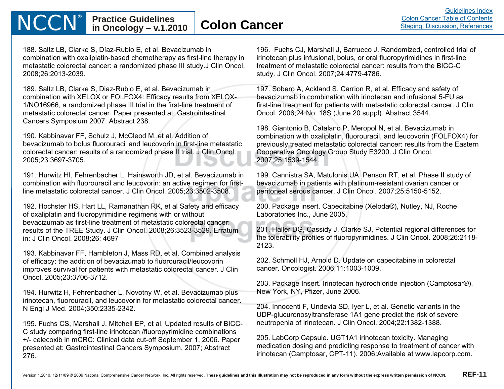188. Saltz LB, Clarke S, Díaz-Rubio E, et al. Bevacizumab in combination with oxaliplatin-based chemotherapy as first-line therapy in metastatic colorectal cancer: a randomized phase III study.J Clin Oncol. 2008;26:2013-2039.

189. Saltz LB, Clarke S, Diaz-Rubio E, et al. Bevacizumab in combination with XELOX or FOLFOX4: Efficacy results from XELOX-1/NO16966, a randomized phase III trial in the first-line treatment of metastatic colorectal cancer. Paper presented at: Gastrointestinal Cancers Symposium 2007. Abstract 238.

190. Kabbinavar FF, Schulz J, McCleod M, et al. Addition of bevacizumab to bolus fluorouracil and leucovorin in first-line metastatic colorectal cancer: results of a randomized phase II trial. J Clin Oncol. 2005;23:3697-3705.

191. Hurwitz HI, Fehrenbacher L, Hainsworth JD, et al. Bevacizumab in combination with fluorouracil and leucovorin: an active regimen for firstline metastatic colorectal cancer. J Clin Oncol. 2005;23:3502-3508.

192. Hochster HS, Hart LL, Ramanathan RK, et al Safety and efficacy of oxaliplatin and fluoropyrimidine regimens with or without bevacizumab as first-line treatment of metastatic colorectal cancer: results of the TREE Study. J Clin Oncol. 2008;26:3523-3529. Erratum in: J Clin Oncol. 2008;26: 4697

193. Kabbinavar FF, Hambleton J, Mass RD, et al. Combined analysis of efficacy: the addition of bevacizumab to fluorouracil/leucovorin improves survival for patients with metastatic colorectal cancer. J Clin Oncol. 2005;23:3706-3712.

194. Hurwitz H, Fehrenbacher L, Novotny W, et al. Bevacizumab plus irinotecan, fluorouracil, and leucovorin for metastatic colorectal cancer. N Engl J Med. 2004;350:2335-2342.

195. Fuchs CS, Marshall J, Mitchell EP, et al. Updated results of BICC-C study comparing first-line irinotecan /fluoropyrimidine combinations +/- celecoxib in mCRC: Clinical data cut-off September 1, 2006. Paper presented at: Gastrointestinal Cancers Symposium, 2007; Abstract 276.

196. Fuchs CJ, Marshall J, Barrueco J. Randomized, controlled trial of irinotecan plus infusional, bolus, or oral fluoropyrimidines in first-line treatment of metastatic colorectal cancer: results from the BICC-C study. J Clin Oncol. 2007;24:4779-4786.

197. Sobero A, Ackland S, Carrion R, et al. Efficacy and safety of bevacizumab in combination with irinotecan and infusional 5-FU as first-line treatment for patients with metastatic colorectal cancer. J Clin Oncol. 2006;24:No. 18S (June 20 suppl). Abstract 3544.

198. Giantonio B, Catalano P, Meropol N, et al. Bevacizumab in combination with oxaliplatin, fluorouracil, and leucovorin (FOLFOX4) for previously treated metastatic colorectal cancer: results from the Eastern Cooperative Oncology Group Study E3200. J Clin Oncol. 2007;25:1539-1544.

199. Cannistra SA, Matulonis UA, Penson RT, et al. Phase II study of bevacizumab in patients with platinum-resistant ovarian cancer or peritoneal serous cancer. J Clin Oncol. 2007;25:5150-5152.

200. Package insert. Capecitabine (Xeloda®), Nutley, NJ, Roche Laboratories Inc., June 2005.

201. Haller DG, Cassidy J, Clarke SJ, Potential regional differences for the tolerability profiles of fluoropyrimidines. J Clin Oncol. 2008;26:2118- 2123.

202. Schmoll HJ, Arnold D. Update on capecitabine in colorectal cancer. Oncologist. 2006;11:1003-1009.

203. Package Insert. Irinotecan hydrochloride injection (Camptosar®), New York, NY, Pfizer, June 2006.

204. Innocenti F, Undevia SD, Iyer L, et al. Genetic variants in the UDP-glucuronosyltransferase 1A1 gene predict the risk of severe neutropenia of irinotecan. J Clin Oncol. 2004;22:1382-1388.

205. LabCorp Capsule. UGT1A1 irinotecan toxicity. Managing medication dosing and predicting response to treatment of cancer with irinotecan (Camptosar, CPT-11). 2006:Available at www.lapcorp.com.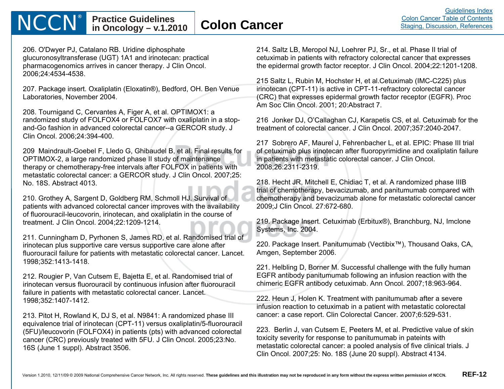**Practice Guidelines** $\mathbf{NCCN}^\circ$  Practice Guideline **in Oncology – v.1.2010**

206. O'Dwyer PJ, Catalano RB. Uridine diphosphate glucuronosyltransferase (UGT) 1A1 and irinotecan: practical pharmacogenomics arrives in cancer therapy. J Clin Oncol. 2006;24:4534-4538.

207. Package insert. Oxaliplatin (Eloxatin®), Bedford, OH. Ben Venue Laboratories, November 2004.

208. Tournigand C, Cervantes A, Figer A, et al. OPTIMOX1: a randomized study of FOLFOX4 or FOLFOX7 with oxaliplatin in a stopand-Go fashion in advanced colorectal cancer--a GERCOR study. J Clin Oncol. 2006;24:394-400.

209 Maindrault-Goebel F, Lledo G, Ghibaudel B, et al. Final results for OPTIMOX-2, a large randomized phase II study of maintenance therapy or chemotherapy-free intervals after FOLFOX in patients with metastatic colorectal cancer: a GERCOR study. J Clin Oncol. 2007;25: No. 18S. Abstract 4013.

210. Grothey A, Sargent D, Goldberg RM, Schmoll HJ. Survival of patients with advanced colorectal cancer improves with the availability of fluorouracil-leucovorin, irinotecan, and oxaliplatin in the course of treatment. J Clin Oncol. 2004;22:1209-1214.

211. Cunningham D, Pyrhonen S, James RD, et al. Randomised trial of irinotecan plus supportive care versus supportive care alone after fluorouracil failure for patients with metastatic colorectal cancer. Lancet. 1998;352:1413-1418.

212. Rougier P, Van Cutsem E, Bajetta E, et al. Randomised trial of irinotecan versus fluorouracil by continuous infusion after fluorouracil failure in patients with metastatic colorectal cancer. Lancet. 1998;352:1407-1412.

213. Pitot H, Rowland K, DJ S, et al. N9841: A randomized phase III equivalence trial of irinotecan (CPT-11) versus oxaliplatin/5-fluorouracil (5FU)/leucovorin (FOLFOX4) in patients (pts) with advanced colorectal cancer (CRC) previously treated with 5FU. J Clin Oncol. 2005;23:No. 16S (June 1 suppl). Abstract 3506.

214. Saltz LB, Meropol NJ, Loehrer PJ, Sr., et al. Phase II trial of cetuximab in patients with refractory colorectal cancer that expresses the epidermal growth factor receptor. J Clin Oncol. 2004;22:1201-1208.

215 Saltz L, Rubin M, Hochster H, et al.Cetuximab (IMC-C225) plus irinotecan (CPT-11) is active in CPT-11-refractory colorectal cancer (CRC) that expresses epidermal growth factor receptor (EGFR). Proc Am Soc Clin Oncol. 2001; 20:Abstract 7.

216 Jonker DJ, O'Callaghan CJ, Karapetis CS, et al. Cetuximab for the treatment of colorectal cancer. J Clin Oncol. 2007;357:2040-2047.

217 Sobrero AF, Maurel J, Fehrenbacher L, et al. EPIC: Phase III trial of cetuximab plus irinotecan after fluoropyrimidine and oxaliplatin failure in patients with metastatic colorectal cancer. J Clin Oncol. 2008;26:2311-2319.

218. Hecht JR, Mitchell E, Chidiac T, et al. A randomized phase IIIB trial of chemotherapy, bevacizumab, and panitumumab compared with chemotherapy and bevacizumab alone for metastatic colorectal cancer 2009;J Clin Oncol. 27:672-680.

219. Package Insert. Cetuximab (Erbitux®), Branchburg, NJ, Imclone Systems, Inc. 2004.

220. Package Insert. Panitumumab (Vectibix™), Thousand Oaks, CA, Amgen, September 2006.

221. Helbling D, Borner M. Successful challenge with the fully human EGFR antibody panitumumab following an infusion reaction with the chimeric EGFR antibody cetuximab. Ann Oncol. 2007;18:963-964.

222. Heun J, Holen K. Treatment with panitumumab after a severe infusion reaction to cetuximab in a patient with metastatic colorectal cancer: a case report. Clin Colorectal Cancer. 2007;6:529-531.

223. Berlin J, van Cutsem E, Peeters M, et al. Predictive value of skin toxicity severity for response to panitumumab in pateints with metastatic colorectal cancer: a pooled analysis of five clinical trials. J Clin Oncol. 2007;25: No. 18S (June 20 suppl). Abstract 4134.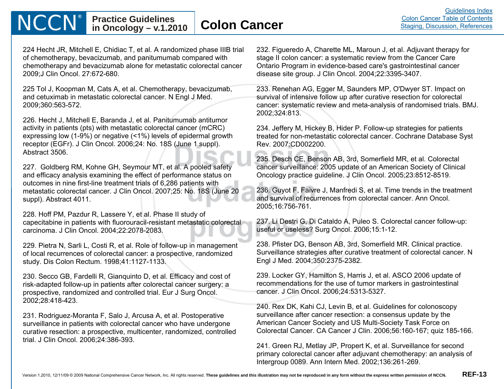## **Practice Guidelines**NCCN<sup>®</sup> **in Oncology – v.1.2010**

224 Hecht JR, Mitchell E, Chidiac T, et al. A randomized phase IIIB trial of chemotherapy, bevacizumab, and panitumumab compared with chemotherapy and bevacizumab alone for metastatic colorectal cancer 2009;J Clin Oncol. 27:672-680.

225 Tol J, Koopman M, Cats A, et al. Chemotherapy, bevacizumab, and cetuximab in metastatic colorectal cancer. N Engl J Med. 2009;360:563-572.

226. Hecht J, Mitchell E, Baranda J, et al. Panitumumab antitumor activity in patients (pts) with metastatic colorectal cancer (mCRC) expressing low (1-9%) or negative (<1%) levels of epidermal growth receptor (EGFr). J Clin Oncol. 2006;24: No. 18S (June 1 suppl). Abstract 3506.

227. Goldberg RM, Kohne GH, Seymour MT, et al. A pooled safety and efficacy analysis examining the effect of performance status on outcomes in nine first-line treatment trials of 6,286 patients with metastatic colorectal cancer. J Clin Oncol. 2007;25: No. 18S (June 20 suppl). Abstract 4011.

228. Hoff PM, Pazdur R, Lassere Y, et al. Phase II study of capecitabine in patients with fluorouracil-resistant metastatic colorectal carcinoma. J Clin Oncol. 2004;22:2078-2083.

229. Pietra N, Sarli L, Costi R, et al. Role of follow-up in management of local recurrences of colorectal cancer: a prospective, randomized study. Dis Colon Rectum. 1998;41:1127-1133.

230. Secco GB, Fardelli R, Gianquinto D, et al. Efficacy and cost of risk-adapted follow-up in patients after colorectal cancer surgery: a prospective, randomized and controlled trial. Eur J Surg Oncol. 2002;28:418-423.

231. Rodriguez-Moranta F, Salo J, Arcusa A, et al. Postoperative surveillance in patients with colorectal cancer who have undergone curative resection: a prospective, multicenter, randomized, controlled trial. J Clin Oncol. 2006;24:386-393.

232. Figueredo A, Charette ML, Maroun J, et al. Adjuvant therapy for stage II colon cancer: a systematic review from the Cancer Care Ontario Program in evidence-based care's gastrointestinal cancer disease site group. J Clin Oncol. 2004;22:3395-3407.

233. Renehan AG, Egger M, Saunders MP, O'Dwyer ST. Impact on survival of intensive follow up after curative resection for colorectal cancer: systematic review and meta-analysis of randomised trials. BMJ. 2002;324:813.

234. Jeffery M, Hickey B, Hider P. Follow-up strategies for patients treated for non-metastatic colorectal cancer. Cochrane Database Syst Rev. 2007:CD002200.

235. Desch CE, Benson AB, 3rd, Somerfield MR, et al. Colorectal cancer surveillance: 2005 update of an American Society of Clinical Oncology practice guideline. J Clin Oncol. 2005;23:8512-8519.

236. Guyot F, Faivre J, Manfredi S, et al. Time trends in the treatment and survival of recurrences from colorectal cancer. Ann Oncol. 2005;16:756-761.

237. Li Destri G, Di Cataldo A, Puleo S. Colorectal cancer follow-up: useful or useless? Surg Oncol. 2006;15:1-12.

238. Pfister DG, Benson AB, 3rd, Somerfield MR. Clinical practice. Surveillance strategies after curative treatment of colorectal cancer. N Engl J Med. 2004;350:2375-2382.

239. Locker GY, Hamilton S, Harris J, et al. ASCO 2006 update of recommendations for the use of tumor markers in gastrointestinal cancer. J Clin Oncol. 2006;24:5313-5327.

240. Rex DK, Kahi CJ, Levin B, et al. Guidelines for colonoscopy surveillance after cancer resection: a consensus update by the American Cancer Society and US Multi-Society Task Force on Colorectal Cancer. CA Cancer J Clin. 2006;56:160-167; quiz 185-166.

241. Green RJ, Metlay JP, Propert K, et al. Surveillance for second primary colorectal cancer after adjuvant chemotherapy: an analysis of Intergroup 0089. Ann Intern Med. 2002;136:261-269.